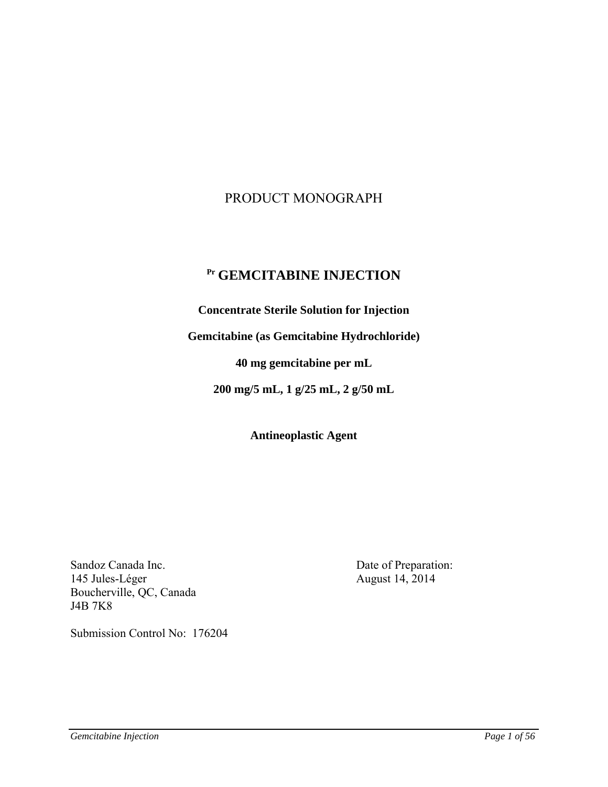# PRODUCT MONOGRAPH

# **Pr GEMCITABINE INJECTION**

**Concentrate Sterile Solution for Injection** 

**Gemcitabine (as Gemcitabine Hydrochloride)** 

**40 mg gemcitabine per mL** 

**200 mg/5 mL, 1 g/25 mL, 2 g/50 mL** 

**Antineoplastic Agent** 

Sandoz Canada Inc. Date of Preparation: 145 Jules-Léger August 14, 2014 Boucherville, QC, Canada J4B 7K8

Submission Control No: 176204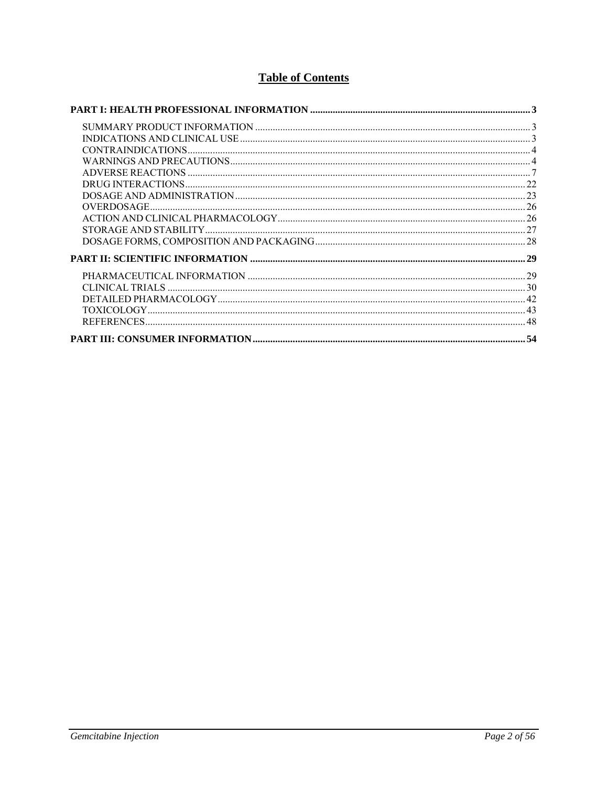# **Table of Contents**

| OVERDOSAGE. |    |
|-------------|----|
|             |    |
|             |    |
|             |    |
|             |    |
|             |    |
|             |    |
|             |    |
|             |    |
|             |    |
|             | 54 |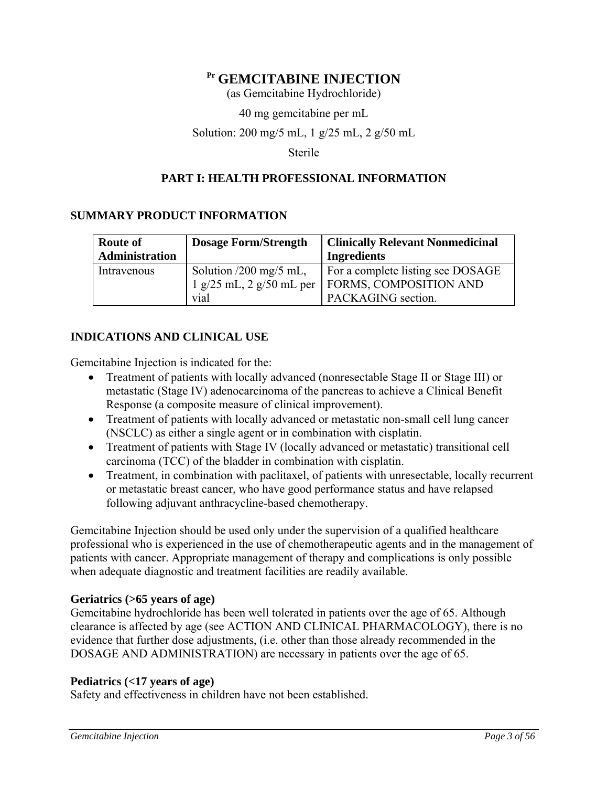# **Pr GEMCITABINE INJECTION**

(as Gemcitabine Hydrochloride)

40 mg gemcitabine per mL

### Solution: 200 mg/5 mL, 1 g/25 mL, 2 g/50 mL

Sterile

# **PART I: HEALTH PROFESSIONAL INFORMATION**

# **SUMMARY PRODUCT INFORMATION**

| Dosage Form/Strength<br><b>Route of</b> |                               | <b>Clinically Relevant Nonmedicinal</b> |  |  |
|-----------------------------------------|-------------------------------|-----------------------------------------|--|--|
| Administration                          |                               | <b>Ingredients</b>                      |  |  |
| Intravenous                             | Solution $/200$ mg/5 mL,      | For a complete listing see DOSAGE       |  |  |
|                                         | $1 g/25 mL$ , $2 g/50 mL$ per | FORMS, COMPOSITION AND                  |  |  |
|                                         | vial                          | PACKAGING section.                      |  |  |

# **INDICATIONS AND CLINICAL USE**

Gemcitabine Injection is indicated for the:

- Treatment of patients with locally advanced (nonresectable Stage II or Stage III) or metastatic (Stage IV) adenocarcinoma of the pancreas to achieve a Clinical Benefit Response (a composite measure of clinical improvement).
- Treatment of patients with locally advanced or metastatic non-small cell lung cancer (NSCLC) as either a single agent or in combination with cisplatin.
- Treatment of patients with Stage IV (locally advanced or metastatic) transitional cell carcinoma (TCC) of the bladder in combination with cisplatin.
- Treatment, in combination with paclitaxel, of patients with unresectable, locally recurrent or metastatic breast cancer, who have good performance status and have relapsed following adjuvant anthracycline-based chemotherapy.

Gemcitabine Injection should be used only under the supervision of a qualified healthcare professional who is experienced in the use of chemotherapeutic agents and in the management of patients with cancer. Appropriate management of therapy and complications is only possible when adequate diagnostic and treatment facilities are readily available.

# **Geriatrics (>65 years of age)**

Gemcitabine hydrochloride has been well tolerated in patients over the age of 65. Although clearance is affected by age (see ACTION AND CLINICAL PHARMACOLOGY), there is no evidence that further dose adjustments, (i.e. other than those already recommended in the DOSAGE AND ADMINISTRATION) are necessary in patients over the age of 65.

# **Pediatrics (<17 years of age)**

Safety and effectiveness in children have not been established.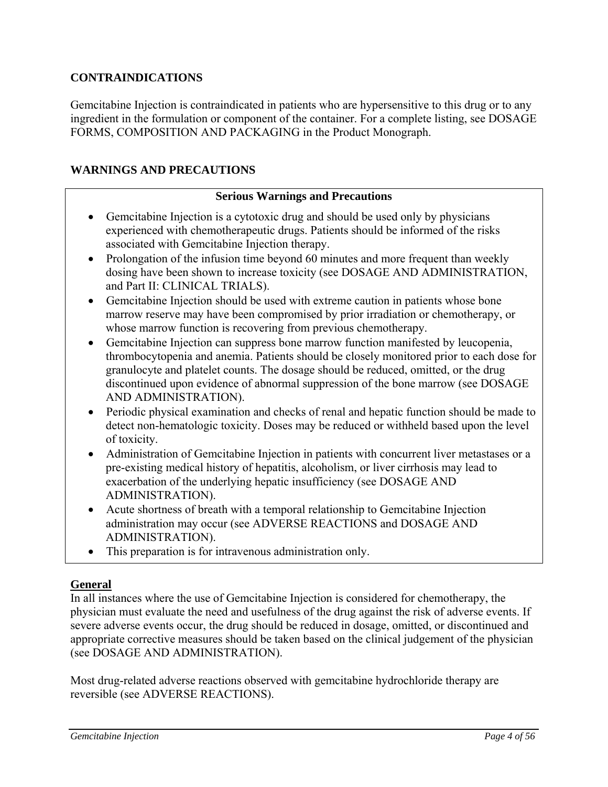# **CONTRAINDICATIONS**

Gemcitabine Injection is contraindicated in patients who are hypersensitive to this drug or to any ingredient in the formulation or component of the container. For a complete listing, see DOSAGE FORMS, COMPOSITION AND PACKAGING in the Product Monograph.

# **WARNINGS AND PRECAUTIONS**

## **Serious Warnings and Precautions**

- Gemcitabine Injection is a cytotoxic drug and should be used only by physicians experienced with chemotherapeutic drugs. Patients should be informed of the risks associated with Gemcitabine Injection therapy.
- Prolongation of the infusion time beyond 60 minutes and more frequent than weekly dosing have been shown to increase toxicity (see DOSAGE AND ADMINISTRATION, and Part II: CLINICAL TRIALS).
- Gemcitabine Injection should be used with extreme caution in patients whose bone marrow reserve may have been compromised by prior irradiation or chemotherapy, or whose marrow function is recovering from previous chemotherapy.
- Gemcitabine Injection can suppress bone marrow function manifested by leucopenia, thrombocytopenia and anemia. Patients should be closely monitored prior to each dose for granulocyte and platelet counts. The dosage should be reduced, omitted, or the drug discontinued upon evidence of abnormal suppression of the bone marrow (see DOSAGE AND ADMINISTRATION).
- Periodic physical examination and checks of renal and hepatic function should be made to detect non-hematologic toxicity. Doses may be reduced or withheld based upon the level of toxicity.
- Administration of Gemcitabine Injection in patients with concurrent liver metastases or a pre-existing medical history of hepatitis, alcoholism, or liver cirrhosis may lead to exacerbation of the underlying hepatic insufficiency (see DOSAGE AND ADMINISTRATION).
- Acute shortness of breath with a temporal relationship to Gemcitabine Injection administration may occur (see ADVERSE REACTIONS and DOSAGE AND ADMINISTRATION).
- This preparation is for intravenous administration only.

# **General**

In all instances where the use of Gemcitabine Injection is considered for chemotherapy, the physician must evaluate the need and usefulness of the drug against the risk of adverse events. If severe adverse events occur, the drug should be reduced in dosage, omitted, or discontinued and appropriate corrective measures should be taken based on the clinical judgement of the physician (see DOSAGE AND ADMINISTRATION).

Most drug-related adverse reactions observed with gemcitabine hydrochloride therapy are reversible (see ADVERSE REACTIONS).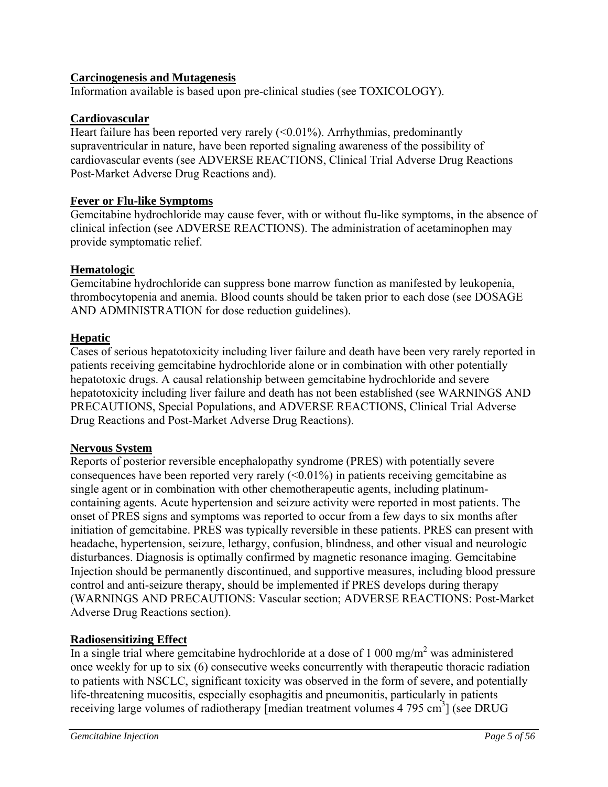# **Carcinogenesis and Mutagenesis**

Information available is based upon pre-clinical studies (see TOXICOLOGY).

### **Cardiovascular**

Heart failure has been reported very rarely  $(<0.01\%)$ . Arrhythmias, predominantly supraventricular in nature, have been reported signaling awareness of the possibility of cardiovascular events (see ADVERSE REACTIONS, Clinical Trial Adverse Drug Reactions Post-Market Adverse Drug Reactions and).

## **Fever or Flu-like Symptoms**

Gemcitabine hydrochloride may cause fever, with or without flu-like symptoms, in the absence of clinical infection (see ADVERSE REACTIONS). The administration of acetaminophen may provide symptomatic relief.

### **Hematologic**

Gemcitabine hydrochloride can suppress bone marrow function as manifested by leukopenia, thrombocytopenia and anemia. Blood counts should be taken prior to each dose (see DOSAGE AND ADMINISTRATION for dose reduction guidelines).

# **Hepatic**

Cases of serious hepatotoxicity including liver failure and death have been very rarely reported in patients receiving gemcitabine hydrochloride alone or in combination with other potentially hepatotoxic drugs. A causal relationship between gemcitabine hydrochloride and severe hepatotoxicity including liver failure and death has not been established (see WARNINGS AND PRECAUTIONS, Special Populations, and ADVERSE REACTIONS, Clinical Trial Adverse Drug Reactions and Post-Market Adverse Drug Reactions).

# **Nervous System**

Reports of posterior reversible encephalopathy syndrome (PRES) with potentially severe consequences have been reported very rarely  $(<0.01\%)$  in patients receiving gemcitabine as single agent or in combination with other chemotherapeutic agents, including platinumcontaining agents. Acute hypertension and seizure activity were reported in most patients. The onset of PRES signs and symptoms was reported to occur from a few days to six months after initiation of gemcitabine. PRES was typically reversible in these patients. PRES can present with headache, hypertension, seizure, lethargy, confusion, blindness, and other visual and neurologic disturbances. Diagnosis is optimally confirmed by magnetic resonance imaging. Gemcitabine Injection should be permanently discontinued, and supportive measures, including blood pressure control and anti-seizure therapy, should be implemented if PRES develops during therapy (WARNINGS AND PRECAUTIONS: Vascular section; ADVERSE REACTIONS: Post-Market Adverse Drug Reactions section).

# **Radiosensitizing Effect**

In a single trial where gemcitabine hydrochloride at a dose of 1 000 mg/m<sup>2</sup> was administered once weekly for up to six (6) consecutive weeks concurrently with therapeutic thoracic radiation to patients with NSCLC, significant toxicity was observed in the form of severe, and potentially life-threatening mucositis, especially esophagitis and pneumonitis, particularly in patients receiving large volumes of radiotherapy [median treatment volumes  $4795 \text{ cm}^3$ ] (see DRUG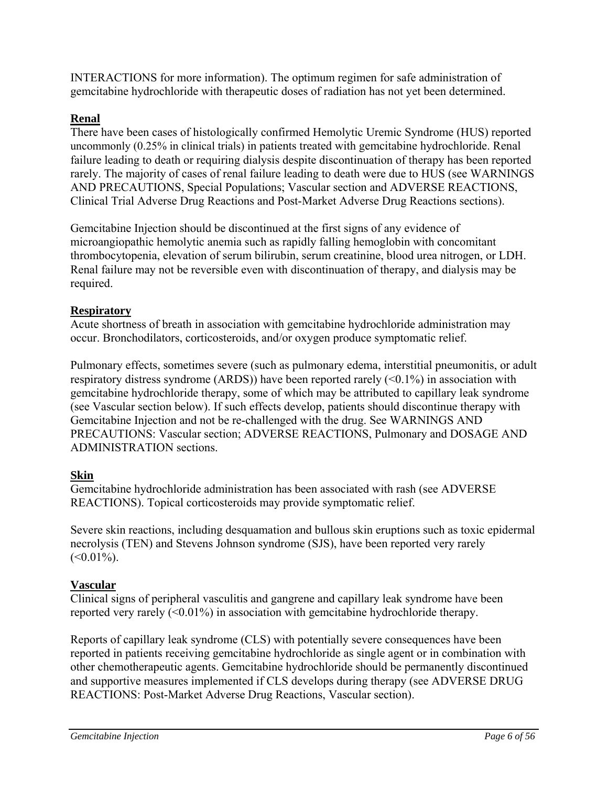INTERACTIONS for more information). The optimum regimen for safe administration of gemcitabine hydrochloride with therapeutic doses of radiation has not yet been determined.

# **Renal**

There have been cases of histologically confirmed Hemolytic Uremic Syndrome (HUS) reported uncommonly (0.25% in clinical trials) in patients treated with gemcitabine hydrochloride. Renal failure leading to death or requiring dialysis despite discontinuation of therapy has been reported rarely. The majority of cases of renal failure leading to death were due to HUS (see WARNINGS AND PRECAUTIONS, Special Populations; Vascular section and ADVERSE REACTIONS, Clinical Trial Adverse Drug Reactions and Post-Market Adverse Drug Reactions sections).

Gemcitabine Injection should be discontinued at the first signs of any evidence of microangiopathic hemolytic anemia such as rapidly falling hemoglobin with concomitant thrombocytopenia, elevation of serum bilirubin, serum creatinine, blood urea nitrogen, or LDH. Renal failure may not be reversible even with discontinuation of therapy, and dialysis may be required.

# **Respiratory**

Acute shortness of breath in association with gemcitabine hydrochloride administration may occur. Bronchodilators, corticosteroids, and/or oxygen produce symptomatic relief.

Pulmonary effects, sometimes severe (such as pulmonary edema, interstitial pneumonitis, or adult respiratory distress syndrome (ARDS)) have been reported rarely  $( $0.1\%$ )$  in association with gemcitabine hydrochloride therapy, some of which may be attributed to capillary leak syndrome (see Vascular section below). If such effects develop, patients should discontinue therapy with Gemcitabine Injection and not be re-challenged with the drug. See WARNINGS AND PRECAUTIONS: Vascular section; ADVERSE REACTIONS, Pulmonary and DOSAGE AND ADMINISTRATION sections.

# **Skin**

Gemcitabine hydrochloride administration has been associated with rash (see ADVERSE REACTIONS). Topical corticosteroids may provide symptomatic relief.

Severe skin reactions, including desquamation and bullous skin eruptions such as toxic epidermal necrolysis (TEN) and Stevens Johnson syndrome (SJS), have been reported very rarely  $(<0.01\%$ ).

# **Vascular**

Clinical signs of peripheral vasculitis and gangrene and capillary leak syndrome have been reported very rarely  $\langle 0.01\% \rangle$  in association with gemcitabine hydrochloride therapy.

Reports of capillary leak syndrome (CLS) with potentially severe consequences have been reported in patients receiving gemcitabine hydrochloride as single agent or in combination with other chemotherapeutic agents. Gemcitabine hydrochloride should be permanently discontinued and supportive measures implemented if CLS develops during therapy (see ADVERSE DRUG REACTIONS: Post-Market Adverse Drug Reactions, Vascular section).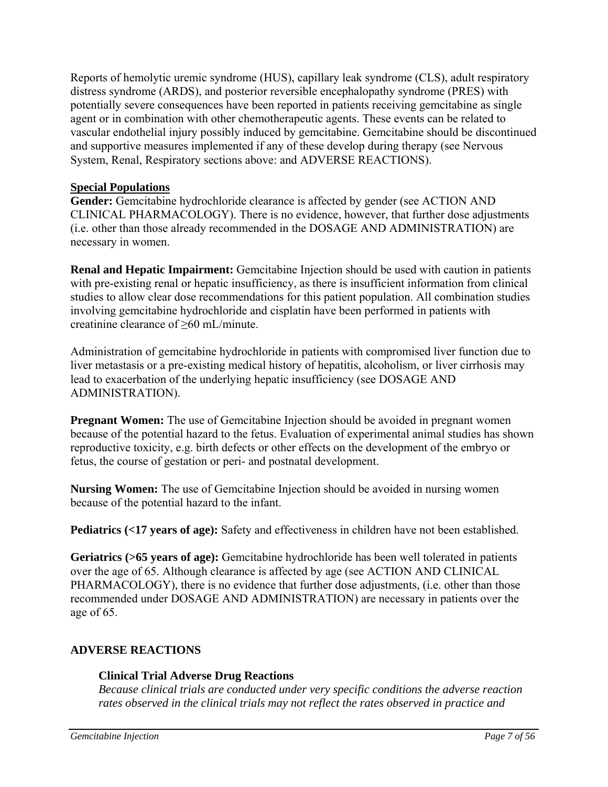Reports of hemolytic uremic syndrome (HUS), capillary leak syndrome (CLS), adult respiratory distress syndrome (ARDS), and posterior reversible encephalopathy syndrome (PRES) with potentially severe consequences have been reported in patients receiving gemcitabine as single agent or in combination with other chemotherapeutic agents. These events can be related to vascular endothelial injury possibly induced by gemcitabine. Gemcitabine should be discontinued and supportive measures implemented if any of these develop during therapy (see Nervous System, Renal, Respiratory sections above: and ADVERSE REACTIONS).

# **Special Populations**

**Gender:** Gemcitabine hydrochloride clearance is affected by gender (see ACTION AND CLINICAL PHARMACOLOGY). There is no evidence, however, that further dose adjustments (i.e. other than those already recommended in the DOSAGE AND ADMINISTRATION) are necessary in women.

**Renal and Hepatic Impairment:** Gemcitabine Injection should be used with caution in patients with pre-existing renal or hepatic insufficiency, as there is insufficient information from clinical studies to allow clear dose recommendations for this patient population. All combination studies involving gemcitabine hydrochloride and cisplatin have been performed in patients with creatinine clearance of ≥60 mL/minute.

Administration of gemcitabine hydrochloride in patients with compromised liver function due to liver metastasis or a pre-existing medical history of hepatitis, alcoholism, or liver cirrhosis may lead to exacerbation of the underlying hepatic insufficiency (see DOSAGE AND ADMINISTRATION).

**Pregnant Women:** The use of Gemcitabine Injection should be avoided in pregnant women because of the potential hazard to the fetus. Evaluation of experimental animal studies has shown reproductive toxicity, e.g. birth defects or other effects on the development of the embryo or fetus, the course of gestation or peri- and postnatal development.

**Nursing Women:** The use of Gemcitabine Injection should be avoided in nursing women because of the potential hazard to the infant.

**Pediatrics (<17 years of age):** Safety and effectiveness in children have not been established.

Geriatrics (>65 years of age): Gemcitabine hydrochloride has been well tolerated in patients over the age of 65. Although clearance is affected by age (see ACTION AND CLINICAL PHARMACOLOGY), there is no evidence that further dose adjustments, (i.e. other than those recommended under DOSAGE AND ADMINISTRATION) are necessary in patients over the age of 65.

# **ADVERSE REACTIONS**

# **Clinical Trial Adverse Drug Reactions**

*Because clinical trials are conducted under very specific conditions the adverse reaction rates observed in the clinical trials may not reflect the rates observed in practice and*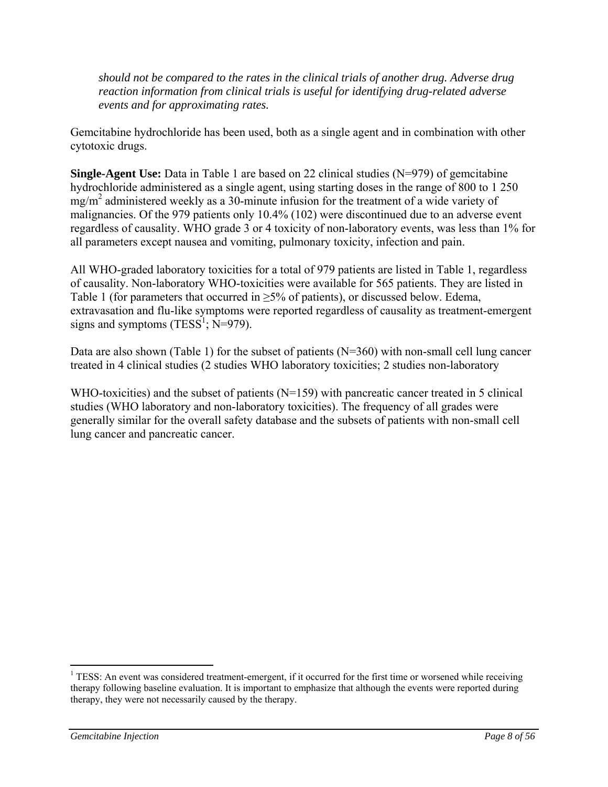*should not be compared to the rates in the clinical trials of another drug. Adverse drug reaction information from clinical trials is useful for identifying drug-related adverse events and for approximating rates.* 

Gemcitabine hydrochloride has been used, both as a single agent and in combination with other cytotoxic drugs.

**Single-Agent Use:** Data in Table 1 are based on 22 clinical studies (N=979) of gemcitabine hydrochloride administered as a single agent, using starting doses in the range of 800 to 1 250 mg/m2 administered weekly as a 30-minute infusion for the treatment of a wide variety of malignancies. Of the 979 patients only 10.4% (102) were discontinued due to an adverse event regardless of causality. WHO grade 3 or 4 toxicity of non-laboratory events, was less than 1% for all parameters except nausea and vomiting, pulmonary toxicity, infection and pain.

All WHO-graded laboratory toxicities for a total of 979 patients are listed in Table 1, regardless of causality. Non-laboratory WHO-toxicities were available for 565 patients. They are listed in Table 1 (for parameters that occurred in  $\geq$ 5% of patients), or discussed below. Edema, extravasation and flu-like symptoms were reported regardless of causality as treatment-emergent signs and symptoms (TESS<sup>1</sup>; N=979).

Data are also shown (Table 1) for the subset of patients (N=360) with non-small cell lung cancer treated in 4 clinical studies (2 studies WHO laboratory toxicities; 2 studies non-laboratory

WHO-toxicities) and the subset of patients (N=159) with pancreatic cancer treated in 5 clinical studies (WHO laboratory and non-laboratory toxicities). The frequency of all grades were generally similar for the overall safety database and the subsets of patients with non-small cell lung cancer and pancreatic cancer.

 $\overline{a}$ 

<sup>&</sup>lt;sup>1</sup> TESS: An event was considered treatment-emergent, if it occurred for the first time or worsened while receiving therapy following baseline evaluation. It is important to emphasize that although the events were reported during therapy, they were not necessarily caused by the therapy.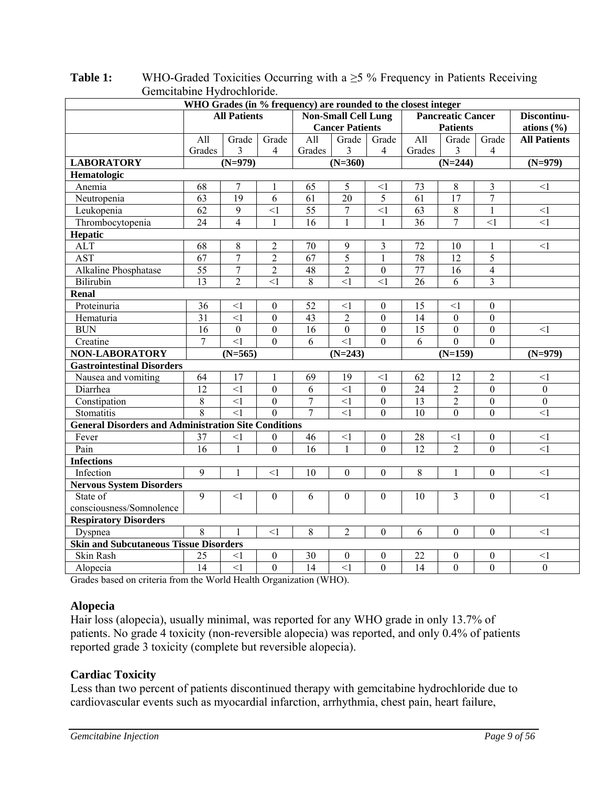| Gementablie rivulochioritue.<br>WHO Grades (in % frequency) are rounded to the closest integer |                     |                   |                  |                 |                            |                  |                 |                          |                  |                     |
|------------------------------------------------------------------------------------------------|---------------------|-------------------|------------------|-----------------|----------------------------|------------------|-----------------|--------------------------|------------------|---------------------|
|                                                                                                |                     |                   |                  |                 |                            |                  |                 |                          |                  |                     |
|                                                                                                | <b>All Patients</b> |                   |                  |                 | <b>Non-Small Cell Lung</b> |                  |                 | <b>Pancreatic Cancer</b> |                  | Discontinu-         |
|                                                                                                |                     |                   |                  |                 | <b>Cancer Patients</b>     |                  |                 | <b>Patients</b>          |                  | ations $(\% )$      |
|                                                                                                | All                 | Grade             | Grade            | All             | Grade                      | Grade            | All             | Grade                    | Grade            | <b>All Patients</b> |
|                                                                                                | Grades              | 3                 | $\overline{4}$   | Grades          | 3                          | 4                | Grades          | 3                        | $\overline{4}$   |                     |
| <b>LABORATORY</b>                                                                              |                     | $(N=979)$         |                  |                 | $(N=360)$                  |                  |                 | $(N=244)$                |                  | $(N=979)$           |
| Hematologic                                                                                    |                     |                   |                  |                 |                            |                  |                 |                          |                  |                     |
| Anemia                                                                                         | 68                  | $\overline{7}$    | 1                | 65              | 5                          | $\leq$ 1         | 73              | 8                        | 3                | <1                  |
| Neutropenia                                                                                    | 63                  | $\overline{19}$   | 6                | 61              | $\overline{20}$            | 5                | $\overline{61}$ | $\overline{17}$          | $\overline{7}$   |                     |
| Leukopenia                                                                                     | 62                  | $\mathbf{9}$      | $\leq$ 1         | 55              | $\boldsymbol{7}$           | $\leq$ 1         | 63              | $8\,$                    | $\mathbf{1}$     | <1                  |
| Thrombocytopenia                                                                               | 24                  | $\overline{4}$    | $\mathbf{1}$     | 16              | $\mathbf{1}$               | 1                | $\overline{36}$ | $\overline{7}$           | <1               | $\leq$ 1            |
| Hepatic                                                                                        |                     |                   |                  |                 |                            |                  |                 |                          |                  |                     |
| <b>ALT</b>                                                                                     | 68                  | $\,$ 8 $\,$       | $\overline{2}$   | 70              | 9                          | 3                | 72              | 10                       | 1                | <1                  |
| <b>AST</b>                                                                                     | 67                  | $\overline{7}$    | $\overline{2}$   | $\overline{67}$ | 5                          | $\mathbf{1}$     | 78              | $\overline{12}$          | $\overline{5}$   |                     |
| Alkaline Phosphatase                                                                           | $\overline{55}$     | $\overline{7}$    | $\overline{2}$   | 48              | $\overline{2}$             | $\boldsymbol{0}$ | $\overline{77}$ | $\overline{16}$          | $\overline{4}$   |                     |
| Bilirubin                                                                                      | 13                  | $\overline{2}$    | $\leq$ 1         | 8               | $\leq$ 1                   | $\leq$ 1         | 26              | 6                        | 3                |                     |
| Renal                                                                                          |                     |                   |                  |                 |                            |                  |                 |                          |                  |                     |
| Proteinuria                                                                                    | 36                  | <1                | $\theta$         | 52              | $<$ 1                      | $\theta$         | 15              | $<$ 1                    | $\theta$         |                     |
| Hematuria                                                                                      | 31                  | $\leq$ 1          | $\boldsymbol{0}$ | 43              | $\overline{2}$             | $\boldsymbol{0}$ | 14              | $\mathbf{0}$             | $\boldsymbol{0}$ |                     |
| <b>BUN</b>                                                                                     | 16                  | $\overline{0}$    | $\mathbf{0}$     | $\overline{16}$ | $\overline{0}$             | $\mathbf{0}$     | $\overline{15}$ | $\overline{0}$           | $\overline{0}$   | <1                  |
| Creatine                                                                                       | $\overline{7}$      | $\overline{\leq}$ | $\theta$         | 6               | $\leq$ 1                   | $\theta$         | 6               | $\Omega$                 | $\Omega$         |                     |
| NON-LABORATORY                                                                                 |                     | $(N=565)$         |                  |                 | $(N=243)$                  |                  |                 | $(N=159)$                |                  | $(N=979)$           |
| <b>Gastrointestinal Disorders</b>                                                              |                     |                   |                  |                 |                            |                  |                 |                          |                  |                     |
| Nausea and vomiting                                                                            | 64                  | 17                | $\mathbf{1}$     | 69              | 19                         | $<$ 1            | 62              | 12                       | $\mathbf{2}$     | $\leq$ 1            |
| Diarrhea                                                                                       | 12                  | $\leq$ 1          | $\theta$         | 6               | $\leq$ 1                   | $\mathbf{0}$     | 24              | $\overline{2}$           | $\theta$         | $\mathbf{0}$        |
| Constipation                                                                                   | 8                   | $\leq$ 1          | $\overline{0}$   | 7               | $\leq$ 1                   | $\mathbf{0}$     | 13              | $\overline{2}$           | $\boldsymbol{0}$ | $\boldsymbol{0}$    |
| Stomatitis                                                                                     | $\overline{8}$      | $\overline{1}$    | $\theta$         | $\overline{7}$  | $\overline{1}$             | $\overline{0}$   | 10              | $\theta$                 | $\overline{0}$   | $\leq$ 1            |
| <b>General Disorders and Administration Site Conditions</b>                                    |                     |                   |                  |                 |                            |                  |                 |                          |                  |                     |
| Fever                                                                                          | 37                  | $\leq$ 1          | $\overline{0}$   | 46              | $\leq$ 1                   | $\boldsymbol{0}$ | 28              | $\leq$ 1                 | $\boldsymbol{0}$ | $\leq$ 1            |
| Pain                                                                                           | 16                  | $\mathbf{1}$      | $\boldsymbol{0}$ | 16              | $\mathbf{1}$               | $\boldsymbol{0}$ | 12              | $\overline{2}$           | $\theta$         | $<$ l               |
| <b>Infections</b>                                                                              |                     |                   |                  |                 |                            |                  |                 |                          |                  |                     |
| Infection                                                                                      | 9                   | $\mathbf{1}$      | $<$ 1            | 10              | $\theta$                   | $\mathbf{0}$     | 8               | 1                        | $\mathbf{0}$     | $\leq$ 1            |
| <b>Nervous System Disorders</b>                                                                |                     |                   |                  |                 |                            |                  |                 |                          |                  |                     |
| State of                                                                                       | 9                   | <1                | $\mathbf{0}$     | 6               | $\theta$                   | $\mathbf{0}$     | 10              | 3                        | $\Omega$         | <1                  |
| consciousness/Somnolence                                                                       |                     |                   |                  |                 |                            |                  |                 |                          |                  |                     |
| <b>Respiratory Disorders</b>                                                                   |                     |                   |                  |                 |                            |                  |                 |                          |                  |                     |
| Dyspnea                                                                                        | 8                   |                   | $\leq$ 1         | 8               | $\overline{2}$             | $\mathbf{0}$     | 6               | $\mathbf{0}$             | $\theta$         | $\leq$ 1            |
| <b>Skin and Subcutaneous Tissue Disorders</b>                                                  |                     |                   |                  |                 |                            |                  |                 |                          |                  |                     |
| Skin Rash                                                                                      | 25                  | $<$ 1             | $\mathbf{0}$     | 30              | $\overline{0}$             | $\boldsymbol{0}$ | 22              | $\theta$                 | $\boldsymbol{0}$ | <1                  |
| Alopecia                                                                                       | 14                  | $\leq$ 1          | $\mathbf{0}$     | 14              | $\leq$ 1                   | $\mathbf{0}$     | 14              | $\overline{0}$           | $\overline{0}$   | $\mathbf{0}$        |

**Table 1:** WHO-Graded Toxicities Occurring with a ≥5 % Frequency in Patients Receiving Gemcitabine Hydrochloride.

Grades based on criteria from the World Health Organization (WHO).

# **Alopecia**

Hair loss (alopecia), usually minimal, was reported for any WHO grade in only 13.7% of patients. No grade 4 toxicity (non-reversible alopecia) was reported, and only 0.4% of patients reported grade 3 toxicity (complete but reversible alopecia).

# **Cardiac Toxicity**

Less than two percent of patients discontinued therapy with gemcitabine hydrochloride due to cardiovascular events such as myocardial infarction, arrhythmia, chest pain, heart failure,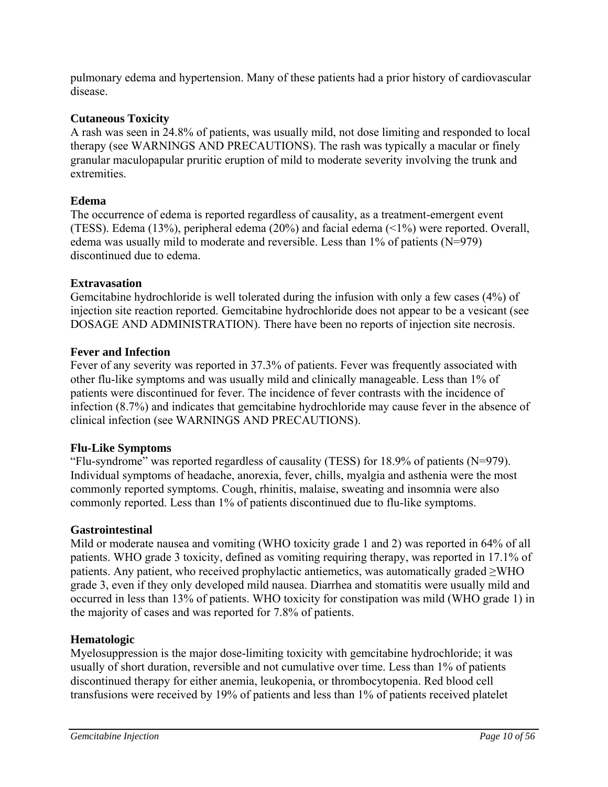pulmonary edema and hypertension. Many of these patients had a prior history of cardiovascular disease.

# **Cutaneous Toxicity**

A rash was seen in 24.8% of patients, was usually mild, not dose limiting and responded to local therapy (see WARNINGS AND PRECAUTIONS). The rash was typically a macular or finely granular maculopapular pruritic eruption of mild to moderate severity involving the trunk and extremities.

# **Edema**

The occurrence of edema is reported regardless of causality, as a treatment-emergent event (TESS). Edema (13%), peripheral edema (20%) and facial edema (<1%) were reported. Overall, edema was usually mild to moderate and reversible. Less than 1% of patients (N=979) discontinued due to edema.

# **Extravasation**

Gemcitabine hydrochloride is well tolerated during the infusion with only a few cases (4%) of injection site reaction reported. Gemcitabine hydrochloride does not appear to be a vesicant (see DOSAGE AND ADMINISTRATION). There have been no reports of injection site necrosis.

# **Fever and Infection**

Fever of any severity was reported in 37.3% of patients. Fever was frequently associated with other flu-like symptoms and was usually mild and clinically manageable. Less than 1% of patients were discontinued for fever. The incidence of fever contrasts with the incidence of infection (8.7%) and indicates that gemcitabine hydrochloride may cause fever in the absence of clinical infection (see WARNINGS AND PRECAUTIONS).

# **Flu-Like Symptoms**

"Flu-syndrome" was reported regardless of causality (TESS) for 18.9% of patients (N=979). Individual symptoms of headache, anorexia, fever, chills, myalgia and asthenia were the most commonly reported symptoms. Cough, rhinitis, malaise, sweating and insomnia were also commonly reported. Less than 1% of patients discontinued due to flu-like symptoms.

# **Gastrointestinal**

Mild or moderate nausea and vomiting (WHO toxicity grade 1 and 2) was reported in 64% of all patients. WHO grade 3 toxicity, defined as vomiting requiring therapy, was reported in 17.1% of patients. Any patient, who received prophylactic antiemetics, was automatically graded ≥WHO grade 3, even if they only developed mild nausea. Diarrhea and stomatitis were usually mild and occurred in less than 13% of patients. WHO toxicity for constipation was mild (WHO grade 1) in the majority of cases and was reported for 7.8% of patients.

# **Hematologic**

Myelosuppression is the major dose-limiting toxicity with gemcitabine hydrochloride; it was usually of short duration, reversible and not cumulative over time. Less than 1% of patients discontinued therapy for either anemia, leukopenia, or thrombocytopenia. Red blood cell transfusions were received by 19% of patients and less than 1% of patients received platelet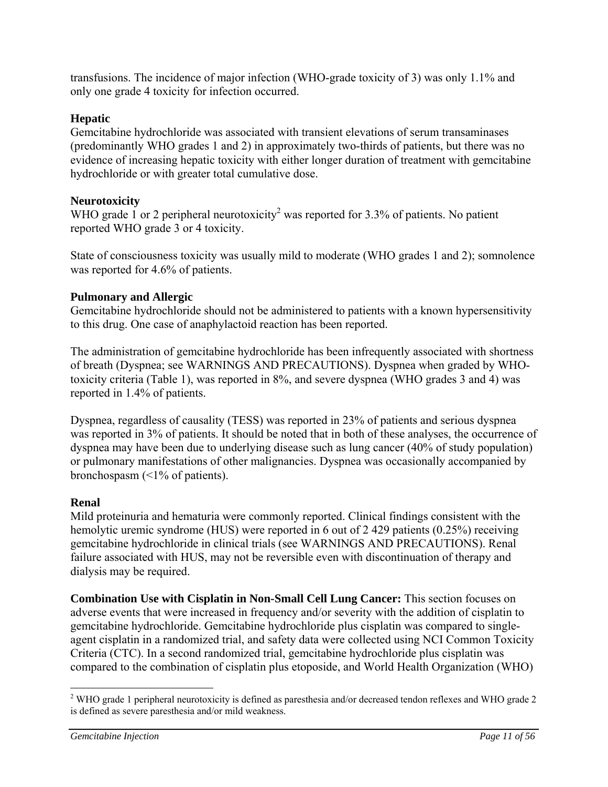transfusions. The incidence of major infection (WHO-grade toxicity of 3) was only 1.1% and only one grade 4 toxicity for infection occurred.

# **Hepatic**

Gemcitabine hydrochloride was associated with transient elevations of serum transaminases (predominantly WHO grades 1 and 2) in approximately two-thirds of patients, but there was no evidence of increasing hepatic toxicity with either longer duration of treatment with gemcitabine hydrochloride or with greater total cumulative dose.

# **Neurotoxicity**

WHO grade 1 or 2 peripheral neurotoxicity<sup>2</sup> was reported for 3.3% of patients. No patient reported WHO grade 3 or 4 toxicity.

State of consciousness toxicity was usually mild to moderate (WHO grades 1 and 2); somnolence was reported for 4.6% of patients.

# **Pulmonary and Allergic**

Gemcitabine hydrochloride should not be administered to patients with a known hypersensitivity to this drug. One case of anaphylactoid reaction has been reported.

The administration of gemcitabine hydrochloride has been infrequently associated with shortness of breath (Dyspnea; see WARNINGS AND PRECAUTIONS). Dyspnea when graded by WHOtoxicity criteria (Table 1), was reported in 8%, and severe dyspnea (WHO grades 3 and 4) was reported in 1.4% of patients.

Dyspnea, regardless of causality (TESS) was reported in 23% of patients and serious dyspnea was reported in 3% of patients. It should be noted that in both of these analyses, the occurrence of dyspnea may have been due to underlying disease such as lung cancer (40% of study population) or pulmonary manifestations of other malignancies. Dyspnea was occasionally accompanied by bronchospasm (<1% of patients).

# **Renal**

Mild proteinuria and hematuria were commonly reported. Clinical findings consistent with the hemolytic uremic syndrome (HUS) were reported in 6 out of 2 429 patients (0.25%) receiving gemcitabine hydrochloride in clinical trials (see WARNINGS AND PRECAUTIONS). Renal failure associated with HUS, may not be reversible even with discontinuation of therapy and dialysis may be required.

**Combination Use with Cisplatin in Non-Small Cell Lung Cancer:** This section focuses on adverse events that were increased in frequency and/or severity with the addition of cisplatin to gemcitabine hydrochloride. Gemcitabine hydrochloride plus cisplatin was compared to singleagent cisplatin in a randomized trial, and safety data were collected using NCI Common Toxicity Criteria (CTC). In a second randomized trial, gemcitabine hydrochloride plus cisplatin was compared to the combination of cisplatin plus etoposide, and World Health Organization (WHO)

 $\overline{a}$  $2$  WHO grade 1 peripheral neurotoxicity is defined as paresthesia and/or decreased tendon reflexes and WHO grade 2 is defined as severe paresthesia and/or mild weakness.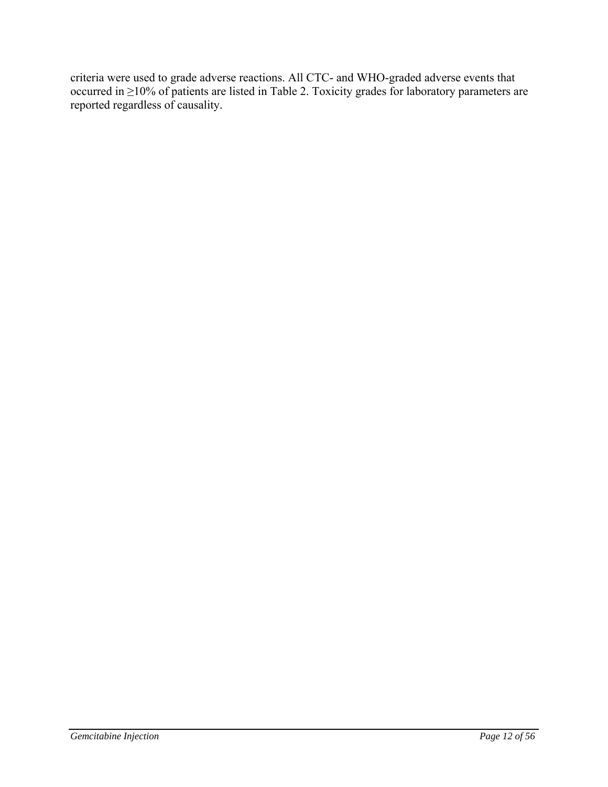criteria were used to grade adverse reactions. All CTC- and WHO-graded adverse events that occurred in ≥10% of patients are listed in Table 2. Toxicity grades for laboratory parameters are reported regardless of causality.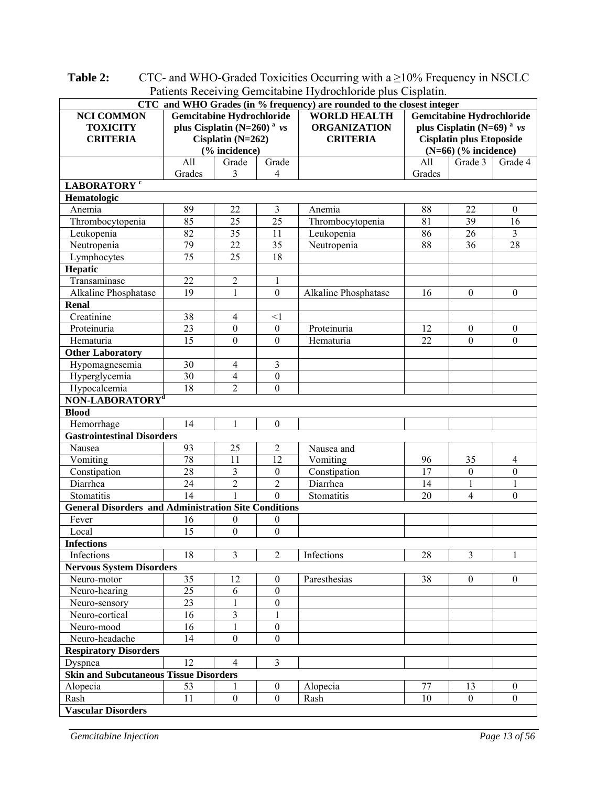|                                                             | r attents inecerving demonatine rivariormonae plus Cispianii.<br>CTC and WHO Grades (in % frequency) are rounded to the closest integer |                         |                                                         |                                            |               |                                                           |                     |  |
|-------------------------------------------------------------|-----------------------------------------------------------------------------------------------------------------------------------------|-------------------------|---------------------------------------------------------|--------------------------------------------|---------------|-----------------------------------------------------------|---------------------|--|
| <b>Gemcitabine Hydrochloride</b>                            |                                                                                                                                         |                         | <b>WORLD HEALTH</b><br><b>Gemcitabine Hydrochloride</b> |                                            |               |                                                           |                     |  |
| <b>NCI COMMON</b>                                           | plus Cisplatin ( $N=260$ ) <sup>a</sup> vs                                                                                              |                         |                                                         |                                            |               |                                                           |                     |  |
| <b>TOXICITY</b>                                             | Cisplatin $(N=262)$                                                                                                                     |                         | <b>ORGANIZATION</b>                                     | plus Cisplatin (N=69) <sup>a</sup> $\nu s$ |               |                                                           |                     |  |
| <b>CRITERIA</b>                                             |                                                                                                                                         |                         |                                                         | <b>CRITERIA</b>                            |               | <b>Cisplatin plus Etoposide</b><br>$(N=66)$ (% incidence) |                     |  |
|                                                             |                                                                                                                                         | (% incidence)           |                                                         |                                            |               |                                                           |                     |  |
|                                                             | All<br>Grades                                                                                                                           | Grade<br>3              | Grade<br>4                                              |                                            | All<br>Grades | Grade 3                                                   | Grade 4             |  |
| LABORATORY <sup>c</sup>                                     |                                                                                                                                         |                         |                                                         |                                            |               |                                                           |                     |  |
| Hematologic                                                 |                                                                                                                                         |                         |                                                         |                                            |               |                                                           |                     |  |
| Anemia                                                      | 89                                                                                                                                      | 22                      | $\overline{3}$                                          | Anemia                                     | 88            | 22                                                        | $\theta$            |  |
| Thrombocytopenia                                            | 85                                                                                                                                      | $\overline{25}$         | 25                                                      | Thrombocytopenia                           | 81            | 39                                                        | 16                  |  |
| Leukopenia                                                  | 82                                                                                                                                      | $\overline{35}$         | 11                                                      | Leukopenia                                 | 86            | 26                                                        | $\overline{3}$      |  |
| Neutropenia                                                 | 79                                                                                                                                      | $\overline{22}$         | 35                                                      | Neutropenia                                | 88            | 36                                                        | 28                  |  |
| Lymphocytes                                                 | 75                                                                                                                                      | 25                      | 18                                                      |                                            |               |                                                           |                     |  |
| Hepatic                                                     |                                                                                                                                         |                         |                                                         |                                            |               |                                                           |                     |  |
| Transaminase                                                | 22                                                                                                                                      | $\overline{2}$          | $\mathbf{1}$                                            |                                            |               |                                                           |                     |  |
| Alkaline Phosphatase                                        | 19                                                                                                                                      | $\mathbf{1}$            | $\overline{0}$                                          | Alkaline Phosphatase                       | 16            | $\boldsymbol{0}$                                          | $\mathbf{0}$        |  |
| <b>Renal</b>                                                |                                                                                                                                         |                         |                                                         |                                            |               |                                                           |                     |  |
| Creatinine                                                  | 38                                                                                                                                      | $\overline{4}$          | $\leq$ 1                                                |                                            |               |                                                           |                     |  |
| Proteinuria                                                 | 23                                                                                                                                      | $\theta$                | $\boldsymbol{0}$                                        | Proteinuria                                | 12            | $\boldsymbol{0}$                                          | $\boldsymbol{0}$    |  |
|                                                             | 15                                                                                                                                      | $\overline{0}$          | $\theta$                                                |                                            | 22            | $\theta$                                                  | $\mathbf{0}$        |  |
| Hematuria                                                   |                                                                                                                                         |                         |                                                         | Hematuria                                  |               |                                                           |                     |  |
| <b>Other Laboratory</b>                                     | 30                                                                                                                                      | 4                       | 3                                                       |                                            |               |                                                           |                     |  |
| Hypomagnesemia                                              | 30                                                                                                                                      | 4                       |                                                         |                                            |               |                                                           |                     |  |
| Hyperglycemia                                               | 18                                                                                                                                      | $\overline{2}$          | 0<br>$\overline{0}$                                     |                                            |               |                                                           |                     |  |
| Hypocalcemia<br>NON-LABORATORY <sup>d</sup>                 |                                                                                                                                         |                         |                                                         |                                            |               |                                                           |                     |  |
|                                                             |                                                                                                                                         |                         |                                                         |                                            |               |                                                           |                     |  |
| <b>Blood</b>                                                | 14                                                                                                                                      |                         |                                                         |                                            |               |                                                           |                     |  |
| Hemorrhage                                                  |                                                                                                                                         | $\mathbf{1}$            | $\boldsymbol{0}$                                        |                                            |               |                                                           |                     |  |
| <b>Gastrointestinal Disorders</b>                           |                                                                                                                                         |                         |                                                         |                                            |               |                                                           |                     |  |
| Nausea                                                      | 93<br>78                                                                                                                                | 25<br>11                | $\overline{c}$<br>12                                    | Nausea and                                 |               |                                                           |                     |  |
| Vomiting                                                    | 28                                                                                                                                      | $\overline{3}$          |                                                         | Vomiting                                   | 96<br>17      | 35                                                        | 4<br>$\overline{0}$ |  |
| Constipation                                                |                                                                                                                                         |                         | $\boldsymbol{0}$                                        | Constipation                               |               | $\boldsymbol{0}$                                          |                     |  |
| Diarrhea                                                    | 24                                                                                                                                      | $\overline{c}$          | $\overline{c}$                                          | Diarrhea                                   | 14            | 1                                                         | 1                   |  |
| Stomatitis                                                  | 14                                                                                                                                      |                         | $\overline{0}$                                          | Stomatitis                                 | 20            | $\overline{4}$                                            | $\mathbf{0}$        |  |
| <b>General Disorders and Administration Site Conditions</b> |                                                                                                                                         |                         |                                                         |                                            |               |                                                           |                     |  |
| Fever                                                       | 16                                                                                                                                      | 0                       | 0                                                       |                                            |               |                                                           |                     |  |
| Local                                                       | 15                                                                                                                                      | $\boldsymbol{0}$        | $\mathbf{0}$                                            |                                            |               |                                                           |                     |  |
| <b>Infections</b>                                           |                                                                                                                                         |                         |                                                         |                                            |               |                                                           |                     |  |
| Infections                                                  | 18                                                                                                                                      | $\overline{3}$          | $\overline{2}$                                          | Infections                                 | 28            | 3                                                         | 1                   |  |
| <b>Nervous System Disorders</b>                             |                                                                                                                                         |                         |                                                         |                                            |               |                                                           |                     |  |
| Neuro-motor                                                 | 35                                                                                                                                      | 12                      | $\boldsymbol{0}$                                        | Paresthesias                               | 38            | $\theta$                                                  | $\theta$            |  |
| Neuro-hearing                                               | 25                                                                                                                                      | 6                       | $\boldsymbol{0}$                                        |                                            |               |                                                           |                     |  |
| Neuro-sensory                                               | 23                                                                                                                                      | 1                       | $\overline{0}$                                          |                                            |               |                                                           |                     |  |
| Neuro-cortical                                              | 16                                                                                                                                      | $\overline{\mathbf{3}}$ | $\mathbf{1}$                                            |                                            |               |                                                           |                     |  |
| Neuro-mood                                                  | 16                                                                                                                                      | $\mathbf{1}$            | $\boldsymbol{0}$                                        |                                            |               |                                                           |                     |  |
| Neuro-headache                                              | 14                                                                                                                                      | $\theta$                | $\overline{0}$                                          |                                            |               |                                                           |                     |  |
| <b>Respiratory Disorders</b>                                |                                                                                                                                         |                         |                                                         |                                            |               |                                                           |                     |  |
| Dyspnea                                                     | 12                                                                                                                                      | $\overline{4}$          | 3                                                       |                                            |               |                                                           |                     |  |
| <b>Skin and Subcutaneous Tissue Disorders</b>               |                                                                                                                                         |                         |                                                         |                                            |               |                                                           |                     |  |
| Alopecia                                                    | 53                                                                                                                                      | 1                       | $\boldsymbol{0}$                                        | Alopecia                                   | 77            | 13                                                        | $\boldsymbol{0}$    |  |
| Rash                                                        | 11                                                                                                                                      | $\mathbf{0}$            | $\overline{0}$                                          | Rash                                       | 10            | $\theta$                                                  | $\mathbf{0}$        |  |
| <b>Vascular Disorders</b>                                   |                                                                                                                                         |                         |                                                         |                                            |               |                                                           |                     |  |

**Table 2:** CTC- and WHO-Graded Toxicities Occurring with a ≥10% Frequency in NSCLC Patients Receiving Gemcitabine Hydrochloride plus Cisplatin.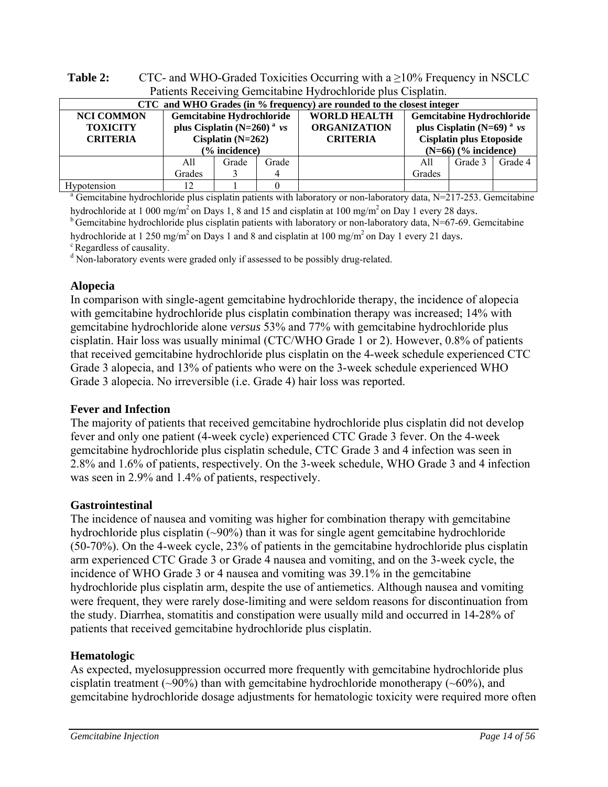| Patients Receiving Gemeitabine Hydrochloride plus Cisplatin. |                                                                                                                         |       |                                                               |  |                                                                                                                                             |         |         |  |  |
|--------------------------------------------------------------|-------------------------------------------------------------------------------------------------------------------------|-------|---------------------------------------------------------------|--|---------------------------------------------------------------------------------------------------------------------------------------------|---------|---------|--|--|
|                                                              | CTC and WHO Grades (in % frequency) are rounded to the closest integer                                                  |       |                                                               |  |                                                                                                                                             |         |         |  |  |
| <b>NCI COMMON</b><br><b>TOXICITY</b><br><b>CRITERIA</b>      | <b>Gemcitabine Hydrochloride</b><br>plus Cisplatin (N=260) <sup>a</sup> $\nu s$<br>Cisplatin $(N=262)$<br>(% incidence) |       | <b>WORLD HEALTH</b><br><b>ORGANIZATION</b><br><b>CRITERIA</b> |  | <b>Gemcitabine Hydrochloride</b><br>plus Cisplatin (N=69) <sup>a</sup> $\nu s$<br><b>Cisplatin plus Etoposide</b><br>$(N=66)$ (% incidence) |         |         |  |  |
|                                                              | All<br>Grades                                                                                                           | Grade | Grade                                                         |  | A11<br>Grades                                                                                                                               | Grade 3 | Grade 4 |  |  |
| <b>Hypotension</b>                                           |                                                                                                                         |       |                                                               |  |                                                                                                                                             |         |         |  |  |

**Table 2:** CTC- and WHO-Graded Toxicities Occurring with a ≥10% Frequency in NSCLC Patients Receiving Gemcitabine Hydrochloride plus Cisplatin.

Hypotension 12 1 0 0 and a Gemcitabine hydrochloride plus cisplatin patients with laboratory or non-laboratory data, N=217-253. Gemcitabine

hydrochloride at 1 000 mg/m<sup>2</sup> on Days 1, 8 and 15 and cisplatin at 100 mg/m<sup>2</sup> on Day 1 every 28 days.<br><sup>b</sup> Gemcitabine hydrochloride plus cisplatin patients with laboratory or non-laboratory data, N=67-69. Gemcitabine hydrochloride at 1 250 mg/m<sup>2</sup> on Days 1 and 8 and cisplatin at 100 mg/m<sup>2</sup> on Day 1 every 21 days. <sup>c</sup> Regardless of causality.

<sup>d</sup> Non-laboratory events were graded only if assessed to be possibly drug-related.

# **Alopecia**

In comparison with single-agent gemcitabine hydrochloride therapy, the incidence of alopecia with gemcitabine hydrochloride plus cisplatin combination therapy was increased; 14% with gemcitabine hydrochloride alone *versus* 53% and 77% with gemcitabine hydrochloride plus cisplatin. Hair loss was usually minimal (CTC/WHO Grade 1 or 2). However, 0.8% of patients that received gemcitabine hydrochloride plus cisplatin on the 4-week schedule experienced CTC Grade 3 alopecia, and 13% of patients who were on the 3-week schedule experienced WHO Grade 3 alopecia. No irreversible (i.e. Grade 4) hair loss was reported.

# **Fever and Infection**

The majority of patients that received gemcitabine hydrochloride plus cisplatin did not develop fever and only one patient (4-week cycle) experienced CTC Grade 3 fever. On the 4-week gemcitabine hydrochloride plus cisplatin schedule, CTC Grade 3 and 4 infection was seen in 2.8% and 1.6% of patients, respectively. On the 3-week schedule, WHO Grade 3 and 4 infection was seen in 2.9% and 1.4% of patients, respectively.

# **Gastrointestinal**

The incidence of nausea and vomiting was higher for combination therapy with gemcitabine hydrochloride plus cisplatin (~90%) than it was for single agent gemcitabine hydrochloride (50-70%). On the 4-week cycle, 23% of patients in the gemcitabine hydrochloride plus cisplatin arm experienced CTC Grade 3 or Grade 4 nausea and vomiting, and on the 3-week cycle, the incidence of WHO Grade 3 or 4 nausea and vomiting was 39.1% in the gemcitabine hydrochloride plus cisplatin arm, despite the use of antiemetics. Although nausea and vomiting were frequent, they were rarely dose-limiting and were seldom reasons for discontinuation from the study. Diarrhea, stomatitis and constipation were usually mild and occurred in 14-28% of patients that received gemcitabine hydrochloride plus cisplatin.

# **Hematologic**

As expected, myelosuppression occurred more frequently with gemcitabine hydrochloride plus cisplatin treatment ( $\sim$ 90%) than with gemcitabine hydrochloride monotherapy ( $\sim$ 60%), and gemcitabine hydrochloride dosage adjustments for hematologic toxicity were required more often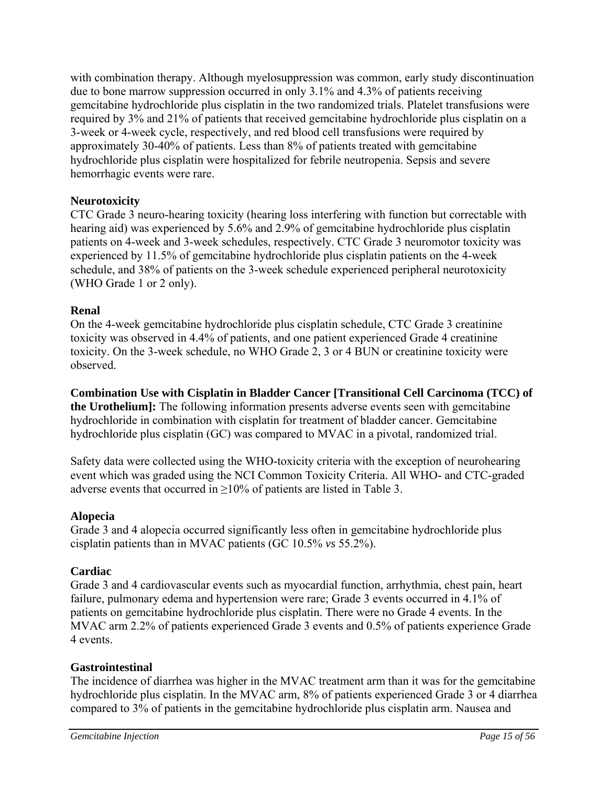with combination therapy. Although myelosuppression was common, early study discontinuation due to bone marrow suppression occurred in only 3.1% and 4.3% of patients receiving gemcitabine hydrochloride plus cisplatin in the two randomized trials. Platelet transfusions were required by 3% and 21% of patients that received gemcitabine hydrochloride plus cisplatin on a 3-week or 4-week cycle, respectively, and red blood cell transfusions were required by approximately 30-40% of patients. Less than 8% of patients treated with gemcitabine hydrochloride plus cisplatin were hospitalized for febrile neutropenia. Sepsis and severe hemorrhagic events were rare.

# **Neurotoxicity**

CTC Grade 3 neuro-hearing toxicity (hearing loss interfering with function but correctable with hearing aid) was experienced by 5.6% and 2.9% of gemcitabine hydrochloride plus cisplatin patients on 4-week and 3-week schedules, respectively. CTC Grade 3 neuromotor toxicity was experienced by 11.5% of gemcitabine hydrochloride plus cisplatin patients on the 4-week schedule, and 38% of patients on the 3-week schedule experienced peripheral neurotoxicity (WHO Grade 1 or 2 only).

# **Renal**

On the 4-week gemcitabine hydrochloride plus cisplatin schedule, CTC Grade 3 creatinine toxicity was observed in 4.4% of patients, and one patient experienced Grade 4 creatinine toxicity. On the 3-week schedule, no WHO Grade 2, 3 or 4 BUN or creatinine toxicity were observed.

**Combination Use with Cisplatin in Bladder Cancer [Transitional Cell Carcinoma (TCC) of the Urothelium]:** The following information presents adverse events seen with gemcitabine hydrochloride in combination with cisplatin for treatment of bladder cancer. Gemcitabine hydrochloride plus cisplatin (GC) was compared to MVAC in a pivotal, randomized trial.

Safety data were collected using the WHO-toxicity criteria with the exception of neurohearing event which was graded using the NCI Common Toxicity Criteria. All WHO- and CTC-graded adverse events that occurred in  $\geq$ 10% of patients are listed in Table 3.

# **Alopecia**

Grade 3 and 4 alopecia occurred significantly less often in gemcitabine hydrochloride plus cisplatin patients than in MVAC patients (GC 10.5% *vs* 55.2%).

# **Cardiac**

Grade 3 and 4 cardiovascular events such as myocardial function, arrhythmia, chest pain, heart failure, pulmonary edema and hypertension were rare; Grade 3 events occurred in 4.1% of patients on gemcitabine hydrochloride plus cisplatin. There were no Grade 4 events. In the MVAC arm 2.2% of patients experienced Grade 3 events and 0.5% of patients experience Grade 4 events.

# **Gastrointestinal**

The incidence of diarrhea was higher in the MVAC treatment arm than it was for the gemcitabine hydrochloride plus cisplatin. In the MVAC arm, 8% of patients experienced Grade 3 or 4 diarrhea compared to 3% of patients in the gemcitabine hydrochloride plus cisplatin arm. Nausea and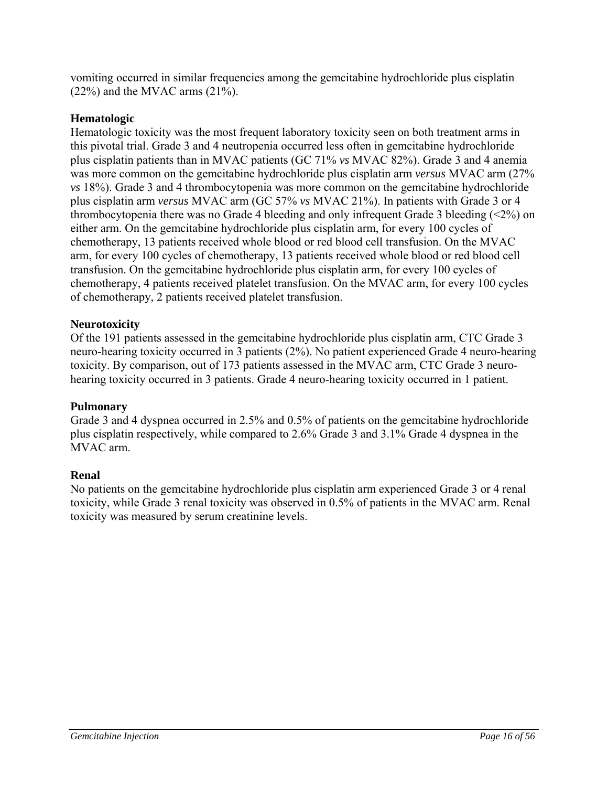vomiting occurred in similar frequencies among the gemcitabine hydrochloride plus cisplatin  $(22\%)$  and the MVAC arms  $(21\%)$ .

# **Hematologic**

Hematologic toxicity was the most frequent laboratory toxicity seen on both treatment arms in this pivotal trial. Grade 3 and 4 neutropenia occurred less often in gemcitabine hydrochloride plus cisplatin patients than in MVAC patients (GC 71% *vs* MVAC 82%). Grade 3 and 4 anemia was more common on the gemcitabine hydrochloride plus cisplatin arm *versus* MVAC arm (27% *vs* 18%). Grade 3 and 4 thrombocytopenia was more common on the gemcitabine hydrochloride plus cisplatin arm *versus* MVAC arm (GC 57% *vs* MVAC 21%). In patients with Grade 3 or 4 thrombocytopenia there was no Grade 4 bleeding and only infrequent Grade 3 bleeding  $\left( \langle 2\% \rangle \right)$  on either arm. On the gemcitabine hydrochloride plus cisplatin arm, for every 100 cycles of chemotherapy, 13 patients received whole blood or red blood cell transfusion. On the MVAC arm, for every 100 cycles of chemotherapy, 13 patients received whole blood or red blood cell transfusion. On the gemcitabine hydrochloride plus cisplatin arm, for every 100 cycles of chemotherapy, 4 patients received platelet transfusion. On the MVAC arm, for every 100 cycles of chemotherapy, 2 patients received platelet transfusion.

# **Neurotoxicity**

Of the 191 patients assessed in the gemcitabine hydrochloride plus cisplatin arm, CTC Grade 3 neuro-hearing toxicity occurred in 3 patients (2%). No patient experienced Grade 4 neuro-hearing toxicity. By comparison, out of 173 patients assessed in the MVAC arm, CTC Grade 3 neurohearing toxicity occurred in 3 patients. Grade 4 neuro-hearing toxicity occurred in 1 patient.

# **Pulmonary**

Grade 3 and 4 dyspnea occurred in 2.5% and 0.5% of patients on the gemcitabine hydrochloride plus cisplatin respectively, while compared to 2.6% Grade 3 and 3.1% Grade 4 dyspnea in the MVAC arm.

# **Renal**

No patients on the gemcitabine hydrochloride plus cisplatin arm experienced Grade 3 or 4 renal toxicity, while Grade 3 renal toxicity was observed in 0.5% of patients in the MVAC arm. Renal toxicity was measured by serum creatinine levels.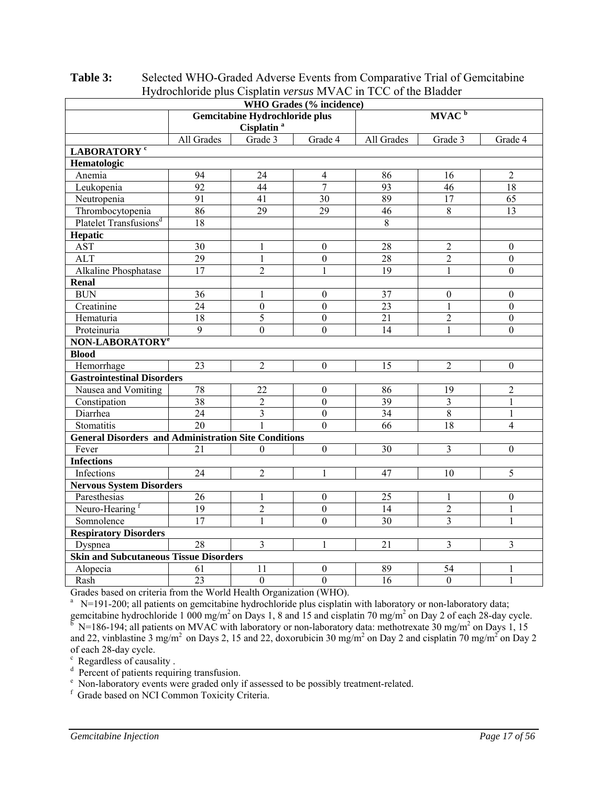| Tryurochionuc pius Cispianii versus in vAC in TCC of the Diaduct<br>WHO Grades (% incidence) |                 |                                                          |                  |                   |                         |                  |  |  |  |
|----------------------------------------------------------------------------------------------|-----------------|----------------------------------------------------------|------------------|-------------------|-------------------------|------------------|--|--|--|
|                                                                                              |                 | Gemcitabine Hydrochloride plus<br>Cisplatin <sup>a</sup> |                  | MVAC <sup>b</sup> |                         |                  |  |  |  |
|                                                                                              | All Grades      | Grade 3                                                  | Grade 4          | All Grades        | Grade 3                 | Grade 4          |  |  |  |
| LABORATORY <sup>c</sup>                                                                      |                 |                                                          |                  |                   |                         |                  |  |  |  |
| Hematologic                                                                                  |                 |                                                          |                  |                   |                         |                  |  |  |  |
| Anemia                                                                                       | 94              | 24                                                       | $\overline{4}$   | 86                | 16                      | $\overline{2}$   |  |  |  |
| Leukopenia                                                                                   | 92              | 44                                                       | $\overline{7}$   | 93                | 46                      | 18               |  |  |  |
| Neutropenia                                                                                  | $\overline{91}$ | 41                                                       | $\overline{30}$  | 89                | $\overline{17}$         | $\overline{65}$  |  |  |  |
| Thrombocytopenia                                                                             | $\overline{86}$ | $\overline{29}$                                          | $\overline{29}$  | $\overline{46}$   | $\overline{8}$          | $\overline{13}$  |  |  |  |
| Platelet Transfusions <sup>d</sup>                                                           | 18              |                                                          |                  | $\overline{8}$    |                         |                  |  |  |  |
| Hepatic                                                                                      |                 |                                                          |                  |                   |                         |                  |  |  |  |
| <b>AST</b>                                                                                   | 30              | 1                                                        | $\theta$         | 28                | $\overline{2}$          | $\mathbf{0}$     |  |  |  |
| <b>ALT</b>                                                                                   | $\overline{29}$ | $\mathbf{1}$                                             | $\overline{0}$   | 28                | $\overline{2}$          | $\boldsymbol{0}$ |  |  |  |
| Alkaline Phosphatase                                                                         | $\overline{17}$ | $\overline{2}$                                           | $\mathbf{1}$     | $\overline{19}$   | $\mathbf{1}$            | $\overline{0}$   |  |  |  |
| <b>Renal</b>                                                                                 |                 |                                                          |                  |                   |                         |                  |  |  |  |
| <b>BUN</b>                                                                                   | $\overline{36}$ | 1                                                        | $\boldsymbol{0}$ | $\overline{37}$   | $\boldsymbol{0}$        | $\boldsymbol{0}$ |  |  |  |
| Creatinine                                                                                   | 24              | $\boldsymbol{0}$                                         | $\theta$         | 23                | 1                       | $\theta$         |  |  |  |
| Hematuria                                                                                    | $\overline{18}$ | $\overline{5}$                                           | $\overline{0}$   | 21                | $\overline{2}$          | $\boldsymbol{0}$ |  |  |  |
| Proteinuria                                                                                  | $\overline{9}$  | $\overline{0}$                                           | $\overline{0}$   | 14                | $\mathbf{1}$            | $\mathbf{0}$     |  |  |  |
| NON-LABORATORY <sup>e</sup>                                                                  |                 |                                                          |                  |                   |                         |                  |  |  |  |
| <b>Blood</b>                                                                                 |                 |                                                          |                  |                   |                         |                  |  |  |  |
| Hemorrhage                                                                                   | 23              | $\overline{2}$                                           | $\mathbf{0}$     | 15                | $\overline{2}$          | $\mathbf{0}$     |  |  |  |
| <b>Gastrointestinal Disorders</b>                                                            |                 |                                                          |                  |                   |                         |                  |  |  |  |
| Nausea and Vomiting                                                                          | 78              | 22                                                       | $\boldsymbol{0}$ | 86                | 19                      | $\overline{2}$   |  |  |  |
| Constipation                                                                                 | $\overline{38}$ | $\overline{2}$                                           | $\overline{0}$   | $\overline{39}$   | $\overline{\mathbf{3}}$ | $\mathbf{1}$     |  |  |  |
| Diarrhea                                                                                     | $\overline{24}$ | 3                                                        | $\overline{0}$   | 34                | $\overline{8}$          | $\mathbf{1}$     |  |  |  |
| Stomatitis                                                                                   | 20              |                                                          | $\theta$         | 66                | 18                      | 4                |  |  |  |
| <b>General Disorders and Administration Site Conditions</b>                                  |                 |                                                          |                  |                   |                         |                  |  |  |  |
| Fever                                                                                        | 21              | $\theta$                                                 | $\boldsymbol{0}$ | 30                | 3                       | $\boldsymbol{0}$ |  |  |  |
| <b>Infections</b>                                                                            |                 |                                                          |                  |                   |                         |                  |  |  |  |
| Infections                                                                                   | $\overline{24}$ | $\overline{2}$                                           | 1                | 47                | 10                      | 5                |  |  |  |
| <b>Nervous System Disorders</b>                                                              |                 |                                                          |                  |                   |                         |                  |  |  |  |
| Paresthesias                                                                                 | 26              | 1                                                        | $\boldsymbol{0}$ | 25                | $\mathbf{1}$            | $\boldsymbol{0}$ |  |  |  |
| Neuro-Hearing f                                                                              | $\overline{19}$ | $\overline{2}$                                           | $\boldsymbol{0}$ | 14                | $\overline{2}$          | $\mathbf{1}$     |  |  |  |
| Somnolence                                                                                   | $\overline{17}$ | $\mathbf{1}$                                             | $\theta$         | 30                | 3                       | $\mathbf{1}$     |  |  |  |
| <b>Respiratory Disorders</b>                                                                 |                 |                                                          |                  |                   |                         |                  |  |  |  |
| Dyspnea                                                                                      | 28              | 3                                                        | $\mathbf{1}$     | 21                | 3                       | 3                |  |  |  |
| <b>Skin and Subcutaneous Tissue Disorders</b>                                                |                 |                                                          |                  |                   |                         |                  |  |  |  |
| Alopecia                                                                                     | 61              | 11                                                       | $\boldsymbol{0}$ | 89                | 54                      | 1                |  |  |  |
| Rash                                                                                         | $\overline{23}$ | $\overline{0}$                                           | $\overline{0}$   | 16                | $\mathbf{0}$            | $\mathbf{1}$     |  |  |  |

**Table 3:** Selected WHO-Graded Adverse Events from Comparative Trial of Gemcitabine Hydrochloride plus Cisplatin *versus* MVAC in TCC of the Bladder

Grades based on criteria from the World Health Organization (WHO).<br><sup>a</sup> N=191-200; all patients on gemcitabine hydrochloride plus cisplatin with laboratory or non-laboratory data; a N=191-200; all patients on gemcitabine hydrochloride plus cisplatin with laboratory or non-laboratory data; gemcitabine hydrochloride 1 000 mg/m<sup>2</sup> on Days 1, 8 and 15 and cisplatin 70 mg/m<sup>2</sup> on Day 2 of each 28-day cycle.  $\overline{b}$  N=186-194; all patients on MVAC with laboratory or non-laboratory data: methotrexate 30 mg/m<sup>2</sup> on Days 1, 15 and 22, vinblastine 3 mg/m<sup>2</sup> on Days 2, 15 and 22, doxorubicin 30 mg/m<sup>2</sup> on Day 2 and cisplatin 70 mg/m<sup>2</sup> on Day 2 of each 28-day cycle.

 $c$  Regardless of causality .

 $\frac{d}{dx}$  Percent of patients requiring transfusion.

<sup>e</sup> Non-laboratory events were graded only if assessed to be possibly treatment-related.

Grade based on NCI Common Toxicity Criteria.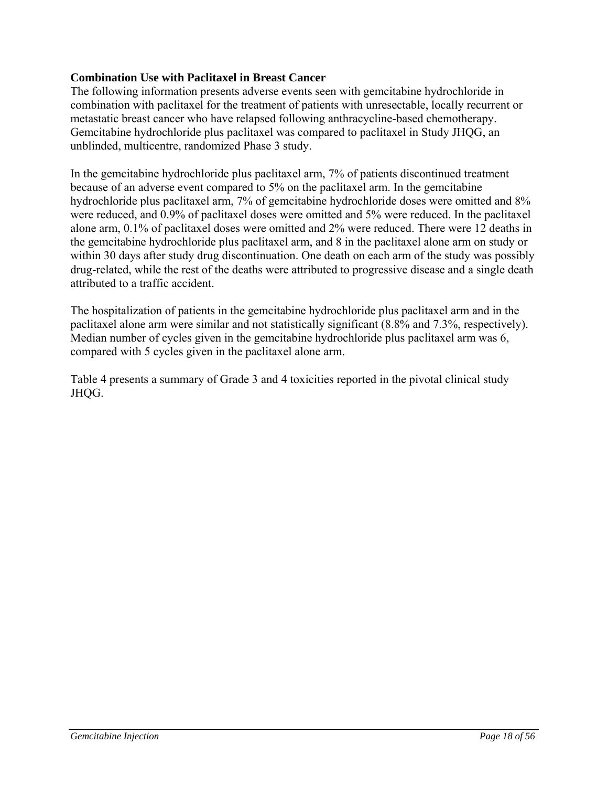# **Combination Use with Paclitaxel in Breast Cancer**

The following information presents adverse events seen with gemcitabine hydrochloride in combination with paclitaxel for the treatment of patients with unresectable, locally recurrent or metastatic breast cancer who have relapsed following anthracycline-based chemotherapy. Gemcitabine hydrochloride plus paclitaxel was compared to paclitaxel in Study JHQG, an unblinded, multicentre, randomized Phase 3 study.

In the gemcitabine hydrochloride plus paclitaxel arm, 7% of patients discontinued treatment because of an adverse event compared to 5% on the paclitaxel arm. In the gemcitabine hydrochloride plus paclitaxel arm, 7% of gemcitabine hydrochloride doses were omitted and 8% were reduced, and 0.9% of paclitaxel doses were omitted and 5% were reduced. In the paclitaxel alone arm, 0.1% of paclitaxel doses were omitted and 2% were reduced. There were 12 deaths in the gemcitabine hydrochloride plus paclitaxel arm, and 8 in the paclitaxel alone arm on study or within 30 days after study drug discontinuation. One death on each arm of the study was possibly drug-related, while the rest of the deaths were attributed to progressive disease and a single death attributed to a traffic accident.

The hospitalization of patients in the gemcitabine hydrochloride plus paclitaxel arm and in the paclitaxel alone arm were similar and not statistically significant (8.8% and 7.3%, respectively). Median number of cycles given in the gemcitabine hydrochloride plus paclitaxel arm was 6, compared with 5 cycles given in the paclitaxel alone arm.

Table 4 presents a summary of Grade 3 and 4 toxicities reported in the pivotal clinical study JHQG.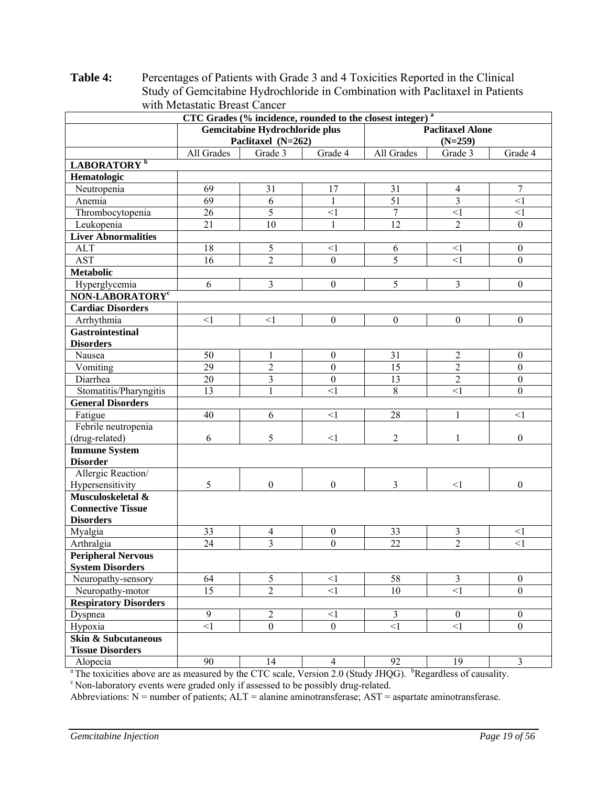**CTC Grades (% incidence, rounded to the closest integer) a Gemcitabine Hydrochloride plus Paclitaxel (N=262) Paclitaxel Alone (N=259)**  All Grades Grade 3 Grade 4 All Grades Grade 3 Grade 4 **LABORATORY <sup>b</sup> Hematologic**  Neutropenia 1 69 31 17 31 4 7 Anemia 1 69 6 1 1 51 3 51 51 Thrombocytopenia 26 5 <1 7 <1 <1 Leukopenia | 21 | 10 | 1 | 12 | 2 | 0 **Liver Abnormalities**  ALT 18 5 5 6 5 0 AST 16 2 0 5 <1 0 **Metabolic**  Hyperglycemia 6 3 0 5 3 0 **NON-LABORATORY<sup>c</sup> Cardiac Disorders**  Arrhythmia | <1 | <1 | 0 | 0 | 0 | 0 **Gastrointestinal Disorders**  Nausea 1 50 1 1 0 31 2 0 Vomiting 29 2 0 15 2 0 Diarrhea 1 20 3 0 13 2 0 Stomatitis/Pharyngitis 13 1 1  $\langle 1 \rangle$  8  $\langle 1 \rangle$  0 **General Disorders**  Fatigue 40 6 <1 28 1 <1 Febrile neutropenia (drug-related) 6 5 <1 2 1 0 **Immune System Disorder**  Allergic Reaction/ Hypersensitivity  $\begin{array}{cccccccc} 5 & 0 & 0 & 3 & <1 \end{array}$ **Musculoskeletal & Connective Tissue Disorders**  Myalgia 33 4 0 33 3 <1 Arthralgia (24 | 3 | 0 | 22 | 2 | <1 **Peripheral Nervous System Disorders**  Neuropathy-sensory  $\begin{array}{|c|c|c|c|c|c|c|c|c|} \hline \end{array}$  64  $\begin{array}{|c|c|c|c|c|c|c|c|} \hline \end{array}$  58  $\begin{array}{|c|c|c|c|c|c|} \hline \end{array}$  58  $\begin{array}{|c|c|c|c|c|c|} \hline \end{array}$ Neuropathy-motor 15 2 <1 10 <1 0 **Respiratory Disorders**  Dyspnea 19 2 <1 3 0 0 Hypoxia <1 0 0 <1 <1 0 **Skin & Subcutaneous Tissue Disorders**  Alopecia (90 | 14 | 4 | 92 | 19 | 3

**Table 4:** Percentages of Patients with Grade 3 and 4 Toxicities Reported in the Clinical Study of Gemcitabine Hydrochloride in Combination with Paclitaxel in Patients with Metastatic Breast Cancer

<sup>a</sup> The toxicities above are as measured by the CTC scale, Version 2.0 (Study JHQG). <sup>b</sup>Regardless of causality. <sup>c</sup> Non-laboratory events were graded only if assessed to be possibly drug-related.

Abbreviations:  $N =$  number of patients;  $ALT =$  alanine aminotransferase;  $AST =$  aspartate aminotransferase.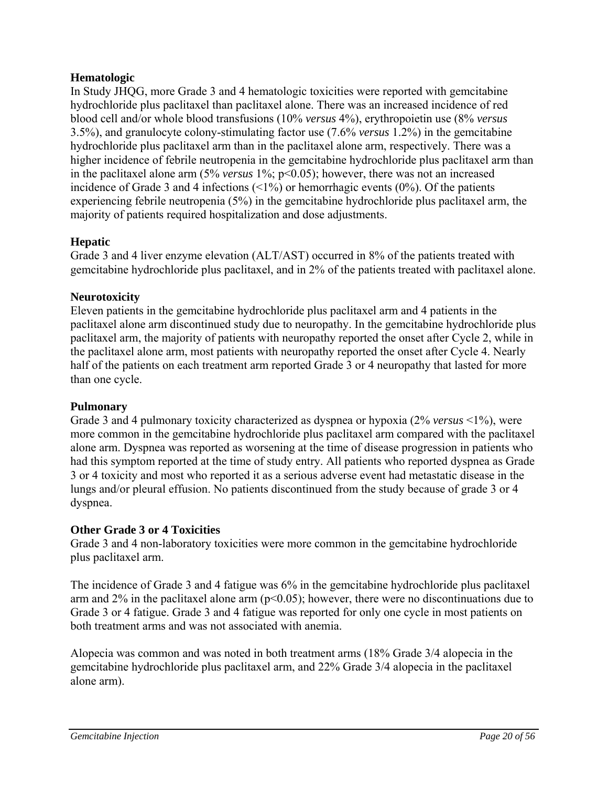# **Hematologic**

In Study JHQG, more Grade 3 and 4 hematologic toxicities were reported with gemcitabine hydrochloride plus paclitaxel than paclitaxel alone. There was an increased incidence of red blood cell and/or whole blood transfusions (10% *versus* 4%), erythropoietin use (8% *versus* 3.5%), and granulocyte colony-stimulating factor use (7.6% *versus* 1.2%) in the gemcitabine hydrochloride plus paclitaxel arm than in the paclitaxel alone arm, respectively. There was a higher incidence of febrile neutropenia in the gemcitabine hydrochloride plus paclitaxel arm than in the paclitaxel alone arm (5% *versus* 1%; p<0.05); however, there was not an increased incidence of Grade 3 and 4 infections  $\langle 1\% \rangle$  or hemorrhagic events  $(0\%)$ . Of the patients experiencing febrile neutropenia (5%) in the gemcitabine hydrochloride plus paclitaxel arm, the majority of patients required hospitalization and dose adjustments.

# **Hepatic**

Grade 3 and 4 liver enzyme elevation (ALT/AST) occurred in 8% of the patients treated with gemcitabine hydrochloride plus paclitaxel, and in 2% of the patients treated with paclitaxel alone.

# **Neurotoxicity**

Eleven patients in the gemcitabine hydrochloride plus paclitaxel arm and 4 patients in the paclitaxel alone arm discontinued study due to neuropathy. In the gemcitabine hydrochloride plus paclitaxel arm, the majority of patients with neuropathy reported the onset after Cycle 2, while in the paclitaxel alone arm, most patients with neuropathy reported the onset after Cycle 4. Nearly half of the patients on each treatment arm reported Grade 3 or 4 neuropathy that lasted for more than one cycle.

# **Pulmonary**

Grade 3 and 4 pulmonary toxicity characterized as dyspnea or hypoxia (2% *versus* <1%), were more common in the gemcitabine hydrochloride plus paclitaxel arm compared with the paclitaxel alone arm. Dyspnea was reported as worsening at the time of disease progression in patients who had this symptom reported at the time of study entry. All patients who reported dyspnea as Grade 3 or 4 toxicity and most who reported it as a serious adverse event had metastatic disease in the lungs and/or pleural effusion. No patients discontinued from the study because of grade 3 or 4 dyspnea.

# **Other Grade 3 or 4 Toxicities**

Grade 3 and 4 non-laboratory toxicities were more common in the gemcitabine hydrochloride plus paclitaxel arm.

The incidence of Grade 3 and 4 fatigue was 6% in the gemcitabine hydrochloride plus paclitaxel arm and  $2\%$  in the paclitaxel alone arm ( $p<0.05$ ); however, there were no discontinuations due to Grade 3 or 4 fatigue. Grade 3 and 4 fatigue was reported for only one cycle in most patients on both treatment arms and was not associated with anemia.

Alopecia was common and was noted in both treatment arms (18% Grade 3/4 alopecia in the gemcitabine hydrochloride plus paclitaxel arm, and 22% Grade 3/4 alopecia in the paclitaxel alone arm).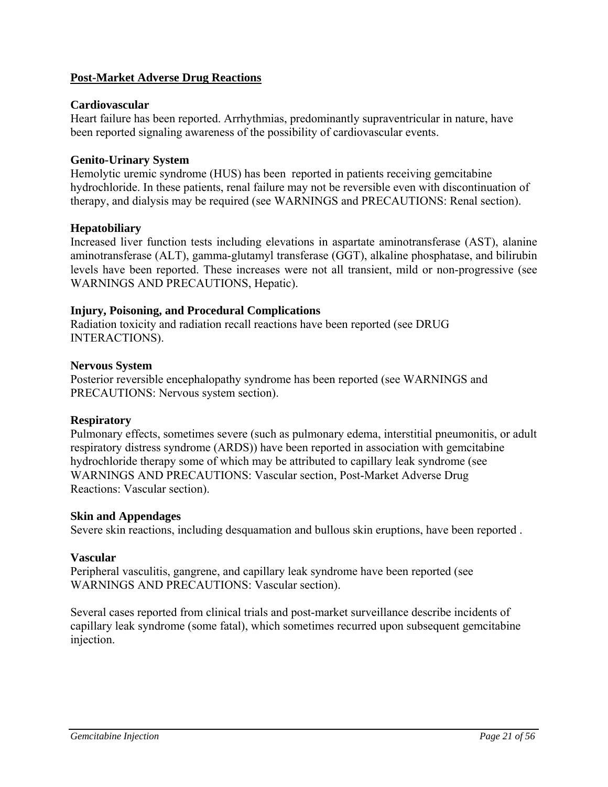### **Post-Market Adverse Drug Reactions**

### **Cardiovascular**

Heart failure has been reported. Arrhythmias, predominantly supraventricular in nature, have been reported signaling awareness of the possibility of cardiovascular events.

### **Genito-Urinary System**

Hemolytic uremic syndrome (HUS) has been reported in patients receiving gemcitabine hydrochloride. In these patients, renal failure may not be reversible even with discontinuation of therapy, and dialysis may be required (see WARNINGS and PRECAUTIONS: Renal section).

### **Hepatobiliary**

Increased liver function tests including elevations in aspartate aminotransferase (AST), alanine aminotransferase (ALT), gamma-glutamyl transferase (GGT), alkaline phosphatase, and bilirubin levels have been reported. These increases were not all transient, mild or non-progressive (see WARNINGS AND PRECAUTIONS, Hepatic).

### **Injury, Poisoning, and Procedural Complications**

Radiation toxicity and radiation recall reactions have been reported (see DRUG INTERACTIONS).

### **Nervous System**

Posterior reversible encephalopathy syndrome has been reported (see WARNINGS and PRECAUTIONS: Nervous system section).

### **Respiratory**

Pulmonary effects, sometimes severe (such as pulmonary edema, interstitial pneumonitis, or adult respiratory distress syndrome (ARDS)) have been reported in association with gemcitabine hydrochloride therapy some of which may be attributed to capillary leak syndrome (see WARNINGS AND PRECAUTIONS: Vascular section, Post-Market Adverse Drug Reactions: Vascular section).

### **Skin and Appendages**

Severe skin reactions, including desquamation and bullous skin eruptions, have been reported .

### **Vascular**

Peripheral vasculitis, gangrene, and capillary leak syndrome have been reported (see WARNINGS AND PRECAUTIONS: Vascular section).

Several cases reported from clinical trials and post-market surveillance describe incidents of capillary leak syndrome (some fatal), which sometimes recurred upon subsequent gemcitabine injection.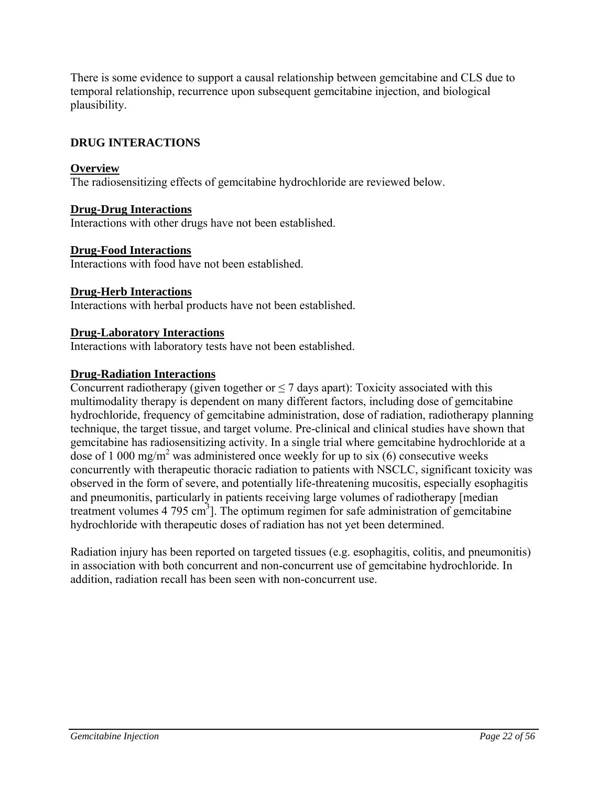There is some evidence to support a causal relationship between gemcitabine and CLS due to temporal relationship, recurrence upon subsequent gemcitabine injection, and biological plausibility.

# **DRUG INTERACTIONS**

### **Overview**

The radiosensitizing effects of gemcitabine hydrochloride are reviewed below.

### **Drug-Drug Interactions**

Interactions with other drugs have not been established.

### **Drug-Food Interactions**

Interactions with food have not been established.

### **Drug-Herb Interactions**

Interactions with herbal products have not been established.

### **Drug-Laboratory Interactions**

Interactions with laboratory tests have not been established.

### **Drug-Radiation Interactions**

Concurrent radiotherapy (given together or  $\leq$  7 days apart): Toxicity associated with this multimodality therapy is dependent on many different factors, including dose of gemcitabine hydrochloride, frequency of gemcitabine administration, dose of radiation, radiotherapy planning technique, the target tissue, and target volume. Pre-clinical and clinical studies have shown that gemcitabine has radiosensitizing activity. In a single trial where gemcitabine hydrochloride at a dose of 1 000 mg/m<sup>2</sup> was administered once weekly for up to six  $(6)$  consecutive weeks concurrently with therapeutic thoracic radiation to patients with NSCLC, significant toxicity was observed in the form of severe, and potentially life-threatening mucositis, especially esophagitis and pneumonitis, particularly in patients receiving large volumes of radiotherapy [median treatment volumes  $4\,795\,\mathrm{cm}^3$ ]. The optimum regimen for safe administration of gemcitabine hydrochloride with therapeutic doses of radiation has not yet been determined.

Radiation injury has been reported on targeted tissues (e.g. esophagitis, colitis, and pneumonitis) in association with both concurrent and non-concurrent use of gemcitabine hydrochloride. In addition, radiation recall has been seen with non-concurrent use.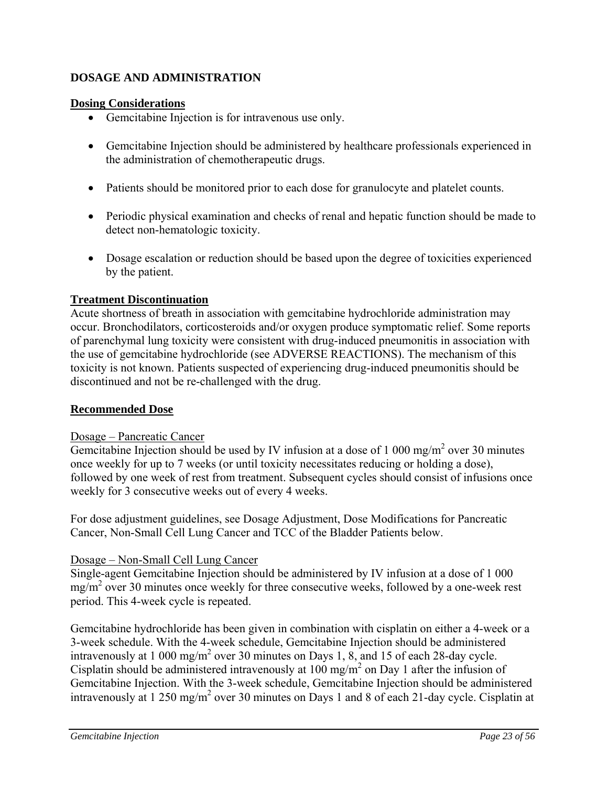# **DOSAGE AND ADMINISTRATION**

## **Dosing Considerations**

- Gemcitabine Injection is for intravenous use only.
- Gemcitabine Injection should be administered by healthcare professionals experienced in the administration of chemotherapeutic drugs.
- Patients should be monitored prior to each dose for granulocyte and platelet counts.
- Periodic physical examination and checks of renal and hepatic function should be made to detect non-hematologic toxicity.
- Dosage escalation or reduction should be based upon the degree of toxicities experienced by the patient.

### **Treatment Discontinuation**

Acute shortness of breath in association with gemcitabine hydrochloride administration may occur. Bronchodilators, corticosteroids and/or oxygen produce symptomatic relief. Some reports of parenchymal lung toxicity were consistent with drug-induced pneumonitis in association with the use of gemcitabine hydrochloride (see ADVERSE REACTIONS). The mechanism of this toxicity is not known. Patients suspected of experiencing drug-induced pneumonitis should be discontinued and not be re-challenged with the drug.

# **Recommended Dose**

### Dosage – Pancreatic Cancer

Gemcitabine Injection should be used by IV infusion at a dose of  $1\ 000 \text{ mg/m}^2$  over 30 minutes once weekly for up to 7 weeks (or until toxicity necessitates reducing or holding a dose), followed by one week of rest from treatment. Subsequent cycles should consist of infusions once weekly for 3 consecutive weeks out of every 4 weeks.

For dose adjustment guidelines, see Dosage Adjustment, Dose Modifications for Pancreatic Cancer, Non-Small Cell Lung Cancer and TCC of the Bladder Patients below.

# Dosage – Non-Small Cell Lung Cancer

Single-agent Gemcitabine Injection should be administered by IV infusion at a dose of 1 000  $mg/m<sup>2</sup>$  over 30 minutes once weekly for three consecutive weeks, followed by a one-week rest period. This 4-week cycle is repeated.

Gemcitabine hydrochloride has been given in combination with cisplatin on either a 4-week or a 3-week schedule. With the 4-week schedule, Gemcitabine Injection should be administered intravenously at 1 000 mg/m<sup>2</sup> over 30 minutes on Days 1, 8, and 15 of each 28-day cycle. Cisplatin should be administered intravenously at  $100 \text{ mg/m}^2$  on Day 1 after the infusion of Gemcitabine Injection. With the 3-week schedule, Gemcitabine Injection should be administered intravenously at 1 250 mg/m<sup>2</sup> over 30 minutes on Days 1 and 8 of each 21-day cycle. Cisplatin at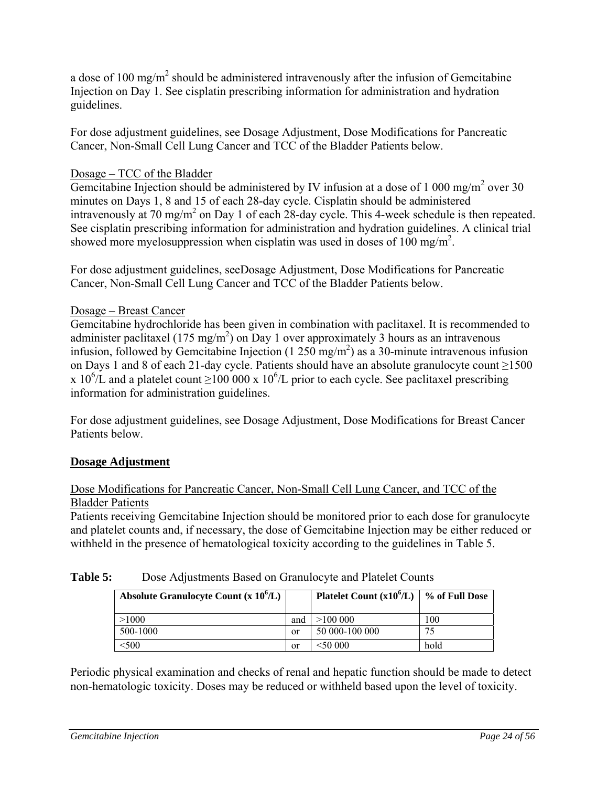a dose of 100 mg/m<sup>2</sup> should be administered intravenously after the infusion of Gemcitabine Injection on Day 1. See cisplatin prescribing information for administration and hydration guidelines.

For dose adjustment guidelines, see Dosage Adjustment, Dose Modifications for Pancreatic Cancer, Non-Small Cell Lung Cancer and TCC of the Bladder Patients below.

# Dosage – TCC of the Bladder

Gemcitabine Injection should be administered by IV infusion at a dose of 1 000 mg/m<sup>2</sup> over 30 minutes on Days 1, 8 and 15 of each 28-day cycle. Cisplatin should be administered intravenously at 70 mg/m<sup>2</sup> on Day 1 of each 28-day cycle. This 4-week schedule is then repeated. See cisplatin prescribing information for administration and hydration guidelines. A clinical trial showed more myelosuppression when cisplatin was used in doses of  $100 \text{ mg/m}^2$ .

For dose adjustment guidelines, seeDosage Adjustment, Dose Modifications for Pancreatic Cancer, Non-Small Cell Lung Cancer and TCC of the Bladder Patients below.

# Dosage – Breast Cancer

Gemcitabine hydrochloride has been given in combination with paclitaxel. It is recommended to administer paclitaxel (175 mg/m<sup>2</sup>) on Day 1 over approximately 3 hours as an intravenous infusion, followed by Gemcitabine Injection (1  $250 \text{ mg/m}^2$ ) as a 30-minute intravenous infusion on Days 1 and 8 of each 21-day cycle. Patients should have an absolute granulocyte count ≥1500 x 10<sup>6</sup>/L and a platelet count  $\geq$ 100 000 x 10<sup>6</sup>/L prior to each cycle. See paclitaxel prescribing information for administration guidelines.

For dose adjustment guidelines, see Dosage Adjustment, Dose Modifications for Breast Cancer Patients below.

# **Dosage Adjustment**

# Dose Modifications for Pancreatic Cancer, Non-Small Cell Lung Cancer, and TCC of the Bladder Patients

Patients receiving Gemcitabine Injection should be monitored prior to each dose for granulocyte and platelet counts and, if necessary, the dose of Gemcitabine Injection may be either reduced or withheld in the presence of hematological toxicity according to the guidelines in Table 5.

| Absolute Granulocyte Count $(x 10^6/L)$ |               | Platelet Count $(x10^6/L)$ | % of Full Dose |
|-----------------------------------------|---------------|----------------------------|----------------|
| >1000                                   | and           | >100000                    | 100            |
| 500-1000                                | or            | 50 000-100 000             | 75             |
| 500                                     | <sub>or</sub> | <50 000                    | hold           |

# Table 5: Dose Adjustments Based on Granulocyte and Platelet Counts

Periodic physical examination and checks of renal and hepatic function should be made to detect non-hematologic toxicity. Doses may be reduced or withheld based upon the level of toxicity.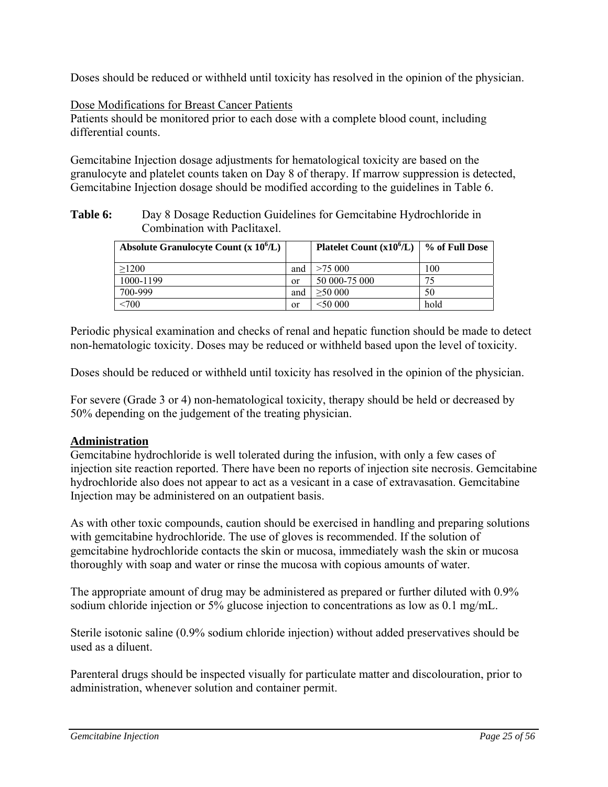Doses should be reduced or withheld until toxicity has resolved in the opinion of the physician.

### Dose Modifications for Breast Cancer Patients

Patients should be monitored prior to each dose with a complete blood count, including differential counts.

Gemcitabine Injection dosage adjustments for hematological toxicity are based on the granulocyte and platelet counts taken on Day 8 of therapy. If marrow suppression is detected, Gemcitabine Injection dosage should be modified according to the guidelines in Table 6.

**Table 6:** Day 8 Dosage Reduction Guidelines for Gemcitabine Hydrochloride in Combination with Paclitaxel.

| Absolute Granulocyte Count $(x 10^6/L)$ |               | Platelet Count $(x10^6/L)$ | % of Full Dose |
|-----------------------------------------|---------------|----------------------------|----------------|
| >1200                                   | and           | >75,000                    | 100            |
| 1000-1199                               | <sub>or</sub> | 50 000-75 000              | 75             |
| 700-999                                 | and           | >50000                     | 50             |
| < 700                                   | <sub>or</sub> | <50,000                    | hold           |

Periodic physical examination and checks of renal and hepatic function should be made to detect non-hematologic toxicity. Doses may be reduced or withheld based upon the level of toxicity.

Doses should be reduced or withheld until toxicity has resolved in the opinion of the physician.

For severe (Grade 3 or 4) non-hematological toxicity, therapy should be held or decreased by 50% depending on the judgement of the treating physician.

# **Administration**

Gemcitabine hydrochloride is well tolerated during the infusion, with only a few cases of injection site reaction reported. There have been no reports of injection site necrosis. Gemcitabine hydrochloride also does not appear to act as a vesicant in a case of extravasation. Gemcitabine Injection may be administered on an outpatient basis.

As with other toxic compounds, caution should be exercised in handling and preparing solutions with gemcitabine hydrochloride. The use of gloves is recommended. If the solution of gemcitabine hydrochloride contacts the skin or mucosa, immediately wash the skin or mucosa thoroughly with soap and water or rinse the mucosa with copious amounts of water.

The appropriate amount of drug may be administered as prepared or further diluted with 0.9% sodium chloride injection or 5% glucose injection to concentrations as low as 0.1 mg/mL.

Sterile isotonic saline (0.9% sodium chloride injection) without added preservatives should be used as a diluent.

Parenteral drugs should be inspected visually for particulate matter and discolouration, prior to administration, whenever solution and container permit.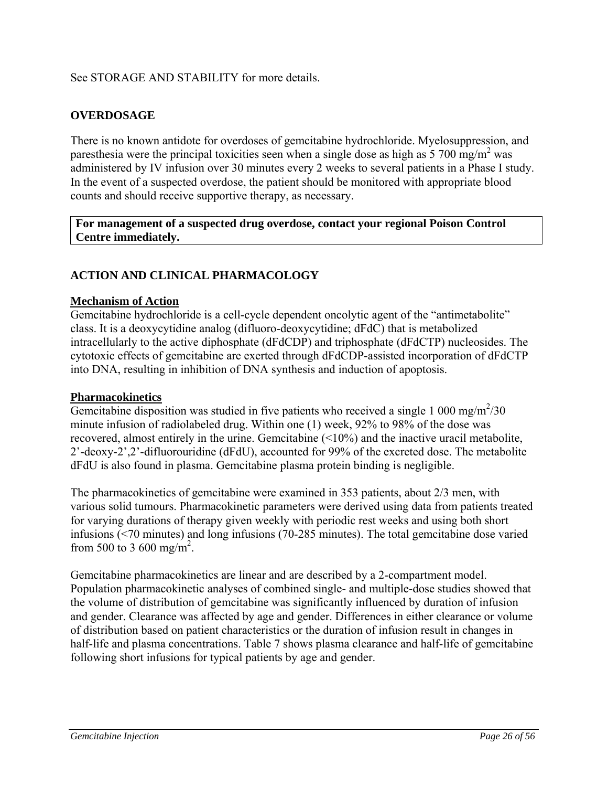# See STORAGE AND STABILITY for more details.

# **OVERDOSAGE**

There is no known antidote for overdoses of gemcitabine hydrochloride. Myelosuppression, and paresthesia were the principal toxicities seen when a single dose as high as  $5700$  mg/m<sup>2</sup> was administered by IV infusion over 30 minutes every 2 weeks to several patients in a Phase I study. In the event of a suspected overdose, the patient should be monitored with appropriate blood counts and should receive supportive therapy, as necessary.

**For management of a suspected drug overdose, contact your regional Poison Control Centre immediately.** 

# **ACTION AND CLINICAL PHARMACOLOGY**

### **Mechanism of Action**

Gemcitabine hydrochloride is a cell-cycle dependent oncolytic agent of the "antimetabolite" class. It is a deoxycytidine analog (difluoro-deoxycytidine; dFdC) that is metabolized intracellularly to the active diphosphate (dFdCDP) and triphosphate (dFdCTP) nucleosides. The cytotoxic effects of gemcitabine are exerted through dFdCDP-assisted incorporation of dFdCTP into DNA, resulting in inhibition of DNA synthesis and induction of apoptosis.

### **Pharmacokinetics**

Gemcitabine disposition was studied in five patients who received a single 1 000 mg/m<sup>2</sup>/30 minute infusion of radiolabeled drug. Within one (1) week, 92% to 98% of the dose was recovered, almost entirely in the urine. Gemcitabine (<10%) and the inactive uracil metabolite, 2'-deoxy-2',2'-difluorouridine (dFdU), accounted for 99% of the excreted dose. The metabolite dFdU is also found in plasma. Gemcitabine plasma protein binding is negligible.

The pharmacokinetics of gemcitabine were examined in 353 patients, about 2/3 men, with various solid tumours. Pharmacokinetic parameters were derived using data from patients treated for varying durations of therapy given weekly with periodic rest weeks and using both short infusions (<70 minutes) and long infusions (70-285 minutes). The total gemcitabine dose varied from 500 to 3 600 mg/m<sup>2</sup>.

Gemcitabine pharmacokinetics are linear and are described by a 2-compartment model. Population pharmacokinetic analyses of combined single- and multiple-dose studies showed that the volume of distribution of gemcitabine was significantly influenced by duration of infusion and gender. Clearance was affected by age and gender. Differences in either clearance or volume of distribution based on patient characteristics or the duration of infusion result in changes in half-life and plasma concentrations. Table 7 shows plasma clearance and half-life of gemcitabine following short infusions for typical patients by age and gender.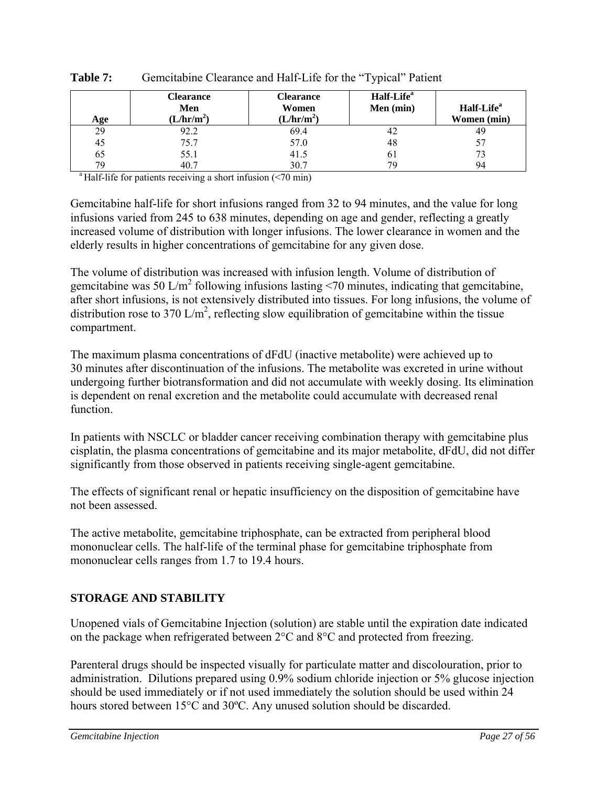| Age | Clearance<br>Men<br>(L/hr/m <sup>2</sup> ) | Clearance<br>Women<br>(L/hr/m <sup>2</sup> ) | Half-Life <sup>a</sup><br>Men (min) | Half-Life <sup>a</sup><br>Women (min) |
|-----|--------------------------------------------|----------------------------------------------|-------------------------------------|---------------------------------------|
| 29  | 92.2                                       | 69.4                                         | 42                                  | 49                                    |
| 45  | 75.7                                       | 57.0                                         | 48                                  |                                       |
| 65  | 55.1                                       | 41.5                                         | 0 <sub>1</sub>                      |                                       |
| 79  | 40.7                                       | 30.7                                         | 79                                  | 94                                    |

| <b>Table 7:</b> | Gemeitabine Clearance and Half-Life for the "Typical" Patient |  |  |  |
|-----------------|---------------------------------------------------------------|--|--|--|
|                 |                                                               |  |  |  |

<sup>a</sup> Half-life for patients receiving a short infusion  $\left( \leq 70 \right)$  min)

Gemcitabine half-life for short infusions ranged from 32 to 94 minutes, and the value for long infusions varied from 245 to 638 minutes, depending on age and gender, reflecting a greatly increased volume of distribution with longer infusions. The lower clearance in women and the elderly results in higher concentrations of gemcitabine for any given dose.

The volume of distribution was increased with infusion length. Volume of distribution of gemcitabine was 50 L/m<sup>2</sup> following infusions lasting <70 minutes, indicating that gemcitabine, after short infusions, is not extensively distributed into tissues. For long infusions, the volume of distribution rose to 370 L/m<sup>2</sup>, reflecting slow equilibration of gemcitabine within the tissue compartment.

The maximum plasma concentrations of dFdU (inactive metabolite) were achieved up to 30 minutes after discontinuation of the infusions. The metabolite was excreted in urine without undergoing further biotransformation and did not accumulate with weekly dosing. Its elimination is dependent on renal excretion and the metabolite could accumulate with decreased renal function.

In patients with NSCLC or bladder cancer receiving combination therapy with gemcitabine plus cisplatin, the plasma concentrations of gemcitabine and its major metabolite, dFdU, did not differ significantly from those observed in patients receiving single-agent gemcitabine.

The effects of significant renal or hepatic insufficiency on the disposition of gemcitabine have not been assessed.

The active metabolite, gemcitabine triphosphate, can be extracted from peripheral blood mononuclear cells. The half-life of the terminal phase for gemcitabine triphosphate from mononuclear cells ranges from 1.7 to 19.4 hours.

# **STORAGE AND STABILITY**

Unopened vials of Gemcitabine Injection (solution) are stable until the expiration date indicated on the package when refrigerated between 2°C and 8°C and protected from freezing.

Parenteral drugs should be inspected visually for particulate matter and discolouration, prior to administration. Dilutions prepared using 0.9% sodium chloride injection or 5% glucose injection should be used immediately or if not used immediately the solution should be used within 24 hours stored between 15°C and 30ºC. Any unused solution should be discarded.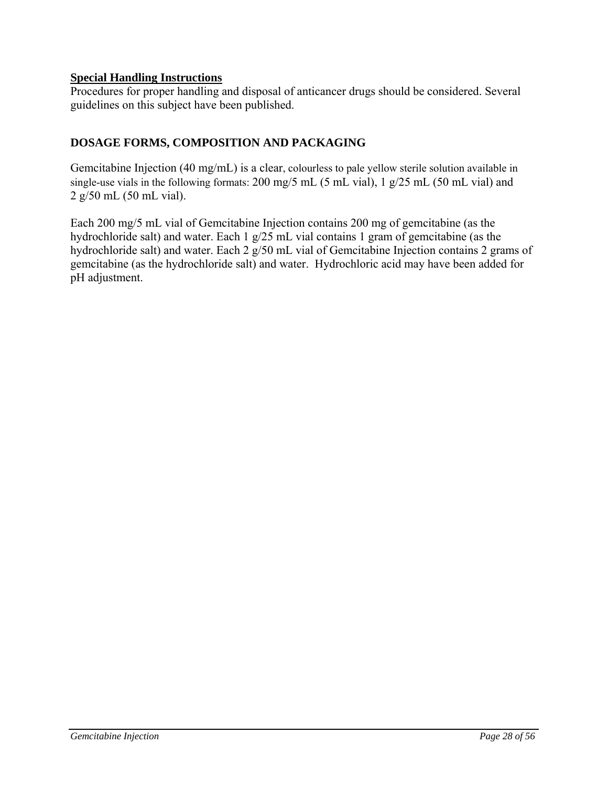# **Special Handling Instructions**

Procedures for proper handling and disposal of anticancer drugs should be considered. Several guidelines on this subject have been published.

# **DOSAGE FORMS, COMPOSITION AND PACKAGING**

Gemcitabine Injection (40 mg/mL) is a clear, colourless to pale yellow sterile solution available in single-use vials in the following formats: 200 mg/5 mL (5 mL vial), 1 g/25 mL (50 mL vial) and 2 g/50 mL (50 mL vial).

Each 200 mg/5 mL vial of Gemcitabine Injection contains 200 mg of gemcitabine (as the hydrochloride salt) and water. Each 1 g/25 mL vial contains 1 gram of gemcitabine (as the hydrochloride salt) and water. Each 2 g/50 mL vial of Gemcitabine Injection contains 2 grams of gemcitabine (as the hydrochloride salt) and water. Hydrochloric acid may have been added for pH adjustment.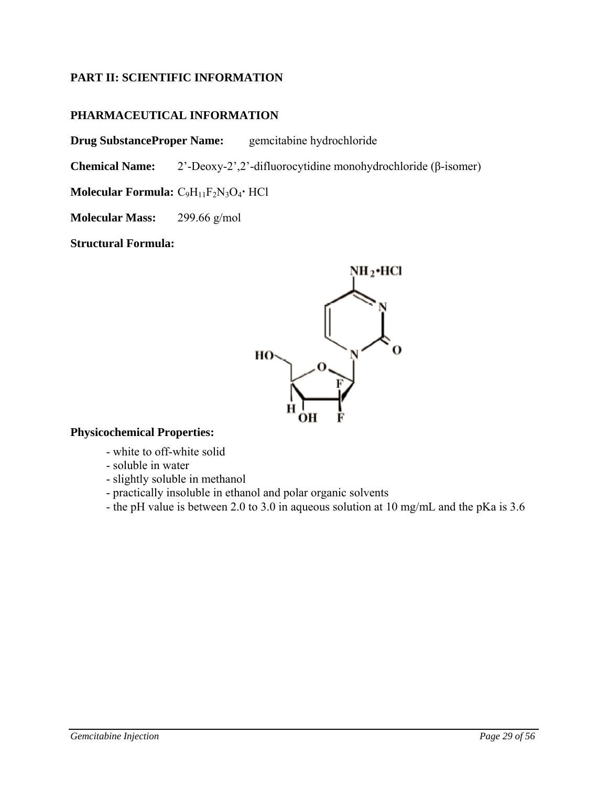# **PART II: SCIENTIFIC INFORMATION**

# **PHARMACEUTICAL INFORMATION**

**Drug SubstanceProper Name:** gemcitabine hydrochloride

**Chemical Name:** 2'-Deoxy-2',2'-difluorocytidine monohydrochloride (β-isomer)

**Molecular Formula:** C<sub>9</sub>H<sub>11</sub>F<sub>2</sub>N<sub>3</sub>O<sub>4</sub></sub> HCl

**Molecular Mass:** 299.66 g/mol

**Structural Formula:** 



# **Physicochemical Properties:**

- white to off-white solid
- soluble in water
- slightly soluble in methanol
- practically insoluble in ethanol and polar organic solvents
- the pH value is between 2.0 to 3.0 in aqueous solution at 10 mg/mL and the pKa is 3.6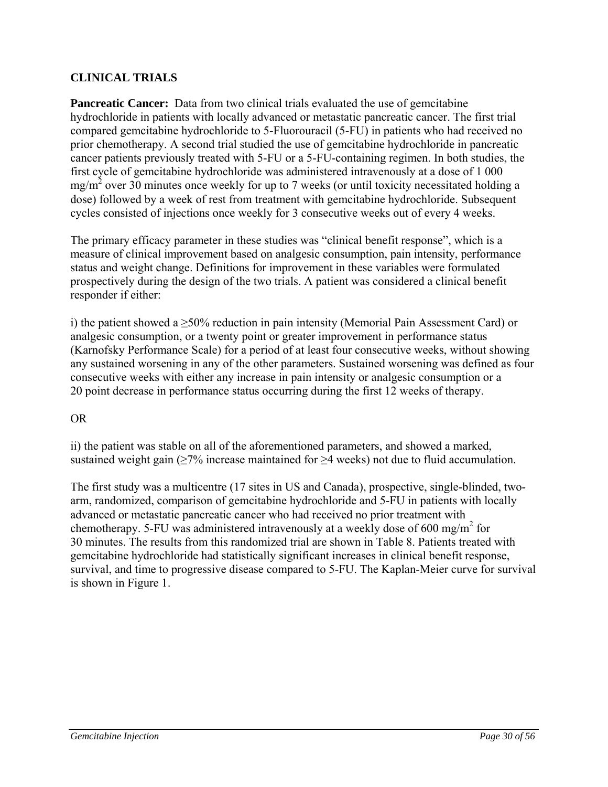# **CLINICAL TRIALS**

**Pancreatic Cancer:** Data from two clinical trials evaluated the use of gemcitabine hydrochloride in patients with locally advanced or metastatic pancreatic cancer. The first trial compared gemcitabine hydrochloride to 5-Fluorouracil (5-FU) in patients who had received no prior chemotherapy. A second trial studied the use of gemcitabine hydrochloride in pancreatic cancer patients previously treated with 5-FU or a 5-FU-containing regimen. In both studies, the first cycle of gemcitabine hydrochloride was administered intravenously at a dose of 1 000  $mg/m<sup>2</sup>$  over 30 minutes once weekly for up to 7 weeks (or until toxicity necessitated holding a dose) followed by a week of rest from treatment with gemcitabine hydrochloride. Subsequent cycles consisted of injections once weekly for 3 consecutive weeks out of every 4 weeks.

The primary efficacy parameter in these studies was "clinical benefit response", which is a measure of clinical improvement based on analgesic consumption, pain intensity, performance status and weight change. Definitions for improvement in these variables were formulated prospectively during the design of the two trials. A patient was considered a clinical benefit responder if either:

i) the patient showed a  $\geq$ 50% reduction in pain intensity (Memorial Pain Assessment Card) or analgesic consumption, or a twenty point or greater improvement in performance status (Karnofsky Performance Scale) for a period of at least four consecutive weeks, without showing any sustained worsening in any of the other parameters. Sustained worsening was defined as four consecutive weeks with either any increase in pain intensity or analgesic consumption or a 20 point decrease in performance status occurring during the first 12 weeks of therapy.

# OR

ii) the patient was stable on all of the aforementioned parameters, and showed a marked, sustained weight gain  $\geq 7\%$  increase maintained for  $\geq 4$  weeks) not due to fluid accumulation.

The first study was a multicentre (17 sites in US and Canada), prospective, single-blinded, twoarm, randomized, comparison of gemcitabine hydrochloride and 5-FU in patients with locally advanced or metastatic pancreatic cancer who had received no prior treatment with chemotherapy. 5-FU was administered intravenously at a weekly dose of 600 mg/m<sup>2</sup> for 30 minutes. The results from this randomized trial are shown in Table 8. Patients treated with gemcitabine hydrochloride had statistically significant increases in clinical benefit response, survival, and time to progressive disease compared to 5-FU. The Kaplan-Meier curve for survival is shown in Figure 1.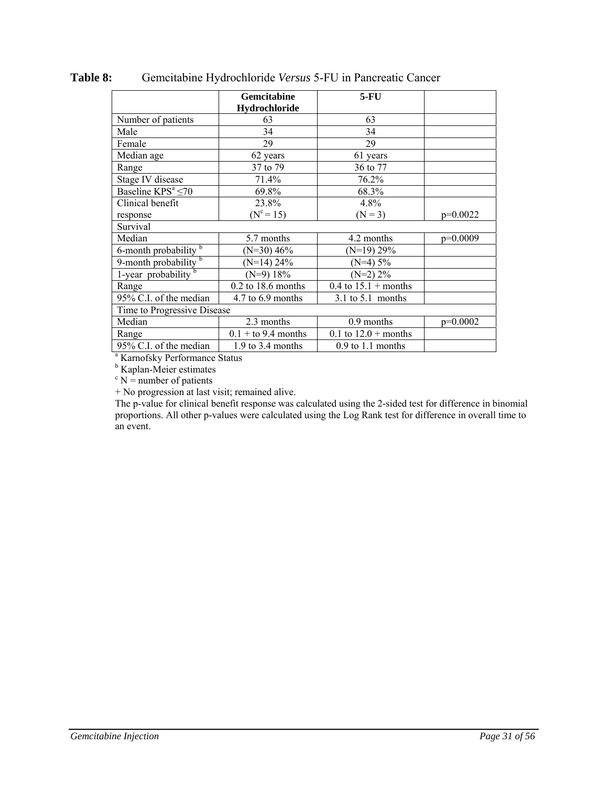|                                   | Gemcitabine<br>Hydrochloride | $5-FU$                 |            |
|-----------------------------------|------------------------------|------------------------|------------|
| Number of patients                | 63                           | 63                     |            |
| Male                              | 34                           | 34                     |            |
| Female                            | 29                           | 29                     |            |
| Median age                        | 62 years                     | 61 years               |            |
| Range                             | 37 to 79                     | 36 to 77               |            |
| Stage IV disease                  | 71.4%                        | $76.2\%$               |            |
| Baseline $KPS^a \leq 70$          | 69.8%                        | 68.3%                  |            |
| Clinical benefit                  | 23.8%                        | 4.8%                   |            |
| response                          | $(N^{c}=15)$                 | $(N = 3)$              | $p=0.0022$ |
| Survival                          |                              |                        |            |
| Median                            | 5.7 months                   | 4.2 months             | $p=0.0009$ |
| 6-month probability b             | $(N=30)$ 46%                 | $(N=19)$ 29%           |            |
| 9-month probability $\frac{b}{b}$ | $(N=14)$ 24%                 | $(N=4)$ 5%             |            |
| 1-year $\overline{probability^b}$ | $(N=9)$ 18%                  | $(N=2)$ 2%             |            |
| Range                             | $0.2$ to 18.6 months         | 0.4 to $15.1 +$ months |            |
| 95% C.I. of the median            | 4.7 to 6.9 months            | $3.1$ to $5.1$ months  |            |
| Time to Progressive Disease       |                              |                        |            |
| Median                            | 2.3 months                   | 0.9 months             | $p=0.0002$ |
| Range                             | $0.1 +$ to 9.4 months        | 0.1 to $12.0 +$ months |            |
| 95% C.I. of the median            | $1.9$ to 3.4 months          | $0.9$ to 1.1 months    |            |

**Table 8:** Gemcitabine Hydrochloride *Versus* 5-FU in Pancreatic Cancer

a Karnofsky Performance Status

<sup>b</sup> Kaplan-Meier estimates

 $c$  N = number of patients

+ No progression at last visit; remained alive.

The p-value for clinical benefit response was calculated using the 2-sided test for difference in binomial proportions. All other p-values were calculated using the Log Rank test for difference in overall time to an event.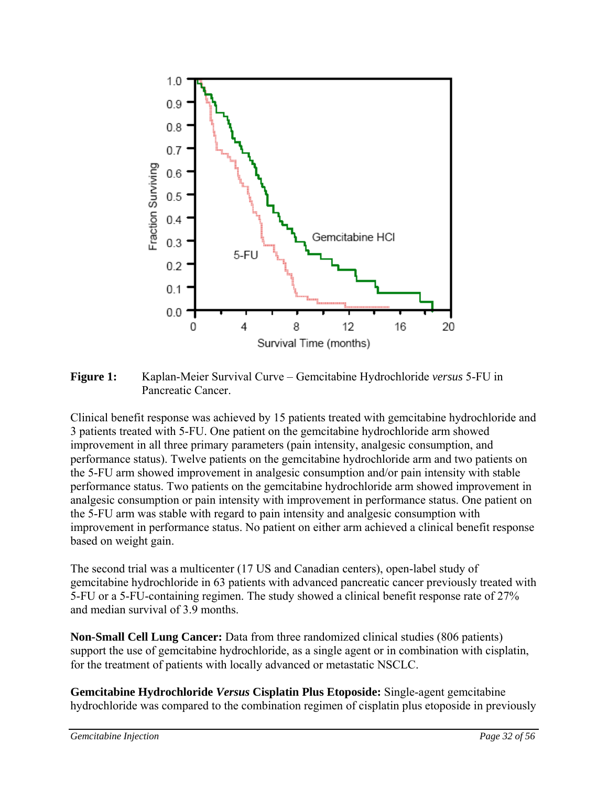

**Figure 1:** Kaplan-Meier Survival Curve – Gemcitabine Hydrochloride *versus* 5-FU in Pancreatic Cancer.

Clinical benefit response was achieved by 15 patients treated with gemcitabine hydrochloride and 3 patients treated with 5-FU. One patient on the gemcitabine hydrochloride arm showed improvement in all three primary parameters (pain intensity, analgesic consumption, and performance status). Twelve patients on the gemcitabine hydrochloride arm and two patients on the 5-FU arm showed improvement in analgesic consumption and/or pain intensity with stable performance status. Two patients on the gemcitabine hydrochloride arm showed improvement in analgesic consumption or pain intensity with improvement in performance status. One patient on the 5-FU arm was stable with regard to pain intensity and analgesic consumption with improvement in performance status. No patient on either arm achieved a clinical benefit response based on weight gain.

The second trial was a multicenter (17 US and Canadian centers), open-label study of gemcitabine hydrochloride in 63 patients with advanced pancreatic cancer previously treated with 5-FU or a 5-FU-containing regimen. The study showed a clinical benefit response rate of 27% and median survival of 3.9 months.

**Non-Small Cell Lung Cancer:** Data from three randomized clinical studies (806 patients) support the use of gemcitabine hydrochloride, as a single agent or in combination with cisplatin, for the treatment of patients with locally advanced or metastatic NSCLC.

**Gemcitabine Hydrochloride** *Versus* **Cisplatin Plus Etoposide:** Single-agent gemcitabine hydrochloride was compared to the combination regimen of cisplatin plus etoposide in previously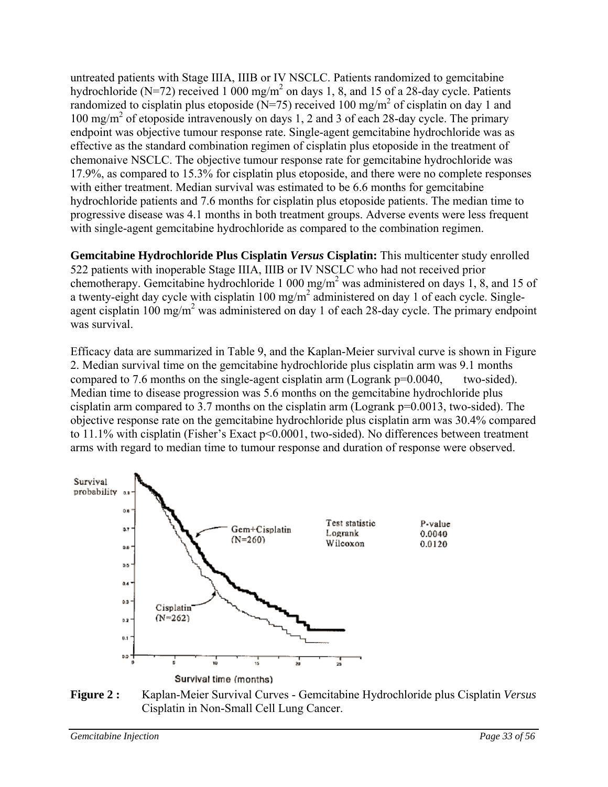untreated patients with Stage IIIA, IIIB or IV NSCLC. Patients randomized to gemcitabine hydrochloride (N=72) received 1 000 mg/m<sup>2</sup> on days 1, 8, and 15 of a 28-day cycle. Patients randomized to cisplatin plus etoposide (N=75) received 100 mg/m<sup>2</sup> of cisplatin on day 1 and 100 mg/m<sup>2</sup> of etoposide intravenously on days 1, 2 and 3 of each 28-day cycle. The primary endpoint was objective tumour response rate. Single-agent gemcitabine hydrochloride was as effective as the standard combination regimen of cisplatin plus etoposide in the treatment of chemonaive NSCLC. The objective tumour response rate for gemcitabine hydrochloride was 17.9%, as compared to 15.3% for cisplatin plus etoposide, and there were no complete responses with either treatment. Median survival was estimated to be 6.6 months for gemcitabine hydrochloride patients and 7.6 months for cisplatin plus etoposide patients. The median time to progressive disease was 4.1 months in both treatment groups. Adverse events were less frequent with single-agent gemcitabine hydrochloride as compared to the combination regimen.

**Gemcitabine Hydrochloride Plus Cisplatin** *Versus* **Cisplatin:** This multicenter study enrolled 522 patients with inoperable Stage IIIA, IIIB or IV NSCLC who had not received prior chemotherapy. Gemcitabine hydrochloride 1 000 mg/m<sup>2</sup> was administered on days 1, 8, and 15 of a twenty-eight day cycle with cisplatin  $100 \text{ mg/m}^2$  administered on day 1 of each cycle. Singleagent cisplatin 100 mg/m<sup>2</sup> was administered on day 1 of each 28-day cycle. The primary endpoint was survival.

Efficacy data are summarized in Table 9, and the Kaplan-Meier survival curve is shown in Figure 2. Median survival time on the gemcitabine hydrochloride plus cisplatin arm was 9.1 months compared to 7.6 months on the single-agent cisplatin arm (Logrank p=0.0040, two-sided). Median time to disease progression was 5.6 months on the gemcitabine hydrochloride plus cisplatin arm compared to 3.7 months on the cisplatin arm (Logrank p=0.0013, two-sided). The objective response rate on the gemcitabine hydrochloride plus cisplatin arm was 30.4% compared to 11.1% with cisplatin (Fisher's Exact p<0.0001, two-sided). No differences between treatment arms with regard to median time to tumour response and duration of response were observed.



**Figure 2 :** Kaplan-Meier Survival Curves - Gemcitabine Hydrochloride plus Cisplatin *Versus* Cisplatin in Non-Small Cell Lung Cancer.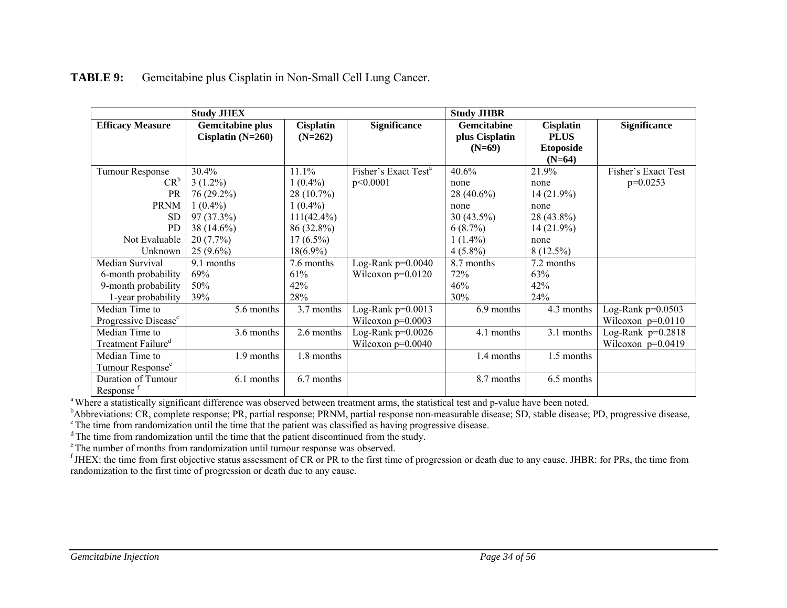| <b>Study JHEX</b>                |                         |                  | <b>Study JHBR</b>                |                |                  |                     |
|----------------------------------|-------------------------|------------------|----------------------------------|----------------|------------------|---------------------|
| <b>Efficacy Measure</b>          | <b>Gemcitabine plus</b> | <b>Cisplatin</b> | <b>Significance</b>              | Gemcitabine    | <b>Cisplatin</b> | <b>Significance</b> |
|                                  | Cisplatin $(N=260)$     | $(N=262)$        |                                  | plus Cisplatin | <b>PLUS</b>      |                     |
|                                  |                         |                  |                                  | $(N=69)$       | <b>Etoposide</b> |                     |
|                                  |                         |                  |                                  |                | $(N=64)$         |                     |
| Tumour Response                  | 30.4%                   | 11.1%            | Fisher's Exact Test <sup>a</sup> | 40.6%          | 21.9%            | Fisher's Exact Test |
| $CR^b$                           | $3(1.2\%)$              | $1(0.4\%)$       | p<0.0001                         | none           | none             | $p=0.0253$          |
| PR                               | 76 (29.2%)              | $28(10.7\%)$     |                                  | 28 (40.6%)     | $14(21.9\%)$     |                     |
| <b>PRNM</b>                      | $1(0.4\%)$              | $1(0.4\%)$       |                                  | none           | none             |                     |
| <b>SD</b>                        | 97(37.3%)               | $111(42.4\%)$    |                                  | $30(43.5\%)$   | 28 (43.8%)       |                     |
| PD                               | 38 (14.6%)              | 86 (32.8%)       |                                  | $6(8.7\%)$     | $14(21.9\%)$     |                     |
| Not Evaluable                    | 20(7.7%)                | $17(6.5\%)$      |                                  | $1(1.4\%)$     | none             |                     |
| Unknown                          | $25(9.6\%)$             | $18(6.9\%)$      |                                  | $4(5.8\%)$     | $8(12.5\%)$      |                     |
| Median Survival                  | 9.1 months              | 7.6 months       | Log-Rank $p=0.0040$              | 8.7 months     | 7.2 months       |                     |
| 6-month probability              | 69%                     | 61%              | Wilcoxon $p=0.0120$              | 72%            | 63%              |                     |
| 9-month probability              | 50%                     | 42%              |                                  | 46%            | 42%              |                     |
| 1-year probability               | 39%                     | 28%              |                                  | 30%            | 24%              |                     |
| Median Time to                   | 5.6 months              | 3.7 months       | Log-Rank $p=0.0013$              | 6.9 months     | 4.3 months       | Log-Rank $p=0.0503$ |
| Progressive Disease <sup>c</sup> |                         |                  | Wilcoxon $p=0.0003$              |                |                  | Wilcoxon $p=0.0110$ |
| Median Time to                   | 3.6 months              | 2.6 months       | Log-Rank $p=0.0026$              | 4.1 months     | 3.1 months       | Log-Rank $p=0.2818$ |
| Treatment Failure <sup>d</sup>   |                         |                  | Wilcoxon $p=0.0040$              |                |                  | Wilcoxon $p=0.0419$ |
| Median Time to                   | 1.9 months              | 1.8 months       |                                  | 1.4 months     | 1.5 months       |                     |
| Tumour Response <sup>e</sup>     |                         |                  |                                  |                |                  |                     |
| Duration of Tumour               | 6.1 months              | 6.7 months       |                                  | 8.7 months     | 6.5 months       |                     |
| Response <sup>f</sup>            |                         |                  |                                  |                |                  |                     |

#### **TABLE 9:**Gemcitabine plus Cisplatin in Non-Small Cell Lung Cancer.

<sup>a</sup> Where a statistically significant difference was observed between treatment arms, the statistical test and p-value have been noted.

<sup>b</sup>Abbreviations: CR, complete response; PR, partial response; PRNM, partial response non-measurable disease; SD, stable disease; PD, progressive disease, <sup>c</sup> The time from randomization until the time that the patient was classified as having progressive disease.

 $\sigma$ <sup>d</sup> The time from randomization until the time that the patient discontinued from the study.

e The number of months from randomization until tumour response was observed.

 $f$  JHEX: the time from first objective status assessment of CR or PR to the first time of progression or death due to any cause. JHBR: for PRs, the time from randomization to the first time of progression or death due to any cause.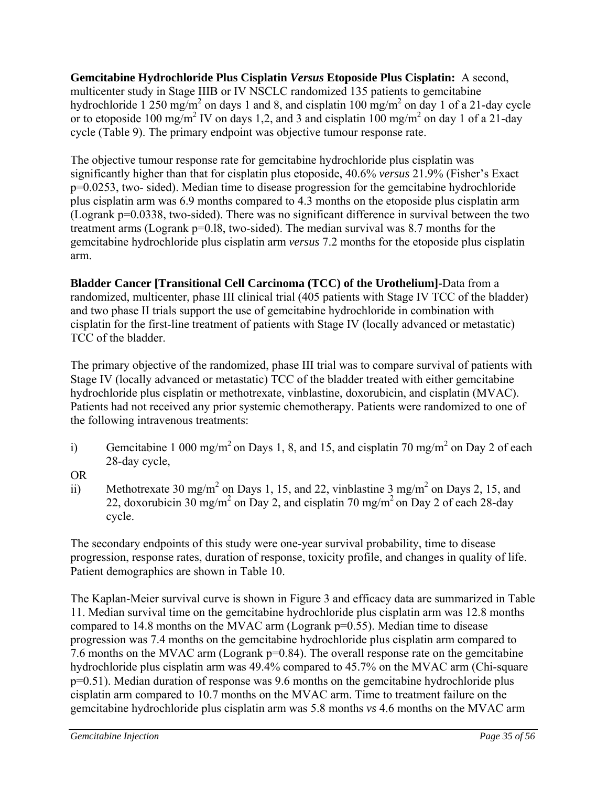**Gemcitabine Hydrochloride Plus Cisplatin** *Versus* **Etoposide Plus Cisplatin:** A second, multicenter study in Stage IIIB or IV NSCLC randomized 135 patients to gemcitabine hydrochloride 1 250 mg/m<sup>2</sup> on days 1 and 8, and cisplatin 100 mg/m<sup>2</sup> on day 1 of a 21-day cycle or to etoposide 100 mg/m<sup>2</sup> IV on days 1,2, and 3 and cisplatin 100 mg/m<sup>2</sup> on day 1 of a 21-day cycle (Table 9). The primary endpoint was objective tumour response rate.

The objective tumour response rate for gemcitabine hydrochloride plus cisplatin was significantly higher than that for cisplatin plus etoposide, 40.6% *versus* 21.9% (Fisher's Exact p=0.0253, two- sided). Median time to disease progression for the gemcitabine hydrochloride plus cisplatin arm was 6.9 months compared to 4.3 months on the etoposide plus cisplatin arm (Logrank p=0.0338, two-sided). There was no significant difference in survival between the two treatment arms (Logrank p=0.l8, two-sided). The median survival was 8.7 months for the gemcitabine hydrochloride plus cisplatin arm *versus* 7.2 months for the etoposide plus cisplatin arm.

**Bladder Cancer [Transitional Cell Carcinoma (TCC) of the Urothelium]-**Data from a randomized, multicenter, phase III clinical trial (405 patients with Stage IV TCC of the bladder) and two phase II trials support the use of gemcitabine hydrochloride in combination with cisplatin for the first-line treatment of patients with Stage IV (locally advanced or metastatic) TCC of the bladder.

The primary objective of the randomized, phase III trial was to compare survival of patients with Stage IV (locally advanced or metastatic) TCC of the bladder treated with either gemcitabine hydrochloride plus cisplatin or methotrexate, vinblastine, doxorubicin, and cisplatin (MVAC). Patients had not received any prior systemic chemotherapy. Patients were randomized to one of the following intravenous treatments:

- i) Gemcitabine 1 000 mg/m<sup>2</sup> on Days 1, 8, and 15, and cisplatin 70 mg/m<sup>2</sup> on Day 2 of each 28-day cycle,
- OR
- ii) Methotrexate 30 mg/m<sup>2</sup> on Days 1, 15, and 22, vinblastine 3 mg/m<sup>2</sup> on Days 2, 15, and 22, doxorubicin 30 mg/m<sup>2</sup> on Day 2, and cisplatin 70 mg/m<sup>2</sup> on Day 2 of each 28-day cycle.

The secondary endpoints of this study were one-year survival probability, time to disease progression, response rates, duration of response, toxicity profile, and changes in quality of life. Patient demographics are shown in Table 10.

The Kaplan-Meier survival curve is shown in Figure 3 and efficacy data are summarized in Table 11. Median survival time on the gemcitabine hydrochloride plus cisplatin arm was 12.8 months compared to 14.8 months on the MVAC arm (Logrank p=0.55). Median time to disease progression was 7.4 months on the gemcitabine hydrochloride plus cisplatin arm compared to 7.6 months on the MVAC arm (Logrank p=0.84). The overall response rate on the gemcitabine hydrochloride plus cisplatin arm was 49.4% compared to 45.7% on the MVAC arm (Chi-square p=0.51). Median duration of response was 9.6 months on the gemcitabine hydrochloride plus cisplatin arm compared to 10.7 months on the MVAC arm. Time to treatment failure on the gemcitabine hydrochloride plus cisplatin arm was 5.8 months *vs* 4.6 months on the MVAC arm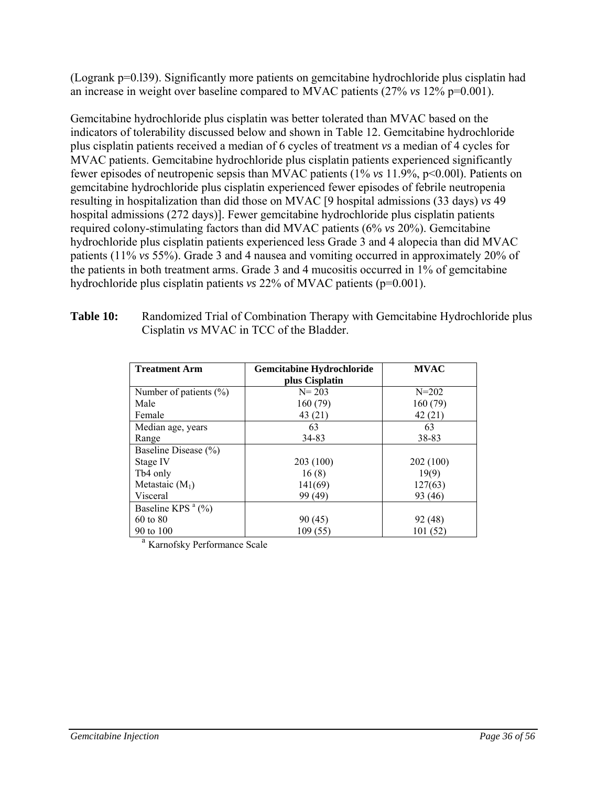(Logrank p=0.l39). Significantly more patients on gemcitabine hydrochloride plus cisplatin had an increase in weight over baseline compared to MVAC patients (27% *vs* 12% p=0.001).

Gemcitabine hydrochloride plus cisplatin was better tolerated than MVAC based on the indicators of tolerability discussed below and shown in Table 12. Gemcitabine hydrochloride plus cisplatin patients received a median of 6 cycles of treatment *vs* a median of 4 cycles for MVAC patients. Gemcitabine hydrochloride plus cisplatin patients experienced significantly fewer episodes of neutropenic sepsis than MVAC patients (1% *vs* 11.9%, p<0.00l). Patients on gemcitabine hydrochloride plus cisplatin experienced fewer episodes of febrile neutropenia resulting in hospitalization than did those on MVAC [9 hospital admissions (33 days) *vs* 49 hospital admissions (272 days)]. Fewer gemcitabine hydrochloride plus cisplatin patients required colony-stimulating factors than did MVAC patients (6% *vs* 20%). Gemcitabine hydrochloride plus cisplatin patients experienced less Grade 3 and 4 alopecia than did MVAC patients (11% *vs* 55%). Grade 3 and 4 nausea and vomiting occurred in approximately 20% of the patients in both treatment arms. Grade 3 and 4 mucositis occurred in 1% of gemcitabine hydrochloride plus cisplatin patients *vs* 22% of MVAC patients (p=0.001).

| <b>Treatment Arm</b>                       | <b>Gemcitabine Hydrochloride</b> |           |
|--------------------------------------------|----------------------------------|-----------|
|                                            | plus Cisplatin                   |           |
| Number of patients $(\% )$                 | $N = 203$                        | $N = 202$ |
| Male                                       | 160(79)                          | 160(79)   |
| Female                                     | 43(21)                           | 42(21)    |
| Median age, years                          | 63                               | 63        |
| Range                                      | 34-83                            | 38-83     |
| Baseline Disease (%)                       |                                  |           |
| Stage IV                                   | 203 (100)                        | 202 (100) |
| Tb4 only                                   | 16(8)                            | 19(9)     |
| Metastaic $(M_1)$                          | 141(69)                          | 127(63)   |
| Visceral                                   | 99 (49)                          | 93 (46)   |
| Baseline KPS <sup><math>a</math></sup> (%) |                                  |           |
| 60 to 80                                   | 90(45)                           | 92 (48)   |
| 90 to 100                                  | 109(55)                          | 101(52)   |

**Table 10:** Randomized Trial of Combination Therapy with Gemcitabine Hydrochloride plus Cisplatin *vs* MVAC in TCC of the Bladder.

<sup>a</sup> Karnofsky Performance Scale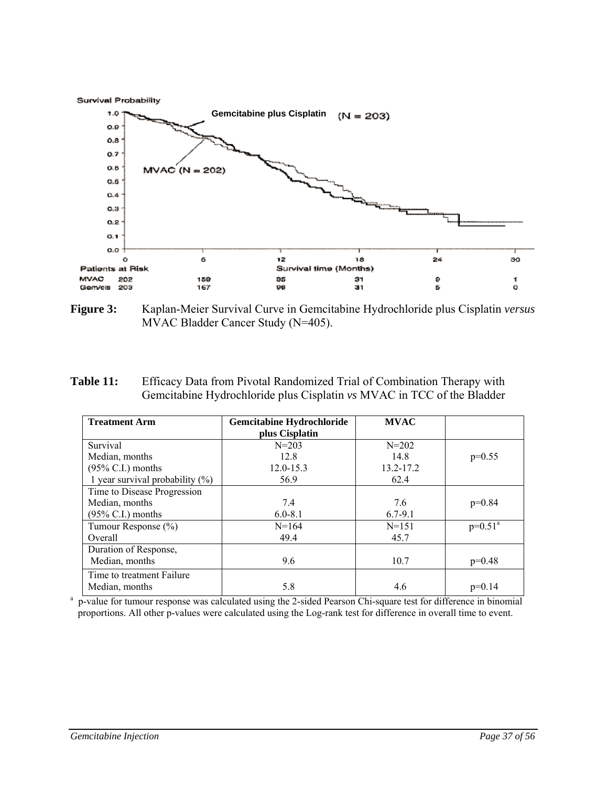



**Figure 3:** Kaplan-Meier Survival Curve in Gemcitabine Hydrochloride plus Cisplatin *versus* MVAC Bladder Cancer Study (N=405).

**Table 11:** Efficacy Data from Pivotal Randomized Trial of Combination Therapy with Gemcitabine Hydrochloride plus Cisplatin *vs* MVAC in TCC of the Bladder

| <b>Treatment Arm</b>               | <b>Gemcitabine Hydrochloride</b> | <b>MVAC</b> |            |
|------------------------------------|----------------------------------|-------------|------------|
|                                    | plus Cisplatin                   |             |            |
| Survival                           | $N = 203$                        | $N = 202$   |            |
| Median, months                     | 12.8                             | 14.8        | $p=0.55$   |
| $(95\%$ C.I.) months               | $12.0 - 15.3$                    | 13.2-17.2   |            |
| 1 year survival probability $(\%)$ | 56.9                             | 62.4        |            |
| Time to Disease Progression        |                                  |             |            |
| Median, months                     | 7.4                              | 7.6         | $p=0.84$   |
| $(95\% \text{ C.I.})$ months       | $6.0 - 8.1$                      | $6.7 - 9.1$ |            |
| Tumour Response (%)                | $N = 164$                        | $N = 151$   | $p=0.51^a$ |
| Overall                            | 49.4                             | 45.7        |            |
| Duration of Response,              |                                  |             |            |
| Median, months                     | 9.6                              | 10.7        | $p=0.48$   |
| Time to treatment Failure          |                                  |             |            |
| Median, months                     | 5.8                              | 4.6         | $p=0.14$   |

<sup>a</sup> p-value for tumour response was calculated using the 2-sided Pearson Chi-square test for difference in binomial proportions. All other p-values were calculated using the Log-rank test for difference in overall time to event.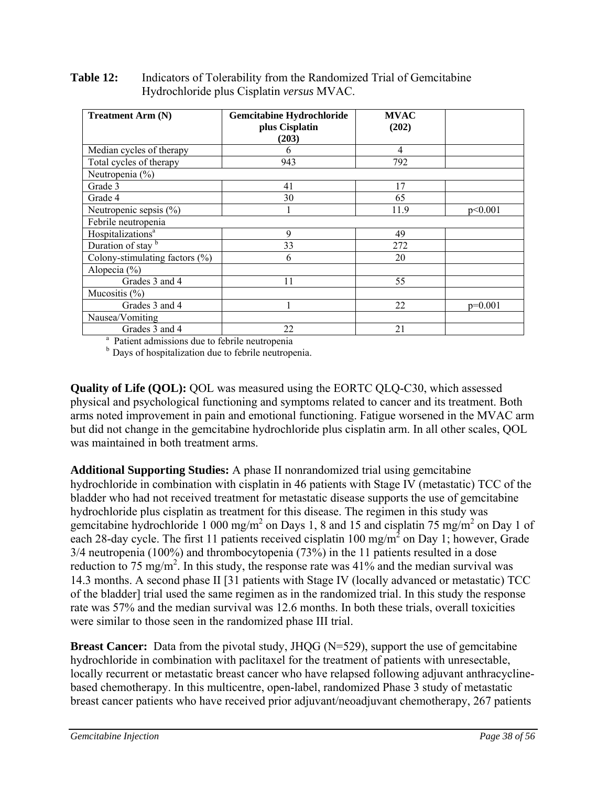| <b>Treatment Arm (N)</b>                                   | Gemcitabine Hydrochloride<br>plus Cisplatin<br>(203) | <b>MVAC</b><br>(202) |           |
|------------------------------------------------------------|------------------------------------------------------|----------------------|-----------|
| Median cycles of therapy                                   | 6                                                    | 4                    |           |
| Total cycles of therapy                                    | 943                                                  | 792                  |           |
| Neutropenia (%)                                            |                                                      |                      |           |
| Grade 3                                                    | 41                                                   | 17                   |           |
| Grade 4                                                    | 30                                                   | 65                   |           |
| Neutropenic sepsis (%)                                     |                                                      | 11.9                 | p<0.001   |
| Febrile neutropenia                                        |                                                      |                      |           |
| Hospitalizations <sup>a</sup>                              | 9                                                    | 49                   |           |
| Duration of stay b                                         | 33                                                   | 272                  |           |
| Colony-stimulating factors $(\% )$                         | 6                                                    | 20                   |           |
| Alopecia $(\% )$                                           |                                                      |                      |           |
| Grades 3 and 4                                             | 11                                                   | 55                   |           |
| Mucositis $(\% )$                                          |                                                      |                      |           |
| Grades 3 and 4                                             |                                                      | 22                   | $p=0.001$ |
| Nausea/Vomiting                                            |                                                      |                      |           |
| Grades 3 and 4                                             | 22                                                   | 21                   |           |
| <sup>a</sup> Patient admissions due to febrile neutropenia |                                                      |                      |           |

**Table 12:** Indicators of Tolerability from the Randomized Trial of Gemcitabine Hydrochloride plus Cisplatin *versus* MVAC.

<sup>b</sup> Days of hospitalization due to febrile neutropenia.

**Quality of Life (QOL):** QOL was measured using the EORTC QLQ-C30, which assessed physical and psychological functioning and symptoms related to cancer and its treatment. Both arms noted improvement in pain and emotional functioning. Fatigue worsened in the MVAC arm but did not change in the gemcitabine hydrochloride plus cisplatin arm. In all other scales, QOL was maintained in both treatment arms.

**Additional Supporting Studies:** A phase II nonrandomized trial using gemcitabine hydrochloride in combination with cisplatin in 46 patients with Stage IV (metastatic) TCC of the bladder who had not received treatment for metastatic disease supports the use of gemcitabine hydrochloride plus cisplatin as treatment for this disease. The regimen in this study was gemcitabine hydrochloride 1 000 mg/m<sup>2</sup> on Days 1, 8 and 15 and cisplatin 75 mg/m<sup>2</sup> on Day 1 of each 28-day cycle. The first 11 patients received cisplatin 100 mg/m<sup>2</sup> on Day 1; however, Grade 3/4 neutropenia (100%) and thrombocytopenia (73%) in the 11 patients resulted in a dose reduction to 75 mg/m<sup>2</sup>. In this study, the response rate was  $41\%$  and the median survival was 14.3 months. A second phase II [31 patients with Stage IV (locally advanced or metastatic) TCC of the bladder] trial used the same regimen as in the randomized trial. In this study the response rate was 57% and the median survival was 12.6 months. In both these trials, overall toxicities were similar to those seen in the randomized phase III trial.

**Breast Cancer:** Data from the pivotal study, JHQG (N=529), support the use of gemcitabine hydrochloride in combination with paclitaxel for the treatment of patients with unresectable, locally recurrent or metastatic breast cancer who have relapsed following adjuvant anthracyclinebased chemotherapy. In this multicentre, open-label, randomized Phase 3 study of metastatic breast cancer patients who have received prior adjuvant/neoadjuvant chemotherapy, 267 patients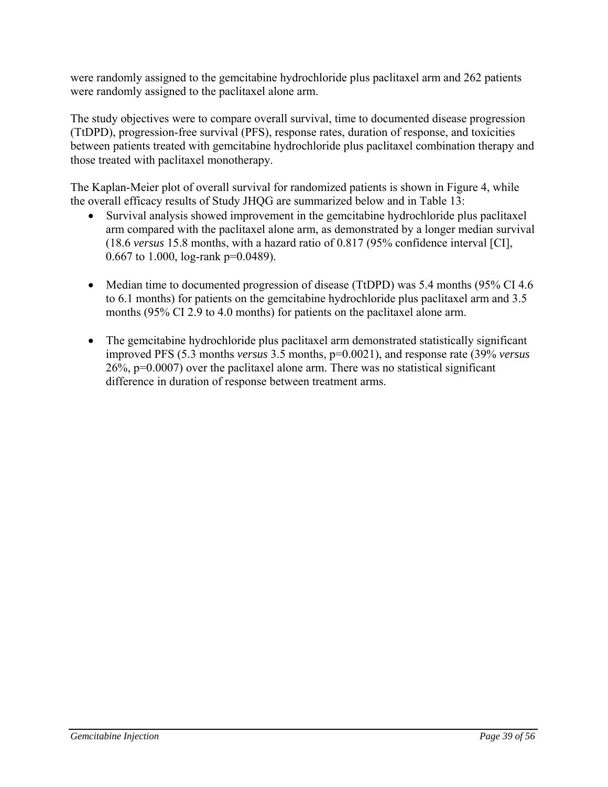were randomly assigned to the gemcitabine hydrochloride plus paclitaxel arm and 262 patients were randomly assigned to the paclitaxel alone arm.

The study objectives were to compare overall survival, time to documented disease progression (TtDPD), progression-free survival (PFS), response rates, duration of response, and toxicities between patients treated with gemcitabine hydrochloride plus paclitaxel combination therapy and those treated with paclitaxel monotherapy.

The Kaplan-Meier plot of overall survival for randomized patients is shown in Figure 4, while the overall efficacy results of Study JHQG are summarized below and in Table 13:

- Survival analysis showed improvement in the gemcitabine hydrochloride plus paclitaxel arm compared with the paclitaxel alone arm, as demonstrated by a longer median survival (18.6 *versus* 15.8 months, with a hazard ratio of 0.817 (95% confidence interval [CI], 0.667 to 1.000, log-rank p=0.0489).
- Median time to documented progression of disease (TtDPD) was 5.4 months (95% CI 4.6 to 6.1 months) for patients on the gemcitabine hydrochloride plus paclitaxel arm and 3.5 months (95% CI 2.9 to 4.0 months) for patients on the paclitaxel alone arm.
- The gemcitabine hydrochloride plus paclitaxel arm demonstrated statistically significant improved PFS (5.3 months *versus* 3.5 months, p=0.0021), and response rate (39% *versus* 26%, p=0.0007) over the paclitaxel alone arm. There was no statistical significant difference in duration of response between treatment arms.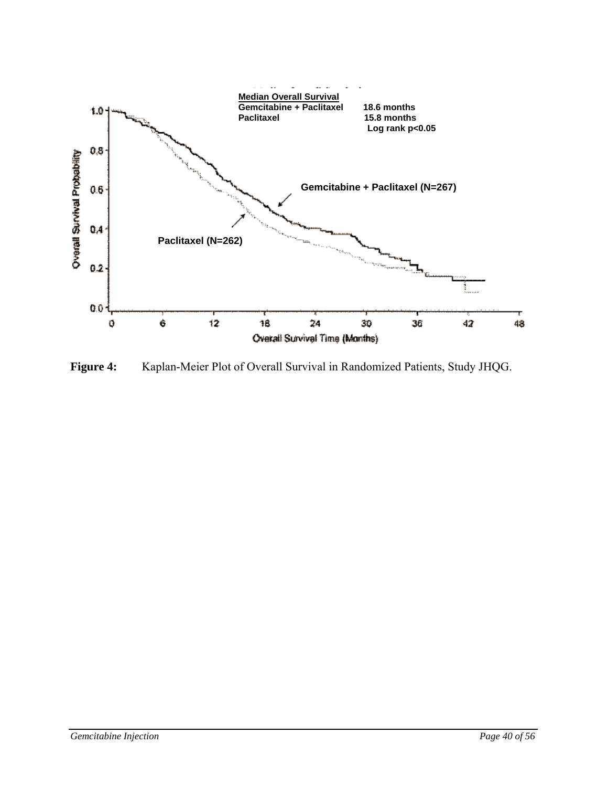

**Figure 4:** Kaplan-Meier Plot of Overall Survival in Randomized Patients, Study JHQG.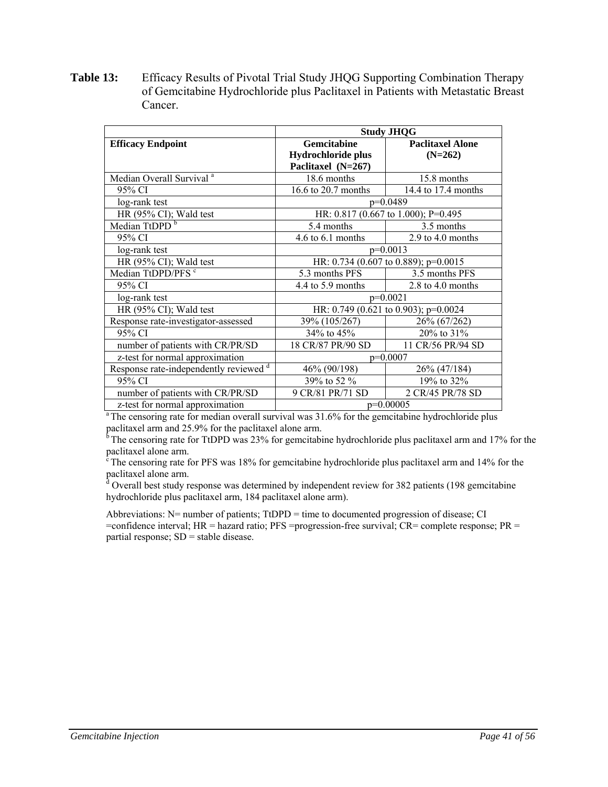**Table 13:** Efficacy Results of Pivotal Trial Study JHQG Supporting Combination Therapy of Gemcitabine Hydrochloride plus Paclitaxel in Patients with Metastatic Breast Cancer.

|                                        | <b>Study JHQG</b>                    |                                      |  |  |  |
|----------------------------------------|--------------------------------------|--------------------------------------|--|--|--|
| <b>Efficacy Endpoint</b>               | Gemcitabine                          | <b>Paclitaxel Alone</b>              |  |  |  |
|                                        | Hydrochloride plus                   | $(N=262)$                            |  |  |  |
|                                        | Paclitaxel (N=267)                   |                                      |  |  |  |
| Median Overall Survival <sup>a</sup>   | 18.6 months                          | 15.8 months                          |  |  |  |
| 95% CI                                 | 16.6 to 20.7 months                  | 14.4 to 17.4 months                  |  |  |  |
| log-rank test                          |                                      | $p=0.0489$                           |  |  |  |
| HR $(95\% \text{ CI})$ ; Wald test     |                                      | HR: 0.817 (0.667 to 1.000); P=0.495  |  |  |  |
| Median TtDPD <sup>b</sup>              | 5.4 months                           | 3.5 months                           |  |  |  |
| 95% CI                                 | 4.6 to 6.1 months                    | 2.9 to 4.0 months                    |  |  |  |
| log-rank test                          | $p=0.0013$                           |                                      |  |  |  |
| HR $(95\% \text{ CI})$ ; Wald test     |                                      | HR: 0.734 (0.607 to 0.889); p=0.0015 |  |  |  |
| Median TtDPD/PFS <sup>c</sup>          | 5.3 months PFS                       | 3.5 months PFS                       |  |  |  |
| 95% CI                                 | 4.4 to 5.9 months                    | 2.8 to 4.0 months                    |  |  |  |
| log-rank test                          |                                      | $p=0.0021$                           |  |  |  |
| HR $(95\% \text{ CI})$ ; Wald test     | HR: 0.749 (0.621 to 0.903); p=0.0024 |                                      |  |  |  |
| Response rate-investigator-assessed    | 39% (105/267)                        | 26% (67/262)                         |  |  |  |
| 95% CI                                 | $34\%$ to $45\%$                     | 20% to 31%                           |  |  |  |
| number of patients with CR/PR/SD       | 18 CR/87 PR/90 SD                    | 11 CR/56 PR/94 SD                    |  |  |  |
| z-test for normal approximation        | $p=0.0007$                           |                                      |  |  |  |
| Response rate-independently reviewed d | 46% (90/198)                         | 26% (47/184)                         |  |  |  |
| 95% CI                                 | 39% to 52 %                          | 19% to 32%                           |  |  |  |
| number of patients with CR/PR/SD       | 9 CR/81 PR/71 SD                     | 2 CR/45 PR/78 SD                     |  |  |  |
| z-test for normal approximation        | $p=0.00005$                          |                                      |  |  |  |

<sup>a</sup> The censoring rate for median overall survival was 31.6% for the gemcitabine hydrochloride plus paclitaxel arm and 25.9% for the paclitaxel alone arm.

 $<sup>6</sup>$  The censoring rate for TtDPD was 23% for gemcitabine hydrochloride plus paclitaxel arm and 17% for the</sup>

paclitaxel alone arm.<br>
<sup>c</sup> The censoring rate for PFS was 18% for gemcitabine hydrochloride plus paclitaxel arm and 14% for the paclitaxel alone arm.

<sup>d</sup> Overall best study response was determined by independent review for 382 patients (198 gemcitabine hydrochloride plus paclitaxel arm, 184 paclitaxel alone arm).

Abbreviations: N= number of patients; TtDPD = time to documented progression of disease; CI =confidence interval; HR = hazard ratio; PFS =progression-free survival; CR= complete response; PR = partial response;  $SD = stable$  disease.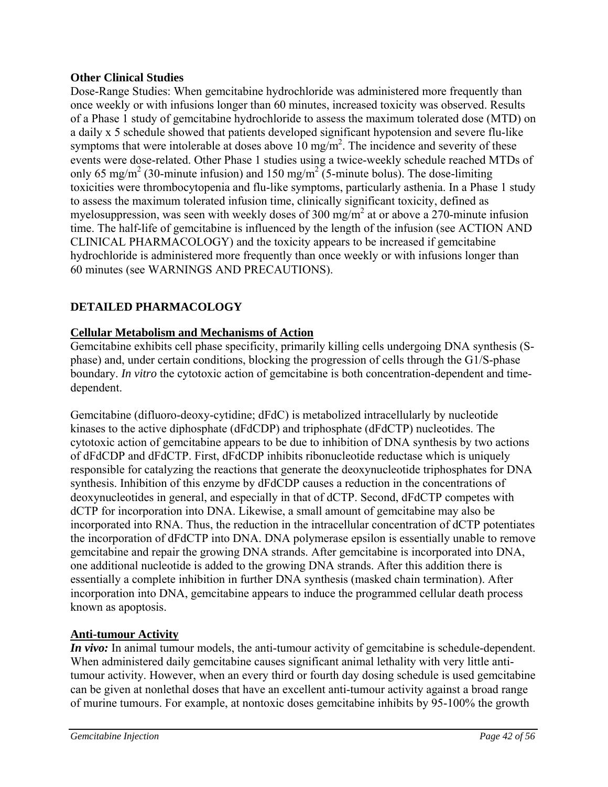# **Other Clinical Studies**

Dose-Range Studies: When gemcitabine hydrochloride was administered more frequently than once weekly or with infusions longer than 60 minutes, increased toxicity was observed. Results of a Phase 1 study of gemcitabine hydrochloride to assess the maximum tolerated dose (MTD) on a daily x 5 schedule showed that patients developed significant hypotension and severe flu-like symptoms that were intolerable at doses above  $10 \text{ mg/m}^2$ . The incidence and severity of these events were dose-related. Other Phase 1 studies using a twice-weekly schedule reached MTDs of only 65 mg/m<sup>2</sup> (30-minute infusion) and 150 mg/m<sup>2</sup> (5-minute bolus). The dose-limiting toxicities were thrombocytopenia and flu-like symptoms, particularly asthenia. In a Phase 1 study to assess the maximum tolerated infusion time, clinically significant toxicity, defined as myelosuppression, was seen with weekly doses of 300 mg/m<sup>2</sup> at or above a 270-minute infusion time. The half-life of gemcitabine is influenced by the length of the infusion (see ACTION AND CLINICAL PHARMACOLOGY) and the toxicity appears to be increased if gemcitabine hydrochloride is administered more frequently than once weekly or with infusions longer than 60 minutes (see WARNINGS AND PRECAUTIONS).

# **DETAILED PHARMACOLOGY**

# **Cellular Metabolism and Mechanisms of Action**

Gemcitabine exhibits cell phase specificity, primarily killing cells undergoing DNA synthesis (Sphase) and, under certain conditions, blocking the progression of cells through the G1/S-phase boundary. *In vitro* the cytotoxic action of gemcitabine is both concentration-dependent and timedependent.

Gemcitabine (difluoro-deoxy-cytidine; dFdC) is metabolized intracellularly by nucleotide kinases to the active diphosphate (dFdCDP) and triphosphate (dFdCTP) nucleotides. The cytotoxic action of gemcitabine appears to be due to inhibition of DNA synthesis by two actions of dFdCDP and dFdCTP. First, dFdCDP inhibits ribonucleotide reductase which is uniquely responsible for catalyzing the reactions that generate the deoxynucleotide triphosphates for DNA synthesis. Inhibition of this enzyme by dFdCDP causes a reduction in the concentrations of deoxynucleotides in general, and especially in that of dCTP. Second, dFdCTP competes with dCTP for incorporation into DNA. Likewise, a small amount of gemcitabine may also be incorporated into RNA. Thus, the reduction in the intracellular concentration of dCTP potentiates the incorporation of dFdCTP into DNA. DNA polymerase epsilon is essentially unable to remove gemcitabine and repair the growing DNA strands. After gemcitabine is incorporated into DNA, one additional nucleotide is added to the growing DNA strands. After this addition there is essentially a complete inhibition in further DNA synthesis (masked chain termination). After incorporation into DNA, gemcitabine appears to induce the programmed cellular death process known as apoptosis.

# **Anti-tumour Activity**

*In vivo:* In animal tumour models, the anti-tumour activity of gemcitabine is schedule-dependent. When administered daily gemcitabine causes significant animal lethality with very little antitumour activity. However, when an every third or fourth day dosing schedule is used gemcitabine can be given at nonlethal doses that have an excellent anti-tumour activity against a broad range of murine tumours. For example, at nontoxic doses gemcitabine inhibits by 95-100% the growth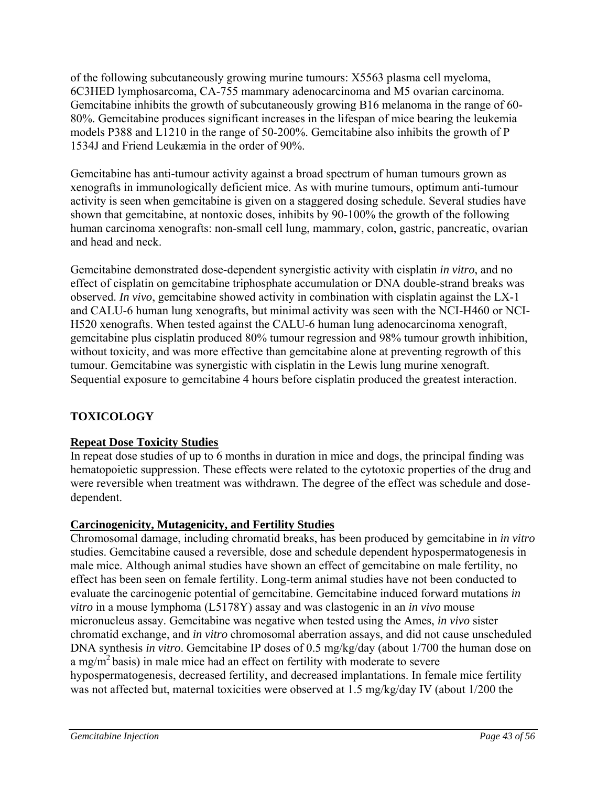of the following subcutaneously growing murine tumours: X5563 plasma cell myeloma, 6C3HED lymphosarcoma, CA-755 mammary adenocarcinoma and M5 ovarian carcinoma. Gemcitabine inhibits the growth of subcutaneously growing B16 melanoma in the range of 60- 80%. Gemcitabine produces significant increases in the lifespan of mice bearing the leukemia models P388 and L1210 in the range of 50-200%. Gemcitabine also inhibits the growth of P 1534J and Friend Leukæmia in the order of 90%.

Gemcitabine has anti-tumour activity against a broad spectrum of human tumours grown as xenografts in immunologically deficient mice. As with murine tumours, optimum anti-tumour activity is seen when gemcitabine is given on a staggered dosing schedule. Several studies have shown that gemcitabine, at nontoxic doses, inhibits by 90-100% the growth of the following human carcinoma xenografts: non-small cell lung, mammary, colon, gastric, pancreatic, ovarian and head and neck.

Gemcitabine demonstrated dose-dependent synergistic activity with cisplatin *in vitro*, and no effect of cisplatin on gemcitabine triphosphate accumulation or DNA double-strand breaks was observed. *In vivo*, gemcitabine showed activity in combination with cisplatin against the LX-1 and CALU-6 human lung xenografts, but minimal activity was seen with the NCI-H460 or NCI-H520 xenografts. When tested against the CALU-6 human lung adenocarcinoma xenograft, gemcitabine plus cisplatin produced 80% tumour regression and 98% tumour growth inhibition, without toxicity, and was more effective than gemcitabine alone at preventing regrowth of this tumour. Gemcitabine was synergistic with cisplatin in the Lewis lung murine xenograft. Sequential exposure to gemcitabine 4 hours before cisplatin produced the greatest interaction.

# **TOXICOLOGY**

# **Repeat Dose Toxicity Studies**

In repeat dose studies of up to 6 months in duration in mice and dogs, the principal finding was hematopoietic suppression. These effects were related to the cytotoxic properties of the drug and were reversible when treatment was withdrawn. The degree of the effect was schedule and dosedependent.

# **Carcinogenicity, Mutagenicity, and Fertility Studies**

Chromosomal damage, including chromatid breaks, has been produced by gemcitabine in *in vitro* studies. Gemcitabine caused a reversible, dose and schedule dependent hypospermatogenesis in male mice. Although animal studies have shown an effect of gemcitabine on male fertility, no effect has been seen on female fertility. Long-term animal studies have not been conducted to evaluate the carcinogenic potential of gemcitabine. Gemcitabine induced forward mutations *in vitro* in a mouse lymphoma (L5178Y) assay and was clastogenic in an *in vivo* mouse micronucleus assay. Gemcitabine was negative when tested using the Ames, *in vivo* sister chromatid exchange, and *in vitro* chromosomal aberration assays, and did not cause unscheduled DNA synthesis *in vitro*. Gemcitabine IP doses of 0.5 mg/kg/day (about 1/700 the human dose on a mg/m<sup>2</sup> basis) in male mice had an effect on fertility with moderate to severe hypospermatogenesis, decreased fertility, and decreased implantations. In female mice fertility was not affected but, maternal toxicities were observed at 1.5 mg/kg/day IV (about 1/200 the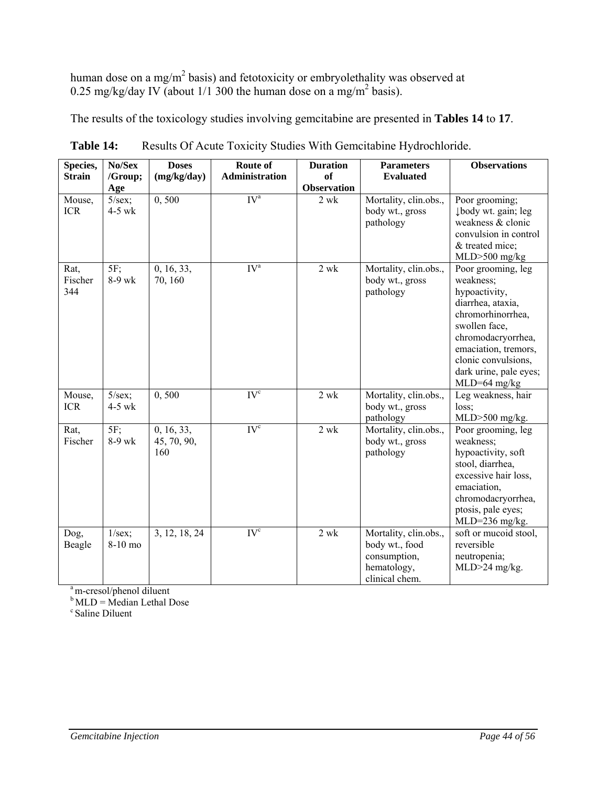human dose on a mg/m<sup>2</sup> basis) and fetotoxicity or embryolethality was observed at 0.25 mg/kg/day IV (about  $1/1$  300 the human dose on a mg/m<sup>2</sup> basis).

The results of the toxicology studies involving gemcitabine are presented in **Tables 14** to **17**.

| Species,               | No/Sex                      | <b>Doses</b>                     | Route of          | <b>Duration</b>                 | <b>Parameters</b>                                                                        | <b>Observations</b>                                                                                                                                                                                                        |
|------------------------|-----------------------------|----------------------------------|-------------------|---------------------------------|------------------------------------------------------------------------------------------|----------------------------------------------------------------------------------------------------------------------------------------------------------------------------------------------------------------------------|
| <b>Strain</b>          | /Group;<br>Age              | (mg/kg/day)                      | Administration    | <b>of</b><br><b>Observation</b> | <b>Evaluated</b>                                                                         |                                                                                                                                                                                                                            |
| Mouse,<br><b>ICR</b>   | $5/\text{sex};$<br>$4-5$ wk | 0, 500                           | IV <sup>a</sup>   | 2 wk                            | Mortality, clin.obs.,<br>body wt., gross<br>pathology                                    | Poor grooming;<br>Jbody wt. gain; leg<br>weakness & clonic<br>convulsion in control<br>& treated mice;<br>$MLD$ > 500 mg/kg                                                                                                |
| Rat,<br>Fischer<br>344 | $5F$ ;<br>8-9 wk            | 0, 16, 33,<br>70, 160            | $\overline{IV}^a$ | $2$ wk                          | Mortality, clin.obs.,<br>body wt., gross<br>pathology                                    | Poor grooming, leg<br>weakness;<br>hypoactivity,<br>diarrhea, ataxia,<br>chromorhinorrhea,<br>swollen face,<br>chromodacryorrhea,<br>emaciation, tremors,<br>clonic convulsions,<br>dark urine, pale eyes;<br>MLD=64 mg/kg |
| Mouse,<br><b>ICR</b>   | $5/sec$ ;<br>$4-5$ wk       | 0, 500                           | IV <sup>c</sup>   | $\overline{2}$ wk               | Mortality, clin.obs.,<br>body wt., gross<br>pathology                                    | Leg weakness, hair<br>loss;<br>$MLD$ > 500 mg/kg.                                                                                                                                                                          |
| Rat,<br>Fischer        | $5F$ ;<br>8-9 wk            | 0, 16, 33,<br>45, 70, 90,<br>160 | IV <sup>c</sup>   | $2$ wk                          | Mortality, clin.obs.,<br>body wt., gross<br>pathology                                    | Poor grooming, leg<br>weakness;<br>hypoactivity, soft<br>stool, diarrhea,<br>excessive hair loss,<br>emaciation,<br>chromodacryorrhea,<br>ptosis, pale eyes;<br>MLD=236 mg/kg.                                             |
| Dog,<br>Beagle         | $1/sec$ ;<br>8-10 mo        | 3, 12, 18, 24                    | IV <sup>c</sup>   | $2\ \mathrm{wk}$                | Mortality, clin.obs.,<br>body wt., food<br>consumption,<br>hematology,<br>clinical chem. | soft or mucoid stool,<br>reversible<br>neutropenia;<br>MLD>24 mg/kg.                                                                                                                                                       |

Table 14: Results Of Acute Toxicity Studies With Gemcitabine Hydrochloride.

<sup>a</sup> m-cresol/phenol diluent

 $b$  MLD = Median Lethal Dose

c Saline Diluent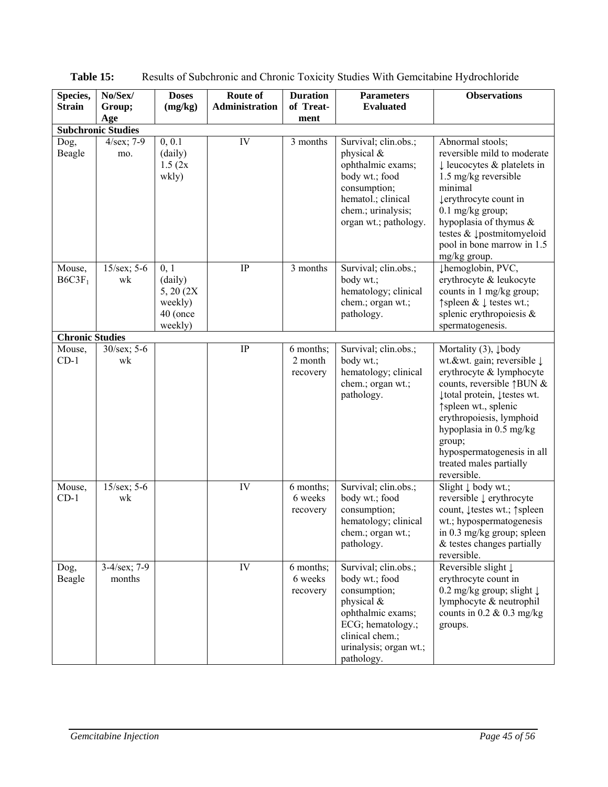| Species,                     | No/Sex/                   | <b>Doses</b>                                                    | Route of       | <b>Duration</b>                  | <b>Parameters</b>                                                                                                                                                         | <b>Observations</b>                                                                                                                                                                                                                                                                                                                     |
|------------------------------|---------------------------|-----------------------------------------------------------------|----------------|----------------------------------|---------------------------------------------------------------------------------------------------------------------------------------------------------------------------|-----------------------------------------------------------------------------------------------------------------------------------------------------------------------------------------------------------------------------------------------------------------------------------------------------------------------------------------|
| <b>Strain</b>                | Group;<br>Age             | (mg/kg)                                                         | Administration | of Treat-<br>ment                | <b>Evaluated</b>                                                                                                                                                          |                                                                                                                                                                                                                                                                                                                                         |
|                              | <b>Subchronic Studies</b> |                                                                 |                |                                  |                                                                                                                                                                           |                                                                                                                                                                                                                                                                                                                                         |
| Dog,<br>Beagle               | $4/sec$ ; 7-9<br>mo.      | 0, 0.1<br>(daily)<br>1.5(2x)<br>wkly)                           | IV             | 3 months                         | Survival; clin.obs.;<br>physical &<br>ophthalmic exams;<br>body wt.; food<br>consumption;<br>hematol.; clinical<br>chem.; urinalysis;<br>organ wt.; pathology.            | Abnormal stools;<br>reversible mild to moderate<br>$\downarrow$ leucocytes & platelets in<br>1.5 mg/kg reversible<br>minimal<br>lerythrocyte count in<br>$0.1$ mg/kg group;<br>hypoplasia of thymus $\&$<br>testes & 1postmitomyeloid<br>pool in bone marrow in 1.5<br>mg/kg group.                                                     |
| Mouse,<br>B6C3F <sub>1</sub> | $15/sec$ ; 5-6<br>wk      | 0, 1<br>(daily)<br>5, 20 (2X)<br>weekly)<br>40 (once<br>weekly) | IP             | 3 months                         | Survival; clin.obs.;<br>body wt.;<br>hematology; clinical<br>chem.; organ wt.;<br>pathology.                                                                              | µhemoglobin, PVC,<br>erythrocyte & leukocyte<br>counts in 1 mg/kg group;<br>↑ spleen & $\downarrow$ testes wt.;<br>splenic erythropoiesis $\&$<br>spermatogenesis.                                                                                                                                                                      |
| <b>Chronic Studies</b>       |                           |                                                                 |                |                                  |                                                                                                                                                                           |                                                                                                                                                                                                                                                                                                                                         |
| Mouse,<br>$CD-1$             | $30/sec$ ; 5-6<br>wk      |                                                                 | $\rm IP$       | 6 months;<br>2 month<br>recovery | Survival; clin.obs.;<br>body wt.;<br>hematology; clinical<br>chem.; organ wt.;<br>pathology.                                                                              | Mortality $(3)$ , $\downarrow$ body<br>wt.&wt. gain; reversible ↓<br>erythrocyte & lymphocyte<br>counts, reversible $\uparrow$ BUN &<br>↓ total protein, ↓ testes wt.<br>↑ spleen wt., splenic<br>erythropoiesis, lymphoid<br>hypoplasia in 0.5 mg/kg<br>group;<br>hypospermatogenesis in all<br>treated males partially<br>reversible. |
| Mouse,<br>$CD-1$             | $15/sec$ ; 5-6<br>wk      |                                                                 | IV             | 6 months;<br>6 weeks<br>recovery | Survival; clin.obs.;<br>body wt.; food<br>consumption;<br>hematology; clinical<br>chem.; organ wt.;<br>pathology.                                                         | Slight $\downarrow$ body wt.;<br>reversible ↓ erythrocyte<br>count, ↓ testes wt.; ↑ spleen<br>wt.; hypospermatogenesis<br>in 0.3 mg/kg group; spleen<br>& testes changes partially<br>reversible.                                                                                                                                       |
| Dog,<br>Beagle               | $3-4/sec$ ; 7-9<br>months |                                                                 | IV             | 6 months;<br>6 weeks<br>recovery | Survival; clin.obs.;<br>body wt.; food<br>consumption;<br>physical &<br>ophthalmic exams;<br>ECG; hematology.;<br>clinical chem.;<br>urinalysis; organ wt.;<br>pathology. | Reversible slight $\downarrow$<br>erythrocyte count in<br>0.2 mg/kg group; slight $\downarrow$<br>lymphocyte & neutrophil<br>counts in $0.2 \& 0.3$ mg/kg<br>groups.                                                                                                                                                                    |

**Table 15:** Results of Subchronic and Chronic Toxicity Studies With Gemcitabine Hydrochloride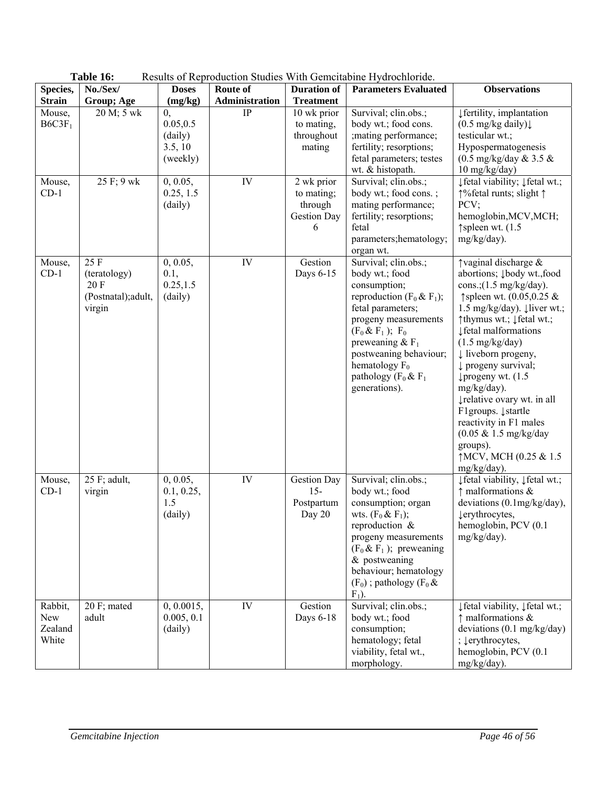|                                    | Table 16:                                                     | Results of Reproduction Studies With Gemeitabine Hydrochloride. |                |                                                         |                                                                                                                                                                                                                                                                                |                                                                                                                                                                                                                                                                                                                                                                                                                                                                                                                                                                   |
|------------------------------------|---------------------------------------------------------------|-----------------------------------------------------------------|----------------|---------------------------------------------------------|--------------------------------------------------------------------------------------------------------------------------------------------------------------------------------------------------------------------------------------------------------------------------------|-------------------------------------------------------------------------------------------------------------------------------------------------------------------------------------------------------------------------------------------------------------------------------------------------------------------------------------------------------------------------------------------------------------------------------------------------------------------------------------------------------------------------------------------------------------------|
| Species,                           | No./Sex/                                                      | <b>Doses</b>                                                    | Route of       | <b>Duration of</b>                                      | <b>Parameters Evaluated</b>                                                                                                                                                                                                                                                    | <b>Observations</b>                                                                                                                                                                                                                                                                                                                                                                                                                                                                                                                                               |
| <b>Strain</b>                      | Group; Age                                                    | (mg/kg)                                                         | Administration | <b>Treatment</b>                                        |                                                                                                                                                                                                                                                                                |                                                                                                                                                                                                                                                                                                                                                                                                                                                                                                                                                                   |
| Mouse,<br>B6C3F <sub>1</sub>       | 20 M; 5 wk                                                    | $\mathbf{0},$<br>0.05, 0.5<br>(daily)<br>3.5, 10<br>(weekly)    | $\rm IP$       | 10 wk prior<br>to mating,<br>throughout<br>mating       | Survival; clin.obs.;<br>body wt.; food cons.<br>; mating performance;<br>fertility; resorptions;<br>fetal parameters; testes<br>wt. & histopath.                                                                                                                               | ↓ fertility, implantation<br>$(0.5 \text{ mg/kg daily})$<br>testicular wt.;<br>Hypospermatogenesis<br>$(0.5 \text{ mg/kg/day} \& 3.5 \& )$<br>$10$ mg/kg/day)                                                                                                                                                                                                                                                                                                                                                                                                     |
| Mouse,<br>$CD-1$                   | 25 F; 9 wk                                                    | 0, 0.05,<br>0.25, 1.5<br>(daily)                                | IV             | 2 wk prior<br>to mating;<br>through<br>Gestion Day<br>6 | Survival; clin.obs.;<br>body wt.; food cons.;<br>mating performance;<br>fertility; resorptions;<br>fetal<br>parameters; hematology;<br>organ wt.                                                                                                                               | ↓ fetal viability; ↓ fetal wt.;<br>↑%fetal runts; slight ↑<br>PCV;<br>hemoglobin, MCV, MCH;<br>$\uparrow$ spleen wt. (1.5<br>mg/kg/day).                                                                                                                                                                                                                                                                                                                                                                                                                          |
| Mouse,<br>$CD-1$                   | 25 F<br>(teratology)<br>20 F<br>(Postnatal); adult,<br>virgin | 0, 0.05,<br>0.1,<br>0.25, 1.5<br>(daily)                        | IV             | Gestion<br>Days 6-15                                    | Survival; clin.obs.;<br>body wt.; food<br>consumption;<br>reproduction ( $F_0$ & $F_1$ );<br>fetal parameters;<br>progeny measurements<br>$(F_0 & F_1); F_0$<br>preweaning $& F_1$<br>postweaning behaviour;<br>hematology $F_0$<br>pathology ( $F_0$ & $F_1$<br>generations). | $\uparrow$ vaginal discharge &<br>abortions; <i>Įbody wt.,food</i><br>cons.; $(1.5 \text{ mg/kg/day})$ .<br>↑spleen wt. $(0.05, 0.25 \&$<br>1.5 mg/kg/day). $\downarrow$ liver wt.;<br>↑thymus wt.; ↓fetal wt.;<br>↓ fetal malformations<br>$(1.5 \text{ mg/kg/day})$<br>$\downarrow$ liveborn progeny,<br>$\downarrow$ progeny survival;<br>$\downarrow$ progeny wt. (1.5)<br>mg/kg/day).<br>↓relative ovary wt. in all<br>F1groups. ↓startle<br>reactivity in F1 males<br>$(0.05 \& 1.5 \text{ mg/kg/day})$<br>groups).<br>↑MCV, MCH (0.25 & 1.5<br>mg/kg/day). |
| Mouse,<br>$CD-1$                   | 25 F; adult,<br>virgin                                        | 0, 0.05,<br>0.1, 0.25,<br>1.5<br>(daily)                        | IV             | <b>Gestion Day</b><br>$15-$<br>Postpartum<br>Day 20     | Survival; clin.obs.;<br>body wt.; food<br>consumption; organ<br>wts. $(F_0 & F_1)$ ;<br>reproduction &<br>progeny measurements<br>$(F_0 \& F_1)$ ; preweaning<br>$&$ postweaning<br>behaviour; hematology<br>$(F_0)$ ; pathology $(F_0 \&$<br>$F_1$ ).                         | ↓ fetal viability, ↓ fetal wt.;<br>$\uparrow$ malformations &<br>deviations $(0.1 \text{mg/kg/day})$ ,<br>lerythrocytes,<br>hemoglobin, PCV (0.1<br>mg/kg/day).                                                                                                                                                                                                                                                                                                                                                                                                   |
| Rabbit,<br>New<br>Zealand<br>White | 20 F; mated<br>adult                                          | 0, 0.0015,<br>0.005, 0.1<br>(daily)                             | IV             | Gestion<br>Days 6-18                                    | Survival; clin.obs.;<br>body wt.; food<br>consumption;<br>hematology; fetal<br>viability, fetal wt.,<br>morphology.                                                                                                                                                            | ↓ fetal viability, Jfetal wt.;<br>$\uparrow$ malformations &<br>deviations $(0.1 \text{ mg/kg/day})$<br>; $\downarrow$ erythrocytes,<br>hemoglobin, PCV (0.1)<br>mg/kg/day).                                                                                                                                                                                                                                                                                                                                                                                      |

| Table 16: | Results of Reproduction Studies With Gemcitabine Hydrochloride. |
|-----------|-----------------------------------------------------------------|
|-----------|-----------------------------------------------------------------|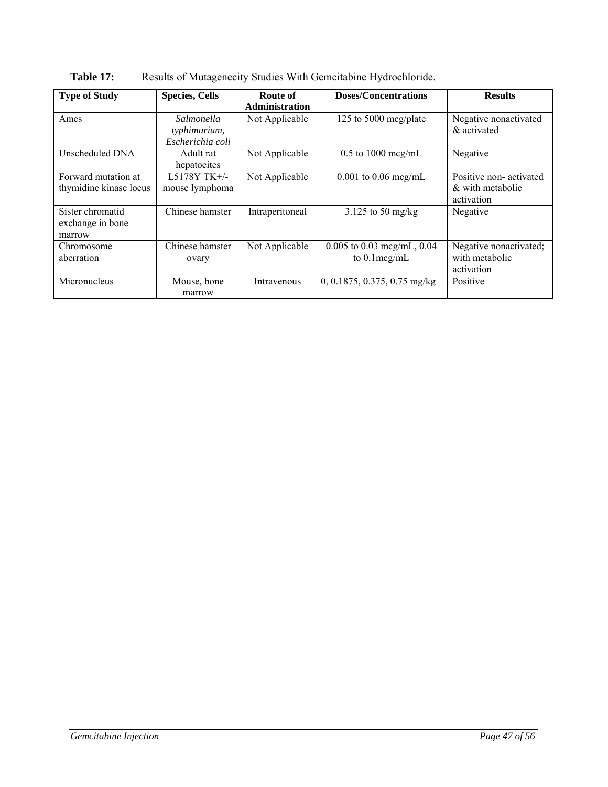| <b>Type of Study</b>                           | <b>Species, Cells</b>                          | Route of              | <b>Doses/Concentrations</b>                     | <b>Results</b>                                           |
|------------------------------------------------|------------------------------------------------|-----------------------|-------------------------------------------------|----------------------------------------------------------|
|                                                |                                                | <b>Administration</b> |                                                 |                                                          |
| Ames                                           | Salmonella<br>typhimurium,<br>Escherichia coli | Not Applicable        | 125 to 5000 mcg/plate                           | Negative nonactivated<br>& activated                     |
| Unscheduled DNA                                | Adult rat<br>hepatocites                       | Not Applicable        | $0.5$ to $1000$ mcg/mL                          | Negative                                                 |
| Forward mutation at<br>thymidine kinase locus  | L5178Y TK+/-<br>mouse lymphoma                 | Not Applicable        | $0.001$ to $0.06$ mcg/mL                        | Positive non-activated<br>& with metabolic<br>activation |
| Sister chromatid<br>exchange in bone<br>marrow | Chinese hamster                                | Intraperitoneal       | 3.125 to 50 mg/kg                               | Negative                                                 |
| Chromosome<br>aberration                       | Chinese hamster<br>ovary                       | Not Applicable        | $0.005$ to 0.03 mcg/mL, 0.04<br>to $0.1$ mcg/mL | Negative nonactivated;<br>with metabolic<br>activation   |
| Micronucleus                                   | Mouse, bone<br>marrow                          | Intravenous           | 0, 0.1875, 0.375, 0.75 mg/kg                    | Positive                                                 |

Table 17: Results of Mutagenecity Studies With Gemcitabine Hydrochloride.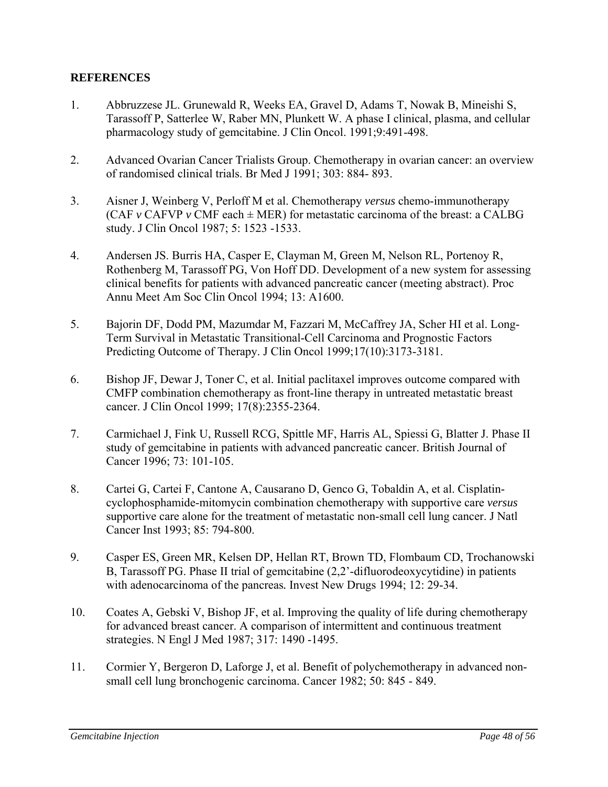## **REFERENCES**

- 1. Abbruzzese JL. Grunewald R, Weeks EA, Gravel D, Adams T, Nowak B, Mineishi S, Tarassoff P, Satterlee W, Raber MN, Plunkett W. A phase I clinical, plasma, and cellular pharmacology study of gemcitabine. J Clin Oncol. 1991;9:491-498.
- 2. Advanced Ovarian Cancer Trialists Group. Chemotherapy in ovarian cancer: an overview of randomised clinical trials. Br Med J 1991; 303: 884- 893.
- 3. Aisner J, Weinberg V, Perloff M et al. Chemotherapy *versus* chemo-immunotherapy (CAF  $\nu$  CAFVP  $\nu$  CMF each  $\pm$  MER) for metastatic carcinoma of the breast: a CALBG study. J Clin Oncol 1987; 5: 1523 -1533.
- 4. Andersen JS. Burris HA, Casper E, Clayman M, Green M, Nelson RL, Portenoy R, Rothenberg M, Tarassoff PG, Von Hoff DD. Development of a new system for assessing clinical benefits for patients with advanced pancreatic cancer (meeting abstract). Proc Annu Meet Am Soc Clin Oncol 1994; 13: A1600.
- 5. Bajorin DF, Dodd PM, Mazumdar M, Fazzari M, McCaffrey JA, Scher HI et al. Long-Term Survival in Metastatic Transitional-Cell Carcinoma and Prognostic Factors Predicting Outcome of Therapy. J Clin Oncol 1999;17(10):3173-3181.
- 6. Bishop JF, Dewar J, Toner C, et al. Initial paclitaxel improves outcome compared with CMFP combination chemotherapy as front-line therapy in untreated metastatic breast cancer. J Clin Oncol 1999; 17(8):2355-2364.
- 7. Carmichael J, Fink U, Russell RCG, Spittle MF, Harris AL, Spiessi G, Blatter J. Phase II study of gemcitabine in patients with advanced pancreatic cancer. British Journal of Cancer 1996; 73: 101-105.
- 8. Cartei G, Cartei F, Cantone A, Causarano D, Genco G, Tobaldin A, et al. Cisplatincyclophosphamide-mitomycin combination chemotherapy with supportive care *versus*  supportive care alone for the treatment of metastatic non-small cell lung cancer. J Natl Cancer Inst 1993; 85: 794-800.
- 9. Casper ES, Green MR, Kelsen DP, Hellan RT, Brown TD, Flombaum CD, Trochanowski B, Tarassoff PG. Phase II trial of gemcitabine (2,2'-difluorodeoxycytidine) in patients with adenocarcinoma of the pancreas*.* Invest New Drugs 1994; 12: 29-34.
- 10. Coates A, Gebski V, Bishop JF, et al. Improving the quality of life during chemotherapy for advanced breast cancer. A comparison of intermittent and continuous treatment strategies. N Engl J Med 1987; 317: 1490 -1495.
- 11. Cormier Y, Bergeron D, Laforge J, et al. Benefit of polychemotherapy in advanced nonsmall cell lung bronchogenic carcinoma. Cancer 1982; 50: 845 - 849.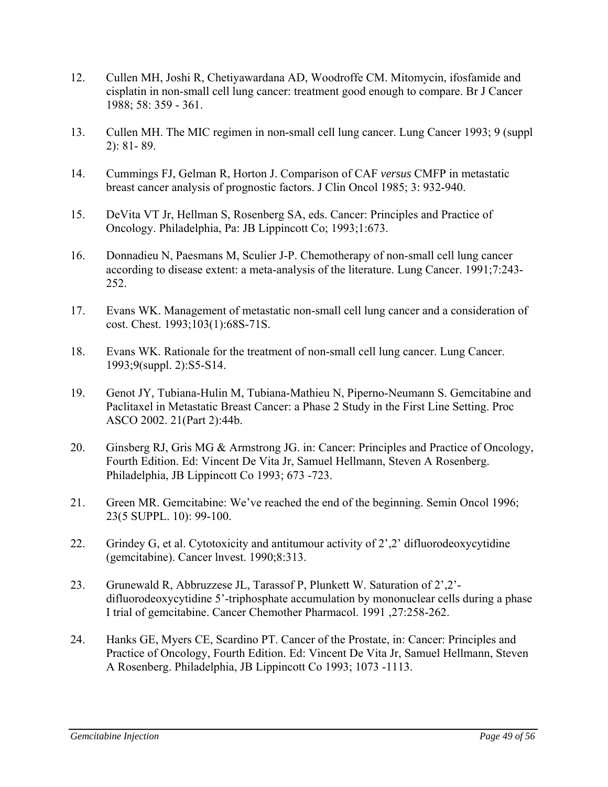- 12. Cullen MH, Joshi R, Chetiyawardana AD, Woodroffe CM. Mitomycin, ifosfamide and cisplatin in non-small cell lung cancer: treatment good enough to compare. Br J Cancer 1988; 58: 359 - 361.
- 13. Cullen MH. The MIC regimen in non-small cell lung cancer. Lung Cancer 1993; 9 (suppl 2): 81- 89.
- 14. Cummings FJ, Gelman R, Horton J. Comparison of CAF *versus* CMFP in metastatic breast cancer analysis of prognostic factors. J Clin Oncol 1985; 3: 932-940.
- 15. DeVita VT Jr, Hellman S, Rosenberg SA, eds. Cancer: Principles and Practice of Oncology. Philadelphia, Pa: JB Lippincott Co; 1993;1:673.
- 16. Donnadieu N, Paesmans M, Sculier J-P. Chemotherapy of non-small cell lung cancer according to disease extent: a meta-analysis of the literature. Lung Cancer. 1991;7:243- 252.
- 17. Evans WK. Management of metastatic non-small cell lung cancer and a consideration of cost. Chest. 1993;103(1):68S-71S.
- 18. Evans WK. Rationale for the treatment of non-small cell lung cancer. Lung Cancer. 1993;9(suppl. 2):S5-S14.
- 19. Genot JY, Tubiana-Hulin M, Tubiana-Mathieu N, Piperno-Neumann S. Gemcitabine and Paclitaxel in Metastatic Breast Cancer: a Phase 2 Study in the First Line Setting. Proc ASCO 2002. 21(Part 2):44b.
- 20. Ginsberg RJ, Gris MG & Armstrong JG. in: Cancer: Principles and Practice of Oncology, Fourth Edition. Ed: Vincent De Vita Jr, Samuel Hellmann, Steven A Rosenberg. Philadelphia, JB Lippincott Co 1993; 673 -723.
- 21. Green MR. Gemcitabine: We've reached the end of the beginning. Semin Oncol 1996; 23(5 SUPPL. 10): 99-100.
- 22. Grindey G, et al. Cytotoxicity and antitumour activity of 2',2' difluorodeoxycytidine (gemcitabine). Cancer lnvest. 1990;8:313.
- 23. Grunewald R, Abbruzzese JL, Tarassof P, Plunkett W. Saturation of 2',2' difluorodeoxycytidine 5'-triphosphate accumulation by mononuclear cells during a phase I trial of gemcitabine. Cancer Chemother Pharmacol. 1991 ,27:258-262.
- 24. Hanks GE, Myers CE, Scardino PT. Cancer of the Prostate, in: Cancer: Principles and Practice of Oncology, Fourth Edition. Ed: Vincent De Vita Jr, Samuel Hellmann, Steven A Rosenberg. Philadelphia, JB Lippincott Co 1993; 1073 -1113.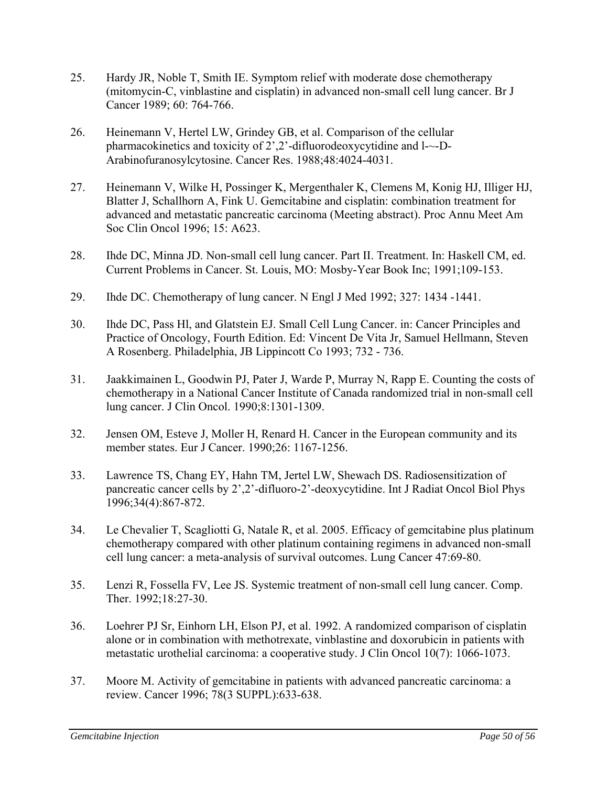- 25. Hardy JR, Noble T, Smith IE. Symptom relief with moderate dose chemotherapy (mitomycin-C, vinblastine and cisplatin) in advanced non-small cell lung cancer. Br J Cancer 1989; 60: 764-766.
- 26. Heinemann V, Hertel LW, Grindey GB, et al. Comparison of the cellular pharmacokinetics and toxicity of 2',2'-difluorodeoxycytidine and l-~-D-Arabinofuranosylcytosine. Cancer Res. 1988;48:4024-4031.
- 27. Heinemann V, Wilke H, Possinger K, Mergenthaler K, Clemens M, Konig HJ, Illiger HJ, Blatter J, Schallhorn A, Fink U. Gemcitabine and cisplatin: combination treatment for advanced and metastatic pancreatic carcinoma (Meeting abstract). Proc Annu Meet Am Soc Clin Oncol 1996; 15: A623.
- 28. Ihde DC, Minna JD. Non-small cell lung cancer. Part II. Treatment. In: Haskell CM, ed. Current Problems in Cancer. St. Louis, MO: Mosby-Year Book Inc; 1991;109-153.
- 29. Ihde DC. Chemotherapy of lung cancer. N Engl J Med 1992; 327: 1434 -1441.
- 30. Ihde DC, Pass Hl, and Glatstein EJ. Small Cell Lung Cancer. in: Cancer Principles and Practice of Oncology, Fourth Edition. Ed: Vincent De Vita Jr, Samuel Hellmann, Steven A Rosenberg. Philadelphia, JB Lippincott Co 1993; 732 - 736.
- 31. Jaakkimainen L, Goodwin PJ, Pater J, Warde P, Murray N, Rapp E. Counting the costs of chemotherapy in a National Cancer Institute of Canada randomized trial in non-small cell lung cancer. J Clin Oncol. 1990;8:1301-1309.
- 32. Jensen OM, Esteve J, Moller H, Renard H. Cancer in the European community and its member states. Eur J Cancer. 1990;26: 1167-1256.
- 33. Lawrence TS, Chang EY, Hahn TM, Jertel LW, Shewach DS. Radiosensitization of pancreatic cancer cells by 2',2'-difluoro-2'-deoxycytidine. Int J Radiat Oncol Biol Phys 1996;34(4):867-872.
- 34. Le Chevalier T, Scagliotti G, Natale R, et al. 2005. Efficacy of gemcitabine plus platinum chemotherapy compared with other platinum containing regimens in advanced non-small cell lung cancer: a meta-analysis of survival outcomes. Lung Cancer 47:69-80.
- 35. Lenzi R, Fossella FV, Lee JS. Systemic treatment of non-small cell lung cancer. Comp. Ther. 1992;18:27-30.
- 36. Loehrer PJ Sr, Einhorn LH, Elson PJ, et al. 1992. A randomized comparison of cisplatin alone or in combination with methotrexate, vinblastine and doxorubicin in patients with metastatic urothelial carcinoma: a cooperative study. J Clin Oncol 10(7): 1066-1073.
- 37. Moore M. Activity of gemcitabine in patients with advanced pancreatic carcinoma: a review. Cancer 1996; 78(3 SUPPL):633-638.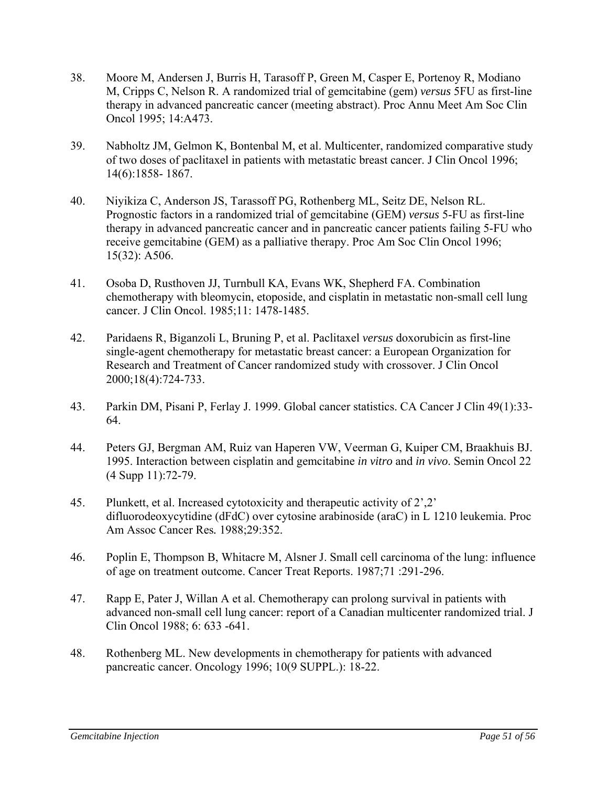- 38. Moore M, Andersen J, Burris H, Tarasoff P, Green M, Casper E, Portenoy R, Modiano M, Cripps C, Nelson R. A randomized trial of gemcitabine (gem) *versus* 5FU as first-line therapy in advanced pancreatic cancer (meeting abstract). Proc Annu Meet Am Soc Clin Oncol 1995; 14:A473.
- 39. Nabholtz JM, Gelmon K, Bontenbal M, et al. Multicenter, randomized comparative study of two doses of paclitaxel in patients with metastatic breast cancer. J Clin Oncol 1996; 14(6):1858- 1867.
- 40. Niyikiza C, Anderson JS, Tarassoff PG, Rothenberg ML, Seitz DE, Nelson RL. Prognostic factors in a randomized trial of gemcitabine (GEM) *versus* 5-FU as first-line therapy in advanced pancreatic cancer and in pancreatic cancer patients failing 5-FU who receive gemcitabine (GEM) as a palliative therapy. Proc Am Soc Clin Oncol 1996; 15(32): A506.
- 41. Osoba D, Rusthoven JJ, Turnbull KA, Evans WK, Shepherd FA. Combination chemotherapy with bleomycin, etoposide, and cisplatin in metastatic non-small cell lung cancer. J Clin Oncol. 1985;11: 1478-1485.
- 42. Paridaens R, Biganzoli L, Bruning P, et al. Paclitaxel *versus* doxorubicin as first-line single-agent chemotherapy for metastatic breast cancer: a European Organization for Research and Treatment of Cancer randomized study with crossover. J Clin Oncol 2000;18(4):724-733.
- 43. Parkin DM, Pisani P, Ferlay J. 1999. Global cancer statistics. CA Cancer J Clin 49(1):33- 64.
- 44. Peters GJ, Bergman AM, Ruiz van Haperen VW, Veerman G, Kuiper CM, Braakhuis BJ. 1995. Interaction between cisplatin and gemcitabine *in vitro* and *in vivo*. Semin Oncol 22 (4 Supp 11):72-79.
- 45. Plunkett, et al. Increased cytotoxicity and therapeutic activity of 2',2' difluorodeoxycytidine (dFdC) over cytosine arabinoside (araC) in L 1210 leukemia. Proc Am Assoc Cancer Res*.* 1988;29:352.
- 46. Poplin E, Thompson B, Whitacre M, Alsner J. Small cell carcinoma of the lung: influence of age on treatment outcome. Cancer Treat Reports. 1987;71 :291-296.
- 47. Rapp E, Pater J, Willan A et al. Chemotherapy can prolong survival in patients with advanced non-small cell lung cancer: report of a Canadian multicenter randomized trial. J Clin Oncol 1988; 6: 633 -641.
- 48. Rothenberg ML. New developments in chemotherapy for patients with advanced pancreatic cancer. Oncology 1996; 10(9 SUPPL.): 18-22.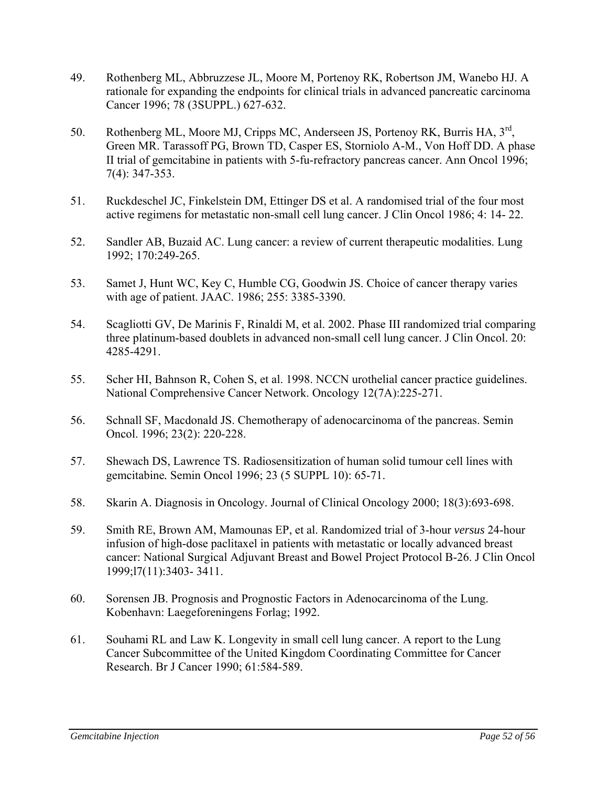- 49. Rothenberg ML, Abbruzzese JL, Moore M, Portenoy RK, Robertson JM, Wanebo HJ. A rationale for expanding the endpoints for clinical trials in advanced pancreatic carcinoma Cancer 1996; 78 (3SUPPL.) 627-632.
- 50. Rothenberg ML, Moore MJ, Cripps MC, Anderseen JS, Portenoy RK, Burris HA, 3rd, Green MR. Tarassoff PG, Brown TD, Casper ES, Storniolo A-M., Von Hoff DD. A phase II trial of gemcitabine in patients with 5-fu-refractory pancreas cancer. Ann Oncol 1996; 7(4): 347-353.
- 51. Ruckdeschel JC, Finkelstein DM, Ettinger DS et al. A randomised trial of the four most active regimens for metastatic non-small cell lung cancer. J Clin Oncol 1986; 4: 14- 22.
- 52. Sandler AB, Buzaid AC. Lung cancer: a review of current therapeutic modalities. Lung 1992; 170:249-265.
- 53. Samet J, Hunt WC, Key C, Humble CG, Goodwin JS. Choice of cancer therapy varies with age of patient. JAAC. 1986; 255: 3385-3390.
- 54. Scagliotti GV, De Marinis F, Rinaldi M, et al. 2002. Phase III randomized trial comparing three platinum-based doublets in advanced non-small cell lung cancer. J Clin Oncol. 20: 4285-4291.
- 55. Scher HI, Bahnson R, Cohen S, et al. 1998. NCCN urothelial cancer practice guidelines. National Comprehensive Cancer Network. Oncology 12(7A):225-271.
- 56. Schnall SF, Macdonald JS. Chemotherapy of adenocarcinoma of the pancreas. Semin Oncol. 1996; 23(2): 220-228.
- 57. Shewach DS, Lawrence TS. Radiosensitization of human solid tumour cell lines with gemcitabine*.* Semin Oncol 1996; 23 (5 SUPPL 10): 65-71.
- 58. Skarin A. Diagnosis in Oncology. Journal of Clinical Oncology 2000; 18(3):693-698.
- 59. Smith RE, Brown AM, Mamounas EP, et al. Randomized trial of 3-hour *versus* 24-hour infusion of high-dose paclitaxel in patients with metastatic or locally advanced breast cancer: National Surgical Adjuvant Breast and Bowel Project Protocol B-26. J Clin Oncol 1999;l7(11):3403- 3411.
- 60. Sorensen JB. Prognosis and Prognostic Factors in Adenocarcinoma of the Lung. Kobenhavn: Laegeforeningens Forlag; 1992.
- 61. Souhami RL and Law K. Longevity in small cell lung cancer. A report to the Lung Cancer Subcommittee of the United Kingdom Coordinating Committee for Cancer Research. Br J Cancer 1990; 61:584-589.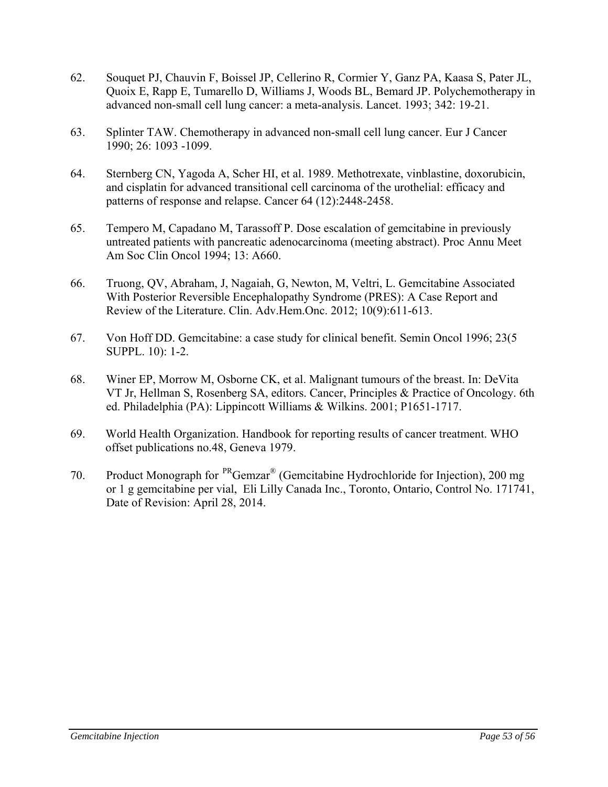- 62. Souquet PJ, Chauvin F, Boissel JP, Cellerino R, Cormier Y, Ganz PA, Kaasa S, Pater JL, Quoix E, Rapp E, Tumarello D, Williams J, Woods BL, Bemard JP. Polychemotherapy in advanced non-small cell lung cancer: a meta-analysis. Lancet. 1993; 342: 19-21.
- 63. Splinter TAW. Chemotherapy in advanced non-small cell lung cancer. Eur J Cancer 1990; 26: 1093 -1099.
- 64. Sternberg CN, Yagoda A, Scher HI, et al. 1989. Methotrexate, vinblastine, doxorubicin, and cisplatin for advanced transitional cell carcinoma of the urothelial: efficacy and patterns of response and relapse. Cancer 64 (12):2448-2458.
- 65. Tempero M, Capadano M, Tarassoff P. Dose escalation of gemcitabine in previously untreated patients with pancreatic adenocarcinoma (meeting abstract). Proc Annu Meet Am Soc Clin Oncol 1994; 13: A660.
- 66. Truong, QV, Abraham, J, Nagaiah, G, Newton, M, Veltri, L. Gemcitabine Associated With Posterior Reversible Encephalopathy Syndrome (PRES): A Case Report and Review of the Literature. Clin. Adv.Hem.Onc. 2012; 10(9):611-613.
- 67. Von Hoff DD. Gemcitabine: a case study for clinical benefit. Semin Oncol 1996; 23(5 SUPPL. 10): 1-2.
- 68. Winer EP, Morrow M, Osborne CK, et al. Malignant tumours of the breast. In: DeVita VT Jr, Hellman S, Rosenberg SA, editors. Cancer, Principles & Practice of Oncology. 6th ed. Philadelphia (PA): Lippincott Williams & Wilkins. 2001; P1651-1717.
- 69. World Health Organization. Handbook for reporting results of cancer treatment. WHO offset publications no.48, Geneva 1979.
- 70. Product Monograph for PRGemzar® (Gemcitabine Hydrochloride for Injection), 200 mg or 1 g gemcitabine per vial, Eli Lilly Canada Inc., Toronto, Ontario, Control No. 171741, Date of Revision: April 28, 2014.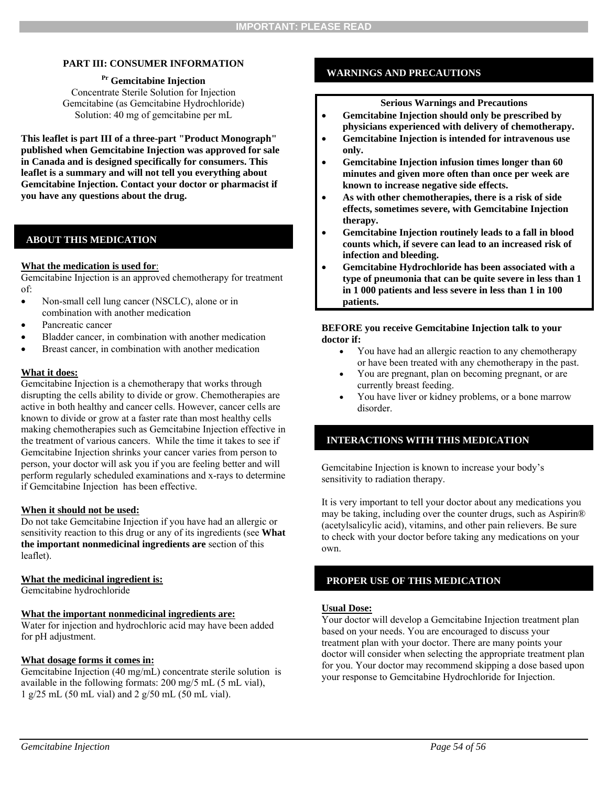#### **PART III: CONSUMER INFORMATION**

**Pr Gemcitabine Injection**  Concentrate Sterile Solution for Injection Gemcitabine (as Gemcitabine Hydrochloride) Solution: 40 mg of gemcitabine per mL

**This leaflet is part III of a three-part "Product Monograph" published when Gemcitabine Injection was approved for sale in Canada and is designed specifically for consumers. This leaflet is a summary and will not tell you everything about Gemcitabine Injection. Contact your doctor or pharmacist if you have any questions about the drug.** 

#### **ABOUT THIS MEDICATION**

#### **What the medication is used for**:

Gemcitabine Injection is an approved chemotherapy for treatment of:

- Non-small cell lung cancer (NSCLC), alone or in combination with another medication
- Pancreatic cancer
- Bladder cancer, in combination with another medication
- Breast cancer, in combination with another medication

#### **What it does:**

Gemcitabine Injection is a chemotherapy that works through disrupting the cells ability to divide or grow. Chemotherapies are active in both healthy and cancer cells. However, cancer cells are known to divide or grow at a faster rate than most healthy cells making chemotherapies such as Gemcitabine Injection effective in the treatment of various cancers. While the time it takes to see if Gemcitabine Injection shrinks your cancer varies from person to person, your doctor will ask you if you are feeling better and will perform regularly scheduled examinations and x-rays to determine if Gemcitabine Injection has been effective.

#### **When it should not be used:**

Do not take Gemcitabine Injection if you have had an allergic or sensitivity reaction to this drug or any of its ingredients (see **What the important nonmedicinal ingredients are** section of this leaflet).

#### **What the medicinal ingredient is:**

Gemcitabine hydrochloride

#### **What the important nonmedicinal ingredients are:**

Water for injection and hydrochloric acid may have been added for pH adjustment.

#### **What dosage forms it comes in:**

Gemcitabine Injection (40 mg/mL) concentrate sterile solution is available in the following formats: 200 mg/5 mL (5 mL vial), 1 g/25 mL (50 mL vial) and 2 g/50 mL (50 mL vial).

#### **WARNINGS AND PRECAUTIONS**

#### **Serious Warnings and Precautions**

- **Gemcitabine Injection should only be prescribed by physicians experienced with delivery of chemotherapy.**
- **Gemcitabine Injection is intended for intravenous use only.**
- **Gemcitabine Injection infusion times longer than 60 minutes and given more often than once per week are known to increase negative side effects.**
- **As with other chemotherapies, there is a risk of side effects, sometimes severe, with Gemcitabine Injection therapy.**
- **Gemcitabine Injection routinely leads to a fall in blood counts which, if severe can lead to an increased risk of infection and bleeding.**
- **Gemcitabine Hydrochloride has been associated with a type of pneumonia that can be quite severe in less than 1 in 1 000 patients and less severe in less than 1 in 100 patients.**

#### **BEFORE you receive Gemcitabine Injection talk to your doctor if:**

- You have had an allergic reaction to any chemotherapy or have been treated with any chemotherapy in the past.
- You are pregnant, plan on becoming pregnant, or are currently breast feeding.
- You have liver or kidney problems, or a bone marrow disorder.

### **INTERACTIONS WITH THIS MEDICATION**

Gemcitabine Injection is known to increase your body's sensitivity to radiation therapy.

It is very important to tell your doctor about any medications you may be taking, including over the counter drugs, such as Aspirin® (acetylsalicylic acid), vitamins, and other pain relievers. Be sure to check with your doctor before taking any medications on your own.

#### **PROPER USE OF THIS MEDICATION**

#### **Usual Dose:**

Your doctor will develop a Gemcitabine Injection treatment plan based on your needs. You are encouraged to discuss your treatment plan with your doctor. There are many points your doctor will consider when selecting the appropriate treatment plan for you. Your doctor may recommend skipping a dose based upon your response to Gemcitabine Hydrochloride for Injection.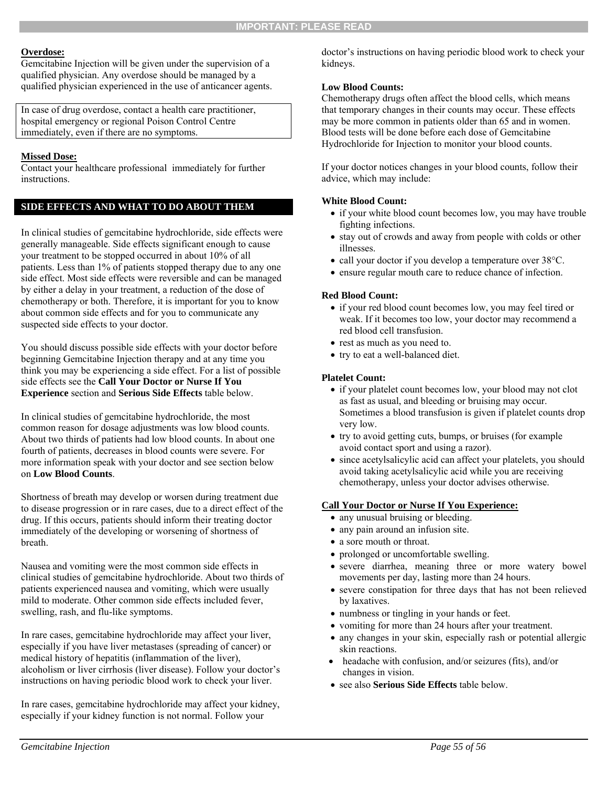#### **Overdose:**

Gemcitabine Injection will be given under the supervision of a qualified physician. Any overdose should be managed by a qualified physician experienced in the use of anticancer agents.

In case of drug overdose, contact a health care practitioner, hospital emergency or regional Poison Control Centre immediately, even if there are no symptoms.

# **Missed Dose:**

Contact your healthcare professional immediately for further instructions.

# **SIDE EFFECTS AND WHAT TO DO ABOUT THEM**

In clinical studies of gemcitabine hydrochloride, side effects were generally manageable. Side effects significant enough to cause your treatment to be stopped occurred in about 10% of all patients. Less than 1% of patients stopped therapy due to any one side effect. Most side effects were reversible and can be managed by either a delay in your treatment, a reduction of the dose of chemotherapy or both. Therefore, it is important for you to know about common side effects and for you to communicate any suspected side effects to your doctor.

You should discuss possible side effects with your doctor before beginning Gemcitabine Injection therapy and at any time you think you may be experiencing a side effect. For a list of possible side effects see the **Call Your Doctor or Nurse If You Experience** section and **Serious Side Effects** table below.

In clinical studies of gemcitabine hydrochloride, the most common reason for dosage adjustments was low blood counts. About two thirds of patients had low blood counts. In about one fourth of patients, decreases in blood counts were severe. For more information speak with your doctor and see section below on **Low Blood Counts**.

Shortness of breath may develop or worsen during treatment due to disease progression or in rare cases, due to a direct effect of the drug. If this occurs, patients should inform their treating doctor immediately of the developing or worsening of shortness of breath.

Nausea and vomiting were the most common side effects in clinical studies of gemcitabine hydrochloride. About two thirds of patients experienced nausea and vomiting, which were usually mild to moderate. Other common side effects included fever, swelling, rash, and flu-like symptoms.

In rare cases, gemcitabine hydrochloride may affect your liver, especially if you have liver metastases (spreading of cancer) or medical history of hepatitis (inflammation of the liver), alcoholism or liver cirrhosis (liver disease). Follow your doctor's instructions on having periodic blood work to check your liver.

In rare cases, gemcitabine hydrochloride may affect your kidney, especially if your kidney function is not normal. Follow your

doctor's instructions on having periodic blood work to check your kidneys.

### **Low Blood Counts:**

Chemotherapy drugs often affect the blood cells, which means that temporary changes in their counts may occur. These effects may be more common in patients older than 65 and in women. Blood tests will be done before each dose of Gemcitabine Hydrochloride for Injection to monitor your blood counts.

If your doctor notices changes in your blood counts, follow their advice, which may include:

# **White Blood Count:**

- if your white blood count becomes low, you may have trouble fighting infections.
- stay out of crowds and away from people with colds or other illnesses.
- call your doctor if you develop a temperature over 38°C.
- ensure regular mouth care to reduce chance of infection.

# **Red Blood Count:**

- if your red blood count becomes low, you may feel tired or weak. If it becomes too low, your doctor may recommend a red blood cell transfusion.
- rest as much as you need to.
- try to eat a well-balanced diet.

#### **Platelet Count:**

- if your platelet count becomes low, your blood may not clot as fast as usual, and bleeding or bruising may occur. Sometimes a blood transfusion is given if platelet counts drop very low.
- try to avoid getting cuts, bumps, or bruises (for example avoid contact sport and using a razor).
- since acetylsalicylic acid can affect your platelets, you should avoid taking acetylsalicylic acid while you are receiving chemotherapy, unless your doctor advises otherwise.

### **Call Your Doctor or Nurse If You Experience:**

- any unusual bruising or bleeding.
- any pain around an infusion site.
- a sore mouth or throat.
- prolonged or uncomfortable swelling.
- severe diarrhea, meaning three or more watery bowel movements per day, lasting more than 24 hours.
- severe constipation for three days that has not been relieved by laxatives.
- numbness or tingling in your hands or feet.
- vomiting for more than 24 hours after your treatment.
- any changes in your skin, especially rash or potential allergic skin reactions.
- headache with confusion, and/or seizures (fits), and/or changes in vision.
- see also **Serious Side Effects** table below.